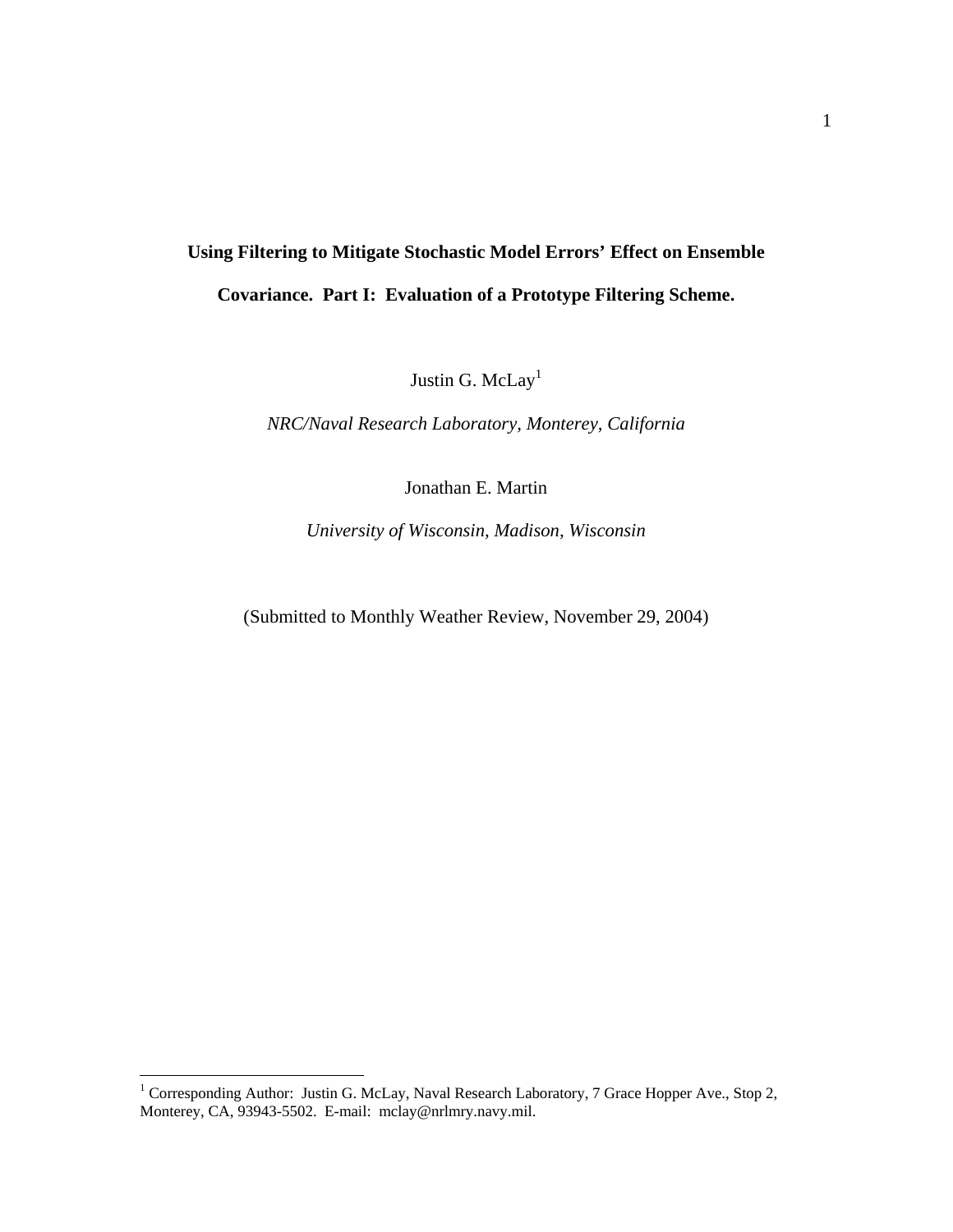# **Using Filtering to Mitigate Stochastic Model Errors' Effect on Ensemble Covariance. Part I: Evaluation of a Prototype Filtering Scheme.**

Justin G. McLay<sup>1</sup>

*NRC/Naval Research Laboratory, Monterey, California* 

Jonathan E. Martin

*University of Wisconsin, Madison, Wisconsin* 

(Submitted to Monthly Weather Review, November 29, 2004)

<span id="page-0-0"></span><sup>1&</sup>lt;br>
<sup>1</sup> Corresponding Author: Justin G. McLay, Naval Research Laboratory, 7 Grace Hopper Ave., Stop 2, Monterey, CA, 93943-5502. E-mail: mclay@nrlmry.navy.mil.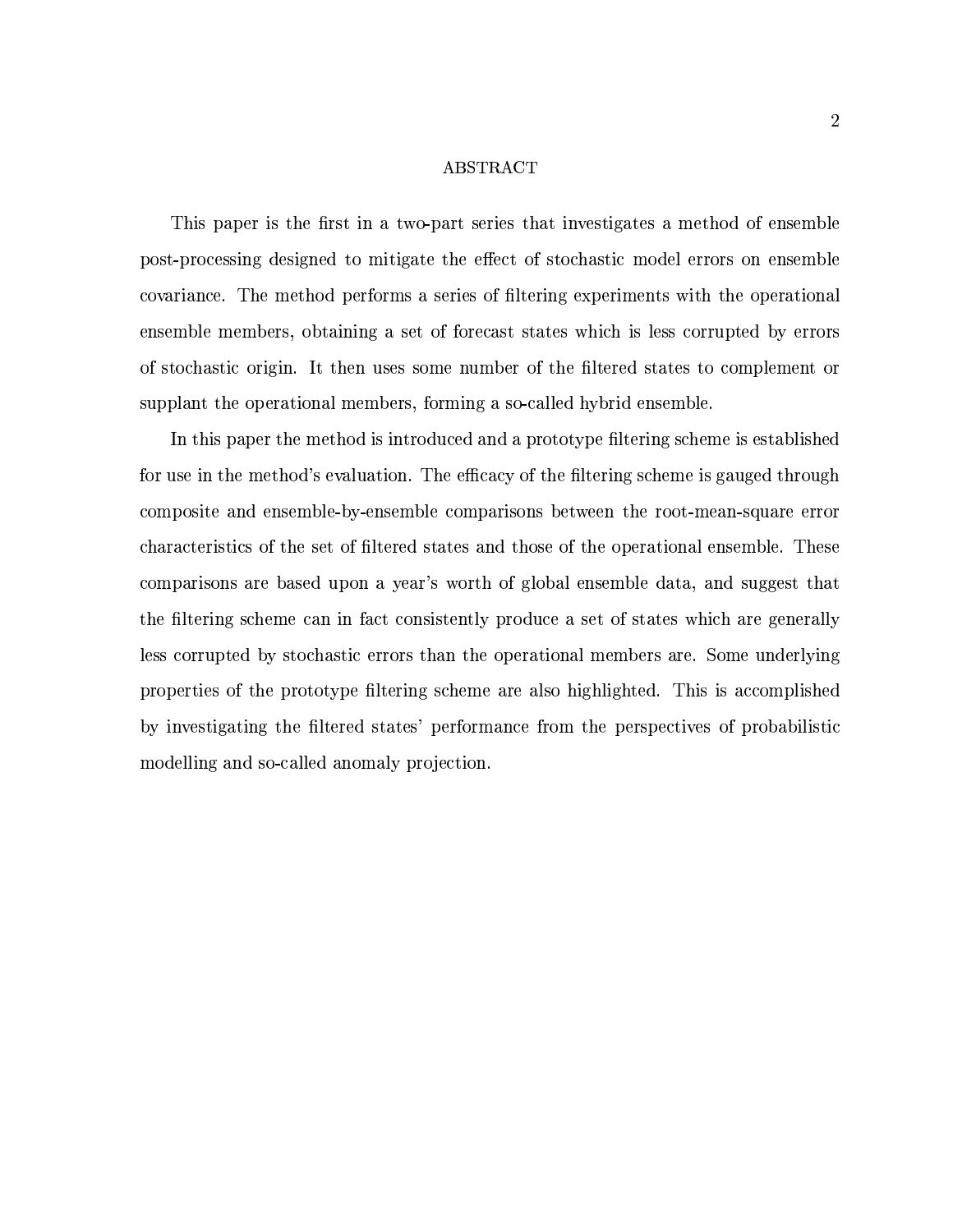### ABSTRACT

This paper is the first in a two-part series that investigates a method of ensemble post-processing designed to mitigate the effect of stochastic model errors on ensemble covariance. The method performs a series of filtering experiments with the operational ensemble members, obtaining a set of forecast states which is less corrupted by errors of stochastic origin. It then uses some number of the filtered states to complement or supplant the operational members, forming a so-called hybrid ensemble.

In this paper the method is introduced and a prototype filtering scheme is established for use in the method's evaluation. The efficacy of the filtering scheme is gauged through composite and ensemble-by-ensemble comparisons between the root-mean-square error characteristics of the set of filtered states and those of the operational ensemble. These comparisons are based upon a year's worth of global ensemble data, and suggest that the filtering scheme can in fact consistently produce a set of states which are generally less corrupted by stochastic errors than the operational members are. Some underlying properties of the prototype filtering scheme are also highlighted. This is accomplished by investigating the filtered states' performance from the perspectives of probabilistic modelling and so-called anomaly projection.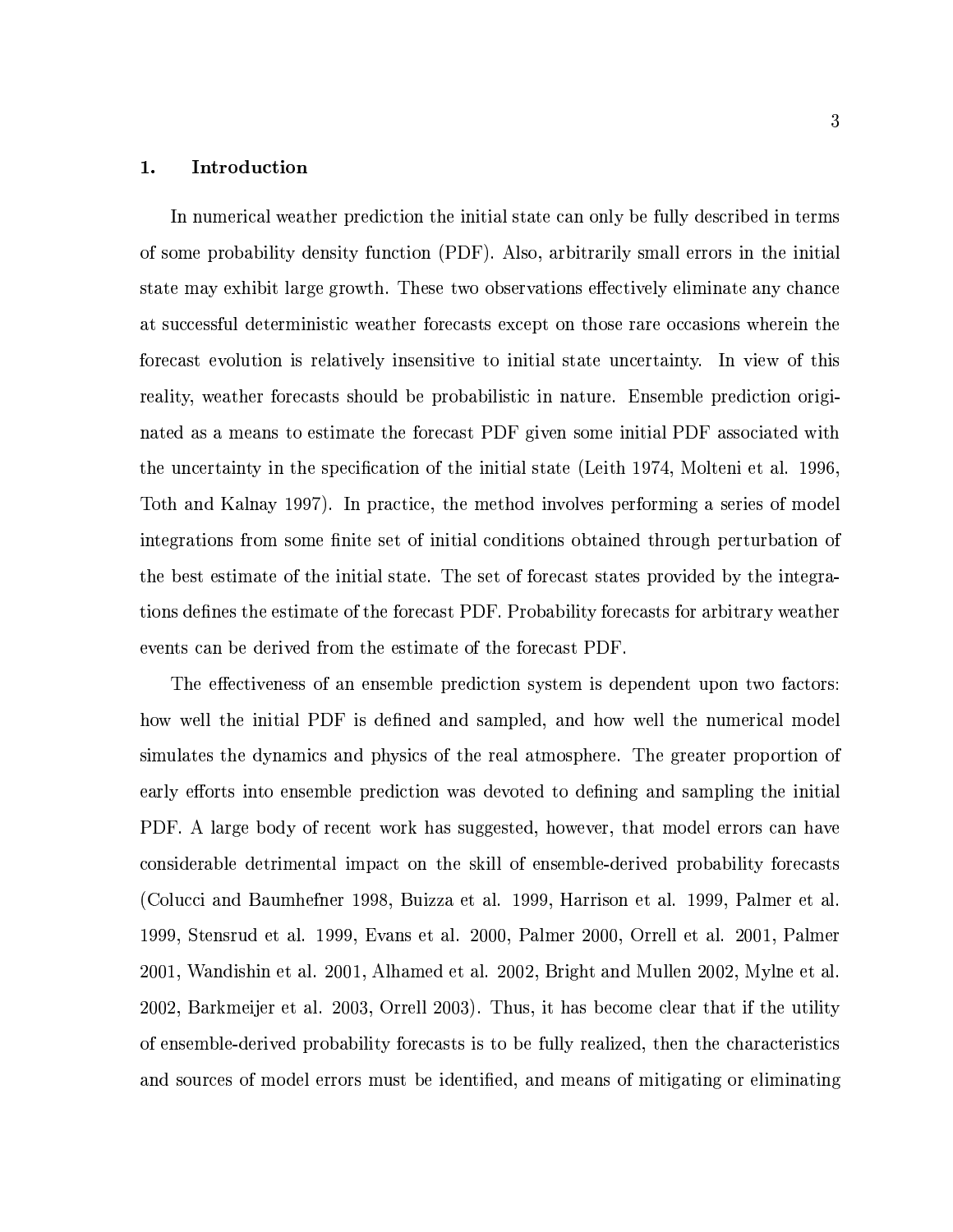#### Introduction 1.

In numerical weather prediction the initial state can only be fully described in terms of some probability density function (PDF). Also, arbitrarily small errors in the initial state may exhibit large growth. These two observations effectively eliminate any chance at successful deterministic weather forecasts except on those rare occasions wherein the forecast evolution is relatively insensitive to initial state uncertainty. In view of this reality, weather forecasts should be probabilistic in nature. Ensemble prediction originated as a means to estimate the forecast PDF given some initial PDF associated with the uncertainty in the specification of the initial state (Leith 1974, Molteni et al. 1996, Toth and Kalnay 1997). In practice, the method involves performing a series of model integrations from some finite set of initial conditions obtained through perturbation of the best estimate of the initial state. The set of forecast states provided by the integrations defines the estimate of the forecast PDF. Probability forecasts for arbitrary weather events can be derived from the estimate of the forecast PDF.

The effectiveness of an ensemble prediction system is dependent upon two factors: how well the initial PDF is defined and sampled, and how well the numerical model simulates the dynamics and physics of the real atmosphere. The greater proportion of early efforts into ensemble prediction was devoted to defining and sampling the initial PDF. A large body of recent work has suggested, however, that model errors can have considerable detrimental impact on the skill of ensemble-derived probability forecasts (Colucci and Baumhefner 1998, Buizza et al. 1999, Harrison et al. 1999, Palmer et al. 1999, Stensrud et al. 1999, Evans et al. 2000, Palmer 2000, Orrell et al. 2001, Palmer 2001, Wandishin et al. 2001, Alhamed et al. 2002, Bright and Mullen 2002, Mylne et al. 2002, Barkmeijer et al. 2003, Orrell 2003). Thus, it has become clear that if the utility of ensemble-derived probability forecasts is to be fully realized, then the characteristics and sources of model errors must be identified, and means of mitigating or eliminating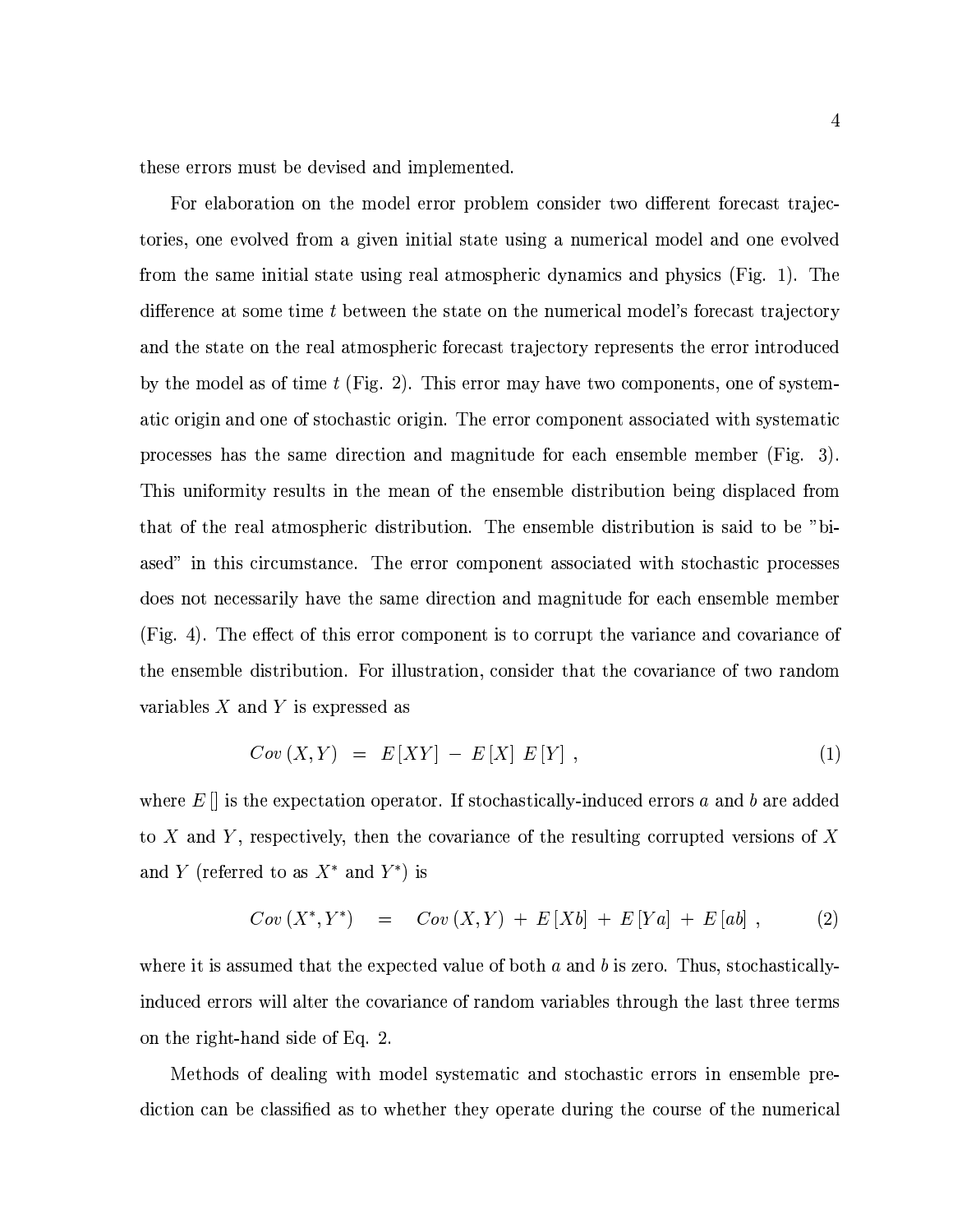these errors must be devised and implemented.

For elaboration on the model error problem consider two different forecast trajectories, one evolved from a given initial state using a numerical model and one evolved from the same initial state using real atmospheric dynamics and physics (Fig. 1). The difference at some time t between the state on the numerical model's forecast trajectory and the state on the real atmospheric forecast trajectory represents the error introduced by the model as of time  $t$  (Fig. 2). This error may have two components, one of systematic origin and one of stochastic origin. The error component associated with systematic processes has the same direction and magnitude for each ensemble member (Fig. 3). This uniformity results in the mean of the ensemble distribution being displaced from that of the real atmospheric distribution. The ensemble distribution is said to be "biased" in this circumstance. The error component associated with stochastic processes does not necessarily have the same direction and magnitude for each ensemble member (Fig. 4). The effect of this error component is to corrupt the variance and covariance of the ensemble distribution. For illustration, consider that the covariance of two random variables  $X$  and  $Y$  is expressed as

$$
Cov(X,Y) = E[XY] - E[X] E[Y], \qquad (1)
$$

where  $E[]$  is the expectation operator. If stochastically-induced errors a and b are added to X and Y, respectively, then the covariance of the resulting corrupted versions of X and Y (referred to as  $X^*$  and  $Y^*$ ) is

$$
Cov(X^*,Y^*) = Cov(X,Y) + E[Xb] + E[Ya] + E[ab], \qquad (2)
$$

where it is assumed that the expected value of both  $a$  and  $b$  is zero. Thus, stochasticallyinduced errors will alter the covariance of random variables through the last three terms on the right-hand side of Eq. 2.

Methods of dealing with model systematic and stochastic errors in ensemble prediction can be classified as to whether they operate during the course of the numerical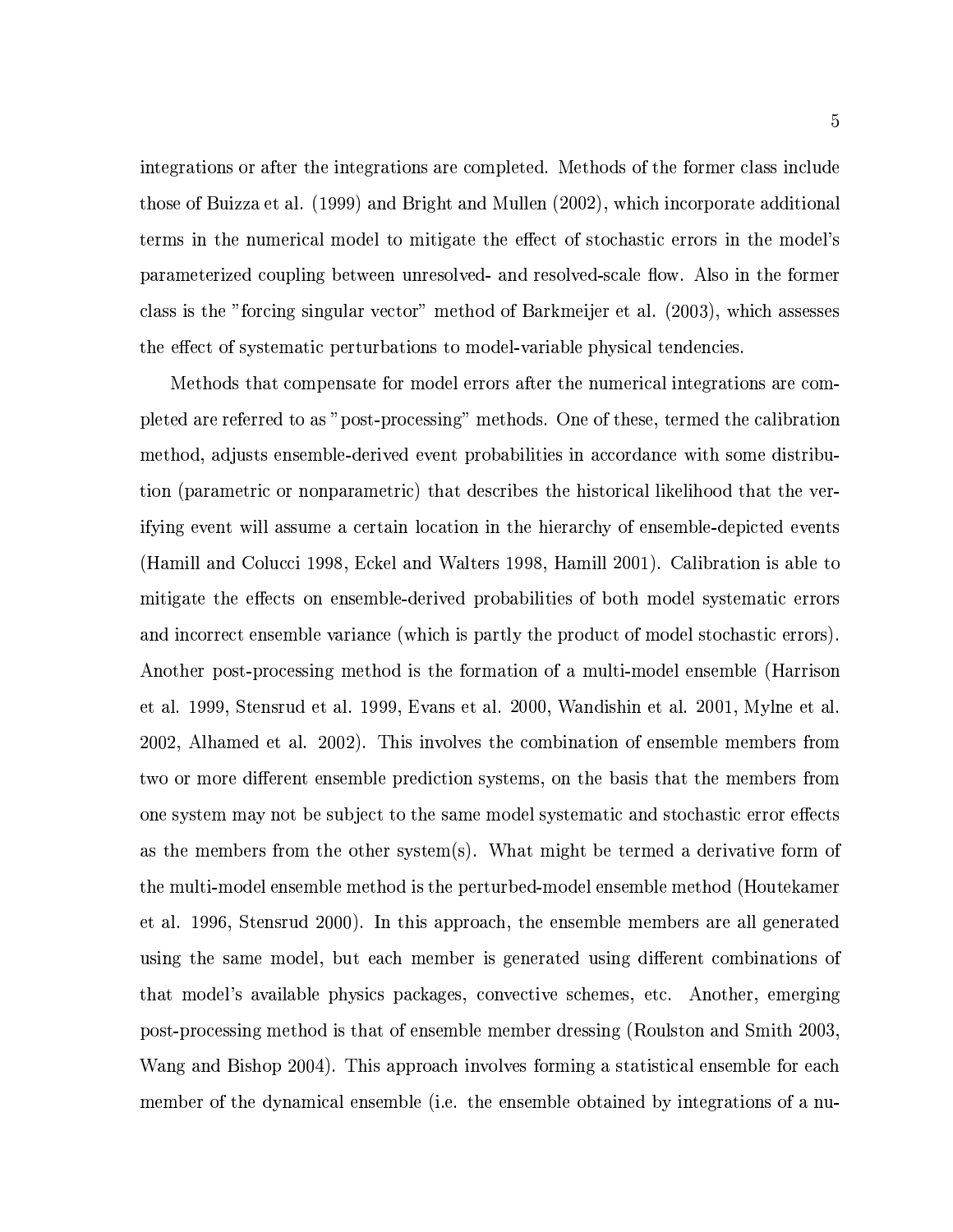integrations or after the integrations are completed. Methods of the former class include those of Buizza et al. (1999) and Bright and Mullen (2002), which incorporate additional terms in the numerical model to mitigate the effect of stochastic errors in the model's parameterized coupling between unresolved- and resolved-scale flow. Also in the former class is the "forcing singular vector" method of Barkmeijer et al. (2003), which assesses the effect of systematic perturbations to model-variable physical tendencies.

Methods that compensate for model errors after the numerical integrations are completed are referred to as "post-processing" methods. One of these, termed the calibration method, adjusts ensemble-derived event probabilities in accordance with some distribution (parametric or nonparametric) that describes the historical likelihood that the verifying event will assume a certain location in the hierarchy of ensemble-depicted events (Hamill and Colucci 1998, Eckel and Walters 1998, Hamill 2001). Calibration is able to mitigate the effects on ensemble-derived probabilities of both model systematic errors and incorrect ensemble variance (which is partly the product of model stochastic errors). Another post-processing method is the formation of a multi-model ensemble (Harrison et al. 1999, Stensrud et al. 1999, Evans et al. 2000, Wandishin et al. 2001, Mylne et al. 2002, Alhamed et al. 2002). This involves the combination of ensemble members from two or more different ensemble prediction systems, on the basis that the members from one system may not be subject to the same model systematic and stochastic error effects as the members from the other system(s). What might be termed a derivative form of the multi-model ensemble method is the perturbed-model ensemble method (Houtekamer et al. 1996, Stensrud 2000). In this approach, the ensemble members are all generated using the same model, but each member is generated using different combinations of that model's available physics packages, convective schemes, etc. Another, emerging post-processing method is that of ensemble member dressing (Roulston and Smith 2003, Wang and Bishop 2004). This approach involves forming a statistical ensemble for each member of the dynamical ensemble (i.e. the ensemble obtained by integrations of a nu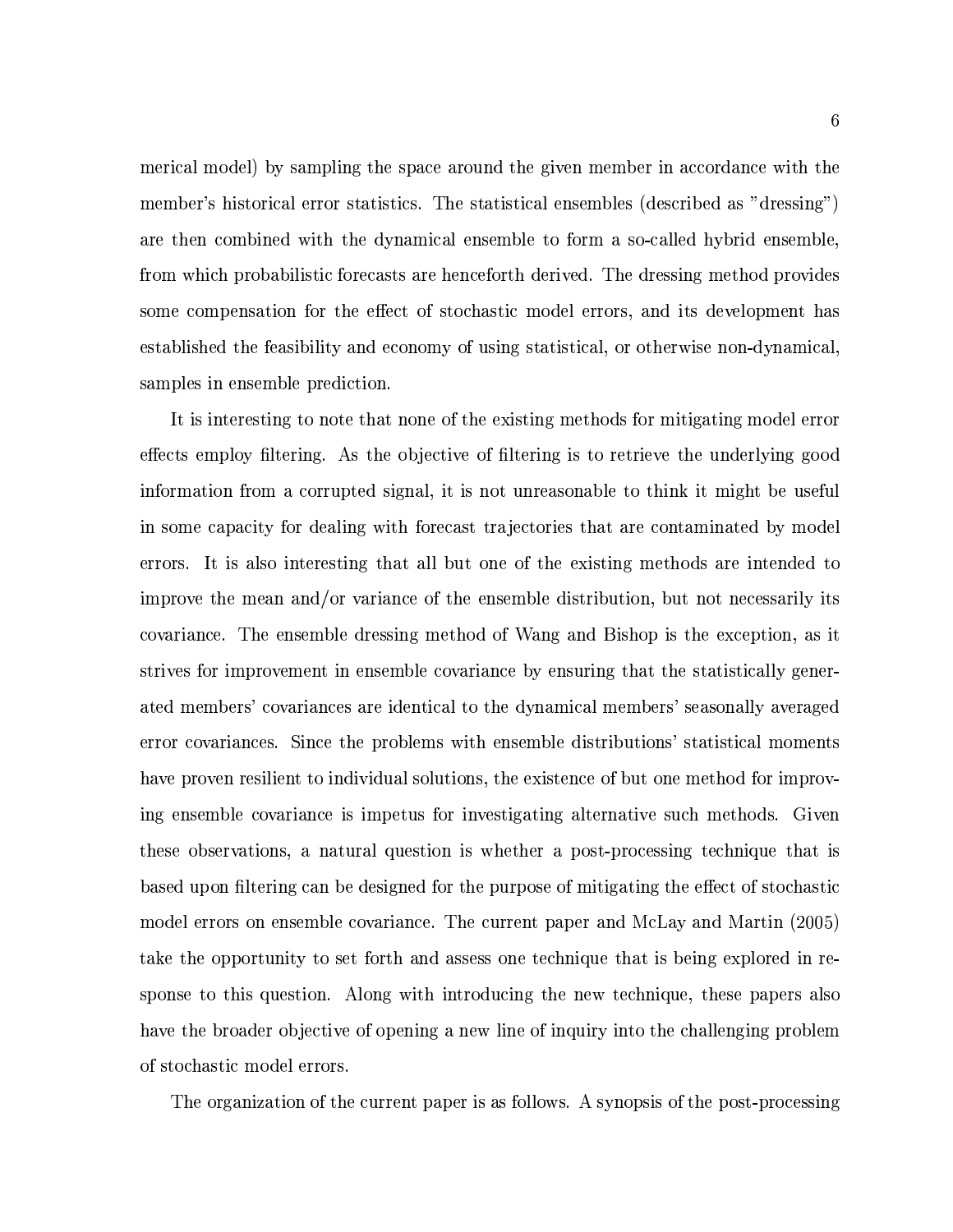merical model) by sampling the space around the given member in accordance with the member's historical error statistics. The statistical ensembles (described as "dressing") are then combined with the dynamical ensemble to form a so-called hybrid ensemble, from which probabilistic forecasts are henceforth derived. The dressing method provides some compensation for the effect of stochastic model errors, and its development has established the feasibility and economy of using statistical, or otherwise non-dynamical, samples in ensemble prediction.

It is interesting to note that none of the existing methods for mitigating model error effects employ filtering. As the objective of filtering is to retrieve the underlying good information from a corrupted signal, it is not unreasonable to think it might be useful in some capacity for dealing with forecast trajectories that are contaminated by model errors. It is also interesting that all but one of the existing methods are intended to improve the mean and/or variance of the ensemble distribution, but not necessarily its covariance. The ensemble dressing method of Wang and Bishop is the exception, as it strives for improvement in ensemble covariance by ensuring that the statistically generated members' covariances are identical to the dynamical members' seasonally averaged error covariances. Since the problems with ensemble distributions' statistical moments have proven resilient to individual solutions, the existence of but one method for improving ensemble covariance is impetus for investigating alternative such methods. Given these observations, a natural question is whether a post-processing technique that is based upon filtering can be designed for the purpose of mitigating the effect of stochastic model errors on ensemble covariance. The current paper and McLay and Martin (2005) take the opportunity to set forth and assess one technique that is being explored in response to this question. Along with introducing the new technique, these papers also have the broader objective of opening a new line of inquiry into the challenging problem of stochastic model errors.

The organization of the current paper is as follows. A synopsis of the post-processing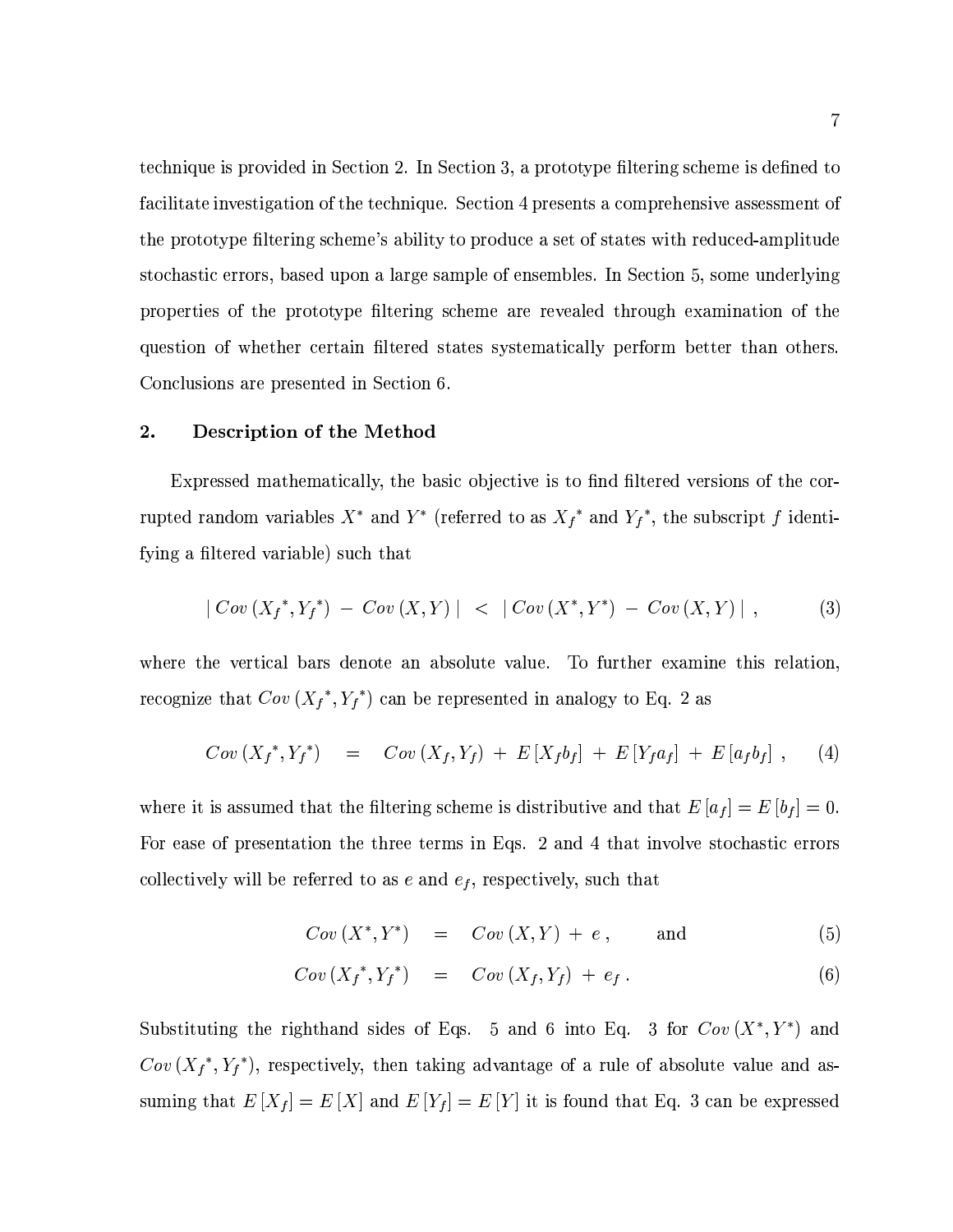technique is provided in Section 2. In Section 3, a prototype filtering scheme is defined to facilitate investigation of the technique. Section 4 presents a comprehensive assessment of the prototype filtering scheme's ability to produce a set of states with reduced-amplitude stochastic errors, based upon a large sample of ensembles. In Section 5, some underlying properties of the prototype filtering scheme are revealed through examination of the question of whether certain filtered states systematically perform better than others. Conclusions are presented in Section 6.

#### $\overline{2}$ . Description of the Method

Expressed mathematically, the basic objective is to find filtered versions of the corrupted random variables  $X^*$  and  $Y^*$  (referred to as  $X_f^*$  and  $Y_f^*$ , the subscript f identifying a filtered variable) such that

$$
|\n \text{Cov}(X_f^*, Y_f^*) - \text{Cov}(X, Y)| < |\n \text{Cov}(X^*, Y^*) - \text{Cov}(X, Y)| \,, \tag{3}
$$

where the vertical bars denote an absolute value. To further examine this relation, recognize that  $Cov(X_f^*, Y_f^*)$  can be represented in analogy to Eq. 2 as

$$
Cov(X_f^*, Y_f^*) = Cov(X_f, Y_f) + E[X_f b_f] + E[Y_f a_f] + E[a_f b_f], \qquad (4)
$$

where it is assumed that the filtering scheme is distributive and that  $E[a_f] = E[b_f] = 0$ . For ease of presentation the three terms in Eqs. 2 and 4 that involve stochastic errors collectively will be referred to as  $e$  and  $e_f$ , respectively, such that

$$
Cov(X^*,Y^*) = Cov(X,Y) + e, \qquad \text{and} \qquad (5)
$$

$$
Cov\left(X_f^*, Y_f^*\right) = Cov\left(X_f, Y_f\right) + e_f. \tag{6}
$$

Substituting the righthand sides of Eqs. 5 and 6 into Eq. 3 for  $Cov(X^*, Y^*)$  and  $Cov(X_f^*, Y_f^*)$ , respectively, then taking advantage of a rule of absolute value and assuming that  $E[X_f] = E[X]$  and  $E[Y_f] = E[Y]$  it is found that Eq. 3 can be expressed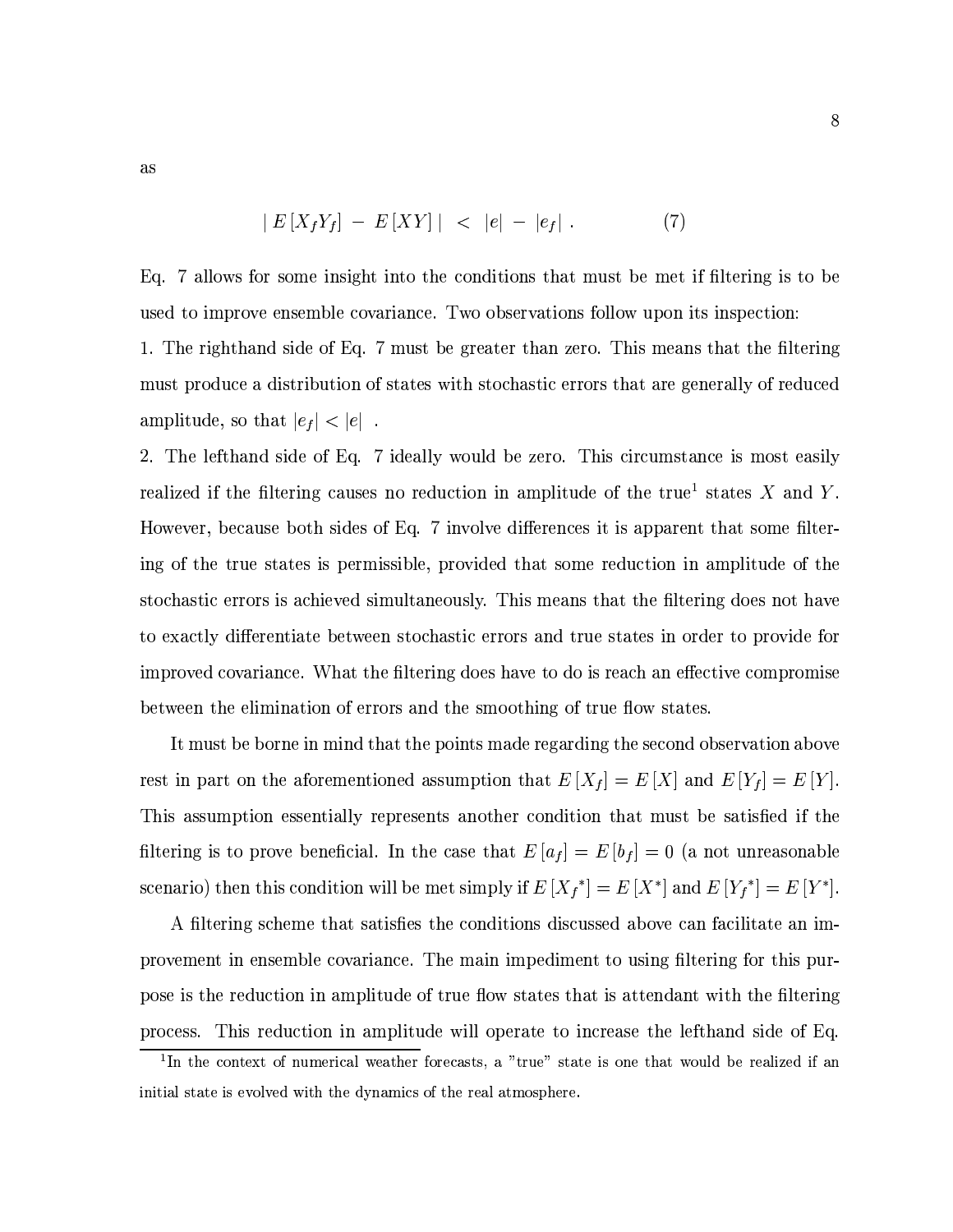$as$ 

$$
|E[X_f Y_f] - E[XY]| < |e| - |e_f| \,. \tag{7}
$$

Eq. 7 allows for some insight into the conditions that must be met if filtering is to be used to improve ensemble covariance. Two observations follow upon its inspection:

1. The righthand side of Eq. 7 must be greater than zero. This means that the filtering must produce a distribution of states with stochastic errors that are generally of reduced amplitude, so that  $\vert e_f\vert < \vert e \vert\,$  .

2. The lefthand side of Eq. 7 ideally would be zero. This circumstance is most easily realized if the filtering causes no reduction in amplitude of the true<sup>1</sup> states  $X$  and  $Y$ . However, because both sides of Eq. 7 involve differences it is apparent that some filtering of the true states is permissible, provided that some reduction in amplitude of the stochastic errors is achieved simultaneously. This means that the filtering does not have to exactly differentiate between stochastic errors and true states in order to provide for improved covariance. What the filtering does have to do is reach an effective compromise between the elimination of errors and the smoothing of true flow states.

It must be borne in mind that the points made regarding the second observation above rest in part on the aforementioned assumption that  $E[X_f] = E[X]$  and  $E[Y_f] = E[Y]$ . This assumption essentially represents another condition that must be satisfied if the filtering is to prove beneficial. In the case that  $E[a_f] = E[b_f] = 0$  (a not unreasonable scenario) then this condition will be met simply if  $E[X_f^*] = E[X^*]$  and  $E[Y_f^*] = E[Y^*]$ .

A filtering scheme that satisfies the conditions discussed above can facilitate an improvement in ensemble covariance. The main impediment to using filtering for this purpose is the reduction in amplitude of true flow states that is attendant with the filtering This reduction in amplitude will operate to increase the lefthand side of Eq. process.

 $\hat{ }$ 

<sup>&</sup>lt;sup>1</sup>In the context of numerical weather forecasts, a "true" state is one that would be realized if an initial state is evolved with the dynamics of the real atmosphere.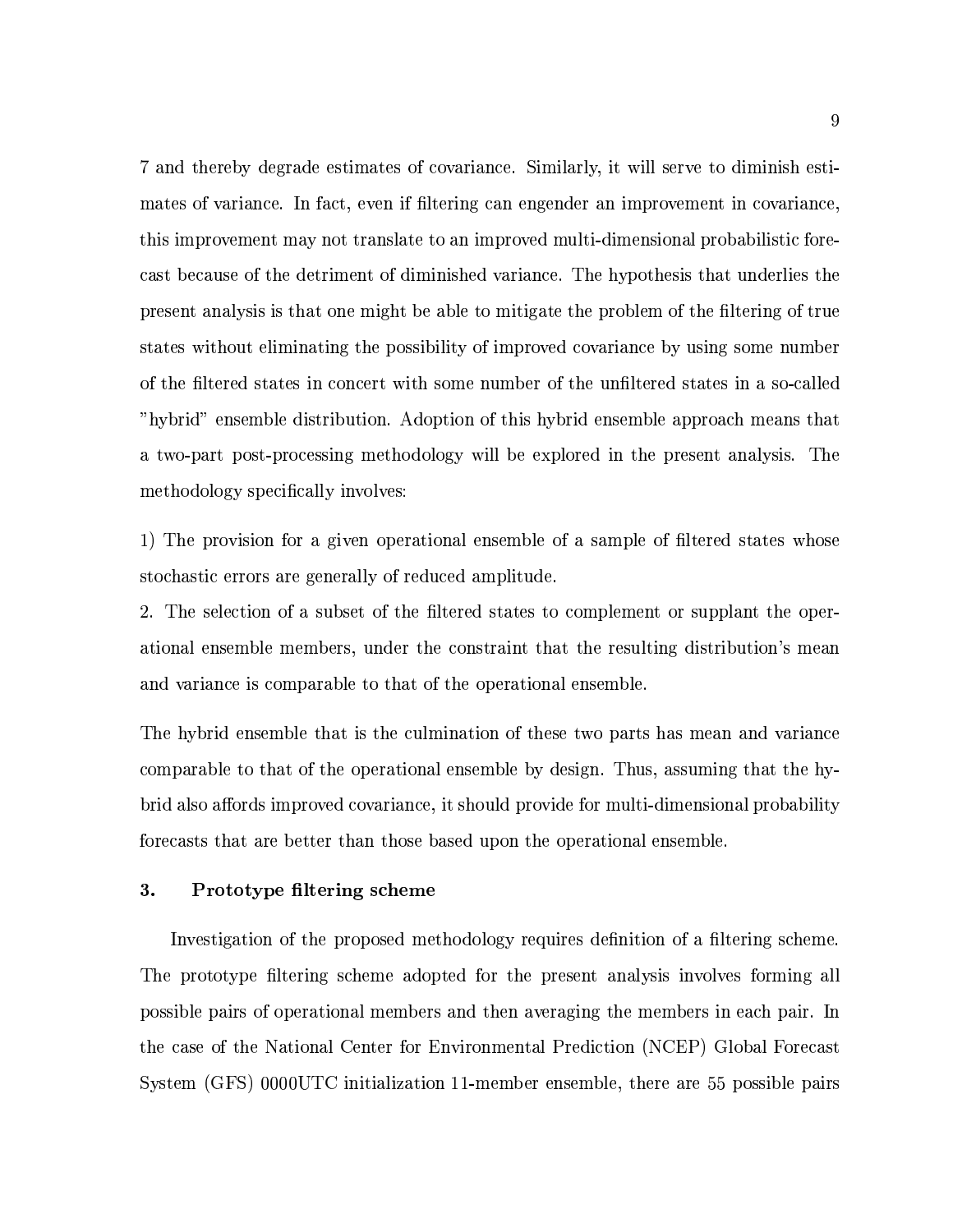7 and thereby degrade estimates of covariance. Similarly, it will serve to diminish estimates of variance. In fact, even if filtering can engender an improvement in covariance, this improvement may not translate to an improved multi-dimensional probabilistic forecast because of the detriment of diminished variance. The hypothesis that underlies the present analysis is that one might be able to mitigate the problem of the filtering of true states without eliminating the possibility of improved covariance by using some number of the filtered states in concert with some number of the unfiltered states in a so-called "hybrid" ensemble distribution. Adoption of this hybrid ensemble approach means that a two-part post-processing methodology will be explored in the present analysis. The methodology specifically involves:

1) The provision for a given operational ensemble of a sample of filtered states whose stochastic errors are generally of reduced amplitude.

2. The selection of a subset of the filtered states to complement or supplant the operational ensemble members, under the constraint that the resulting distribution's mean and variance is comparable to that of the operational ensemble.

The hybrid ensemble that is the culmination of these two parts has mean and variance comparable to that of the operational ensemble by design. Thus, assuming that the hybrid also affords improved covariance, it should provide for multi-dimensional probability forecasts that are better than those based upon the operational ensemble.

#### 3. Prototype filtering scheme

Investigation of the proposed methodology requires definition of a filtering scheme. The prototype filtering scheme adopted for the present analysis involves forming all possible pairs of operational members and then averaging the members in each pair. In the case of the National Center for Environmental Prediction (NCEP) Global Forecast System (GFS) 0000UTC initialization 11-member ensemble, there are 55 possible pairs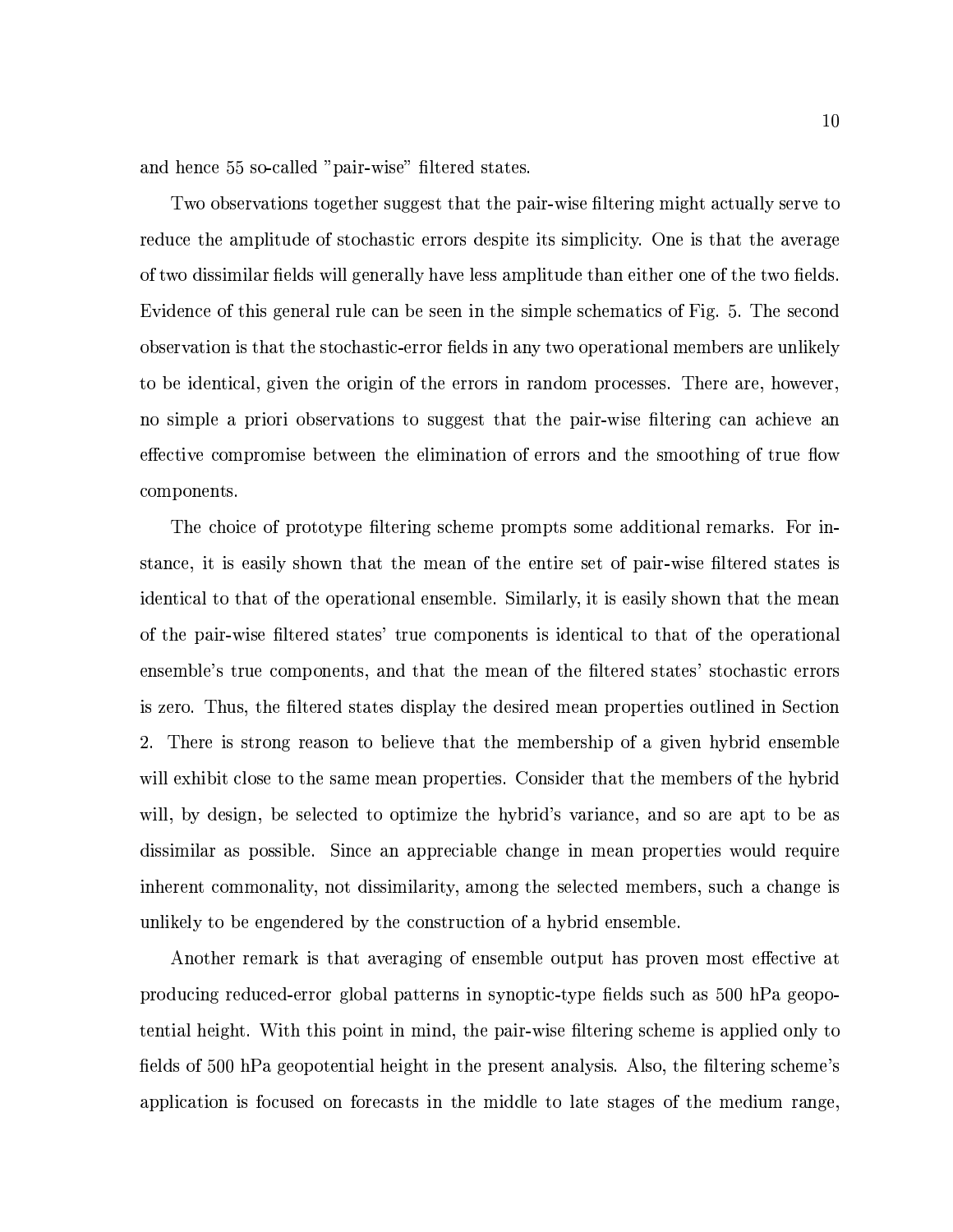and hence 55 so-called "pair-wise" filtered states.

Two observations together suggest that the pair-wise filtering might actually serve to reduce the amplitude of stochastic errors despite its simplicity. One is that the average of two dissimilar fields will generally have less amplitude than either one of the two fields. Evidence of this general rule can be seen in the simple schematics of Fig. 5. The second observation is that the stochastic-error fields in any two operational members are unlikely to be identical, given the origin of the errors in random processes. There are, however, no simple a priori observations to suggest that the pair-wise filtering can achieve an effective compromise between the elimination of errors and the smoothing of true flow components.

The choice of prototype filtering scheme prompts some additional remarks. For instance, it is easily shown that the mean of the entire set of pair-wise filtered states is identical to that of the operational ensemble. Similarly, it is easily shown that the mean of the pair-wise filtered states' true components is identical to that of the operational ensemble's true components, and that the mean of the filtered states' stochastic errors is zero. Thus, the filtered states display the desired mean properties outlined in Section  $2.$ There is strong reason to believe that the membership of a given hybrid ensemble will exhibit close to the same mean properties. Consider that the members of the hybrid will, by design, be selected to optimize the hybrid's variance, and so are apt to be as dissimilar as possible. Since an appreciable change in mean properties would require inherent commonality, not dissimilarity, among the selected members, such a change is unlikely to be engendered by the construction of a hybrid ensemble.

Another remark is that averaging of ensemble output has proven most effective at producing reduced-error global patterns in synoptic-type fields such as 500 hPa geopotential height. With this point in mind, the pair-wise filtering scheme is applied only to fields of 500 hPa geopotential height in the present analysis. Also, the filtering scheme's application is focused on forecasts in the middle to late stages of the medium range,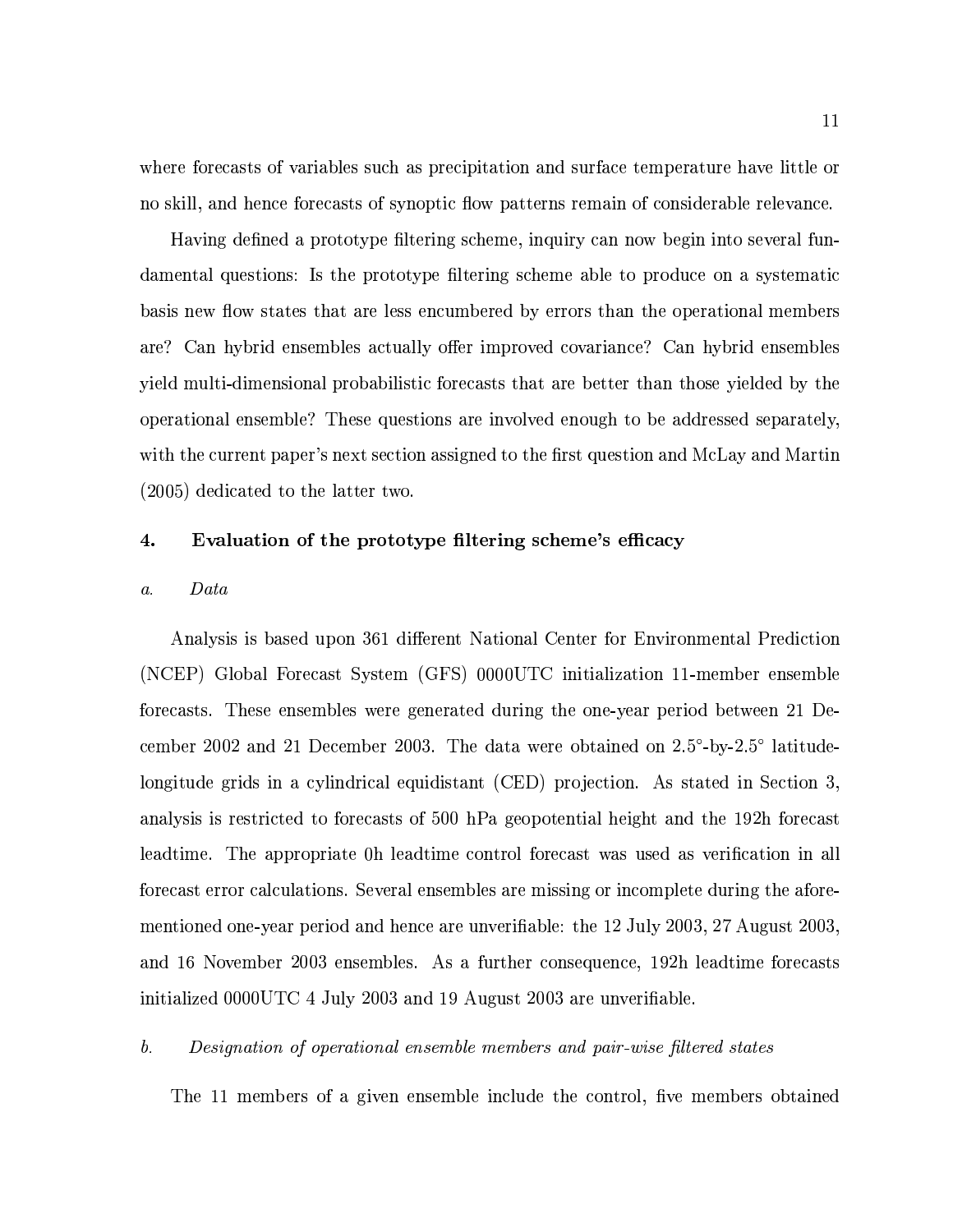where forecasts of variables such as precipitation and surface temperature have little or no skill, and hence forecasts of synoptic flow patterns remain of considerable relevance.

Having defined a prototype filtering scheme, inquiry can now begin into several fundamental questions: Is the prototype filtering scheme able to produce on a systematic basis new flow states that are less encumbered by errors than the operational members are? Can hybrid ensembles actually offer improved covariance? Can hybrid ensembles yield multi-dimensional probabilistic forecasts that are better than those yielded by the operational ensemble? These questions are involved enough to be addressed separately, with the current paper's next section assigned to the first question and McLay and Martin  $(2005)$  dedicated to the latter two.

#### 4. Evaluation of the prototype filtering scheme's efficacy

#### Data  $\mathfrak{a}.$

Analysis is based upon 361 different National Center for Environmental Prediction (NCEP) Global Forecast System (GFS) 0000UTC initialization 11-member ensemble forecasts. These ensembles were generated during the one-year period between 21 December 2002 and 21 December 2003. The data were obtained on 2.5°-by-2.5° latitudelongitude grids in a cylindrical equidistant (CED) projection. As stated in Section 3, analysis is restricted to forecasts of 500 hPa geopotential height and the 192h forecast leadtime. The appropriate 0h leadtime control forecast was used as verification in all forecast error calculations. Several ensembles are missing or incomplete during the aforementioned one-year period and hence are unverifiable: the 12 July 2003, 27 August 2003, and 16 November 2003 ensembles. As a further consequence, 192h leadtime forecasts initialized 0000UTC 4 July 2003 and 19 August 2003 are unverifiable.

#### $b$ . Designation of operational ensemble members and pair-wise filtered states

The 11 members of a given ensemble include the control, five members obtained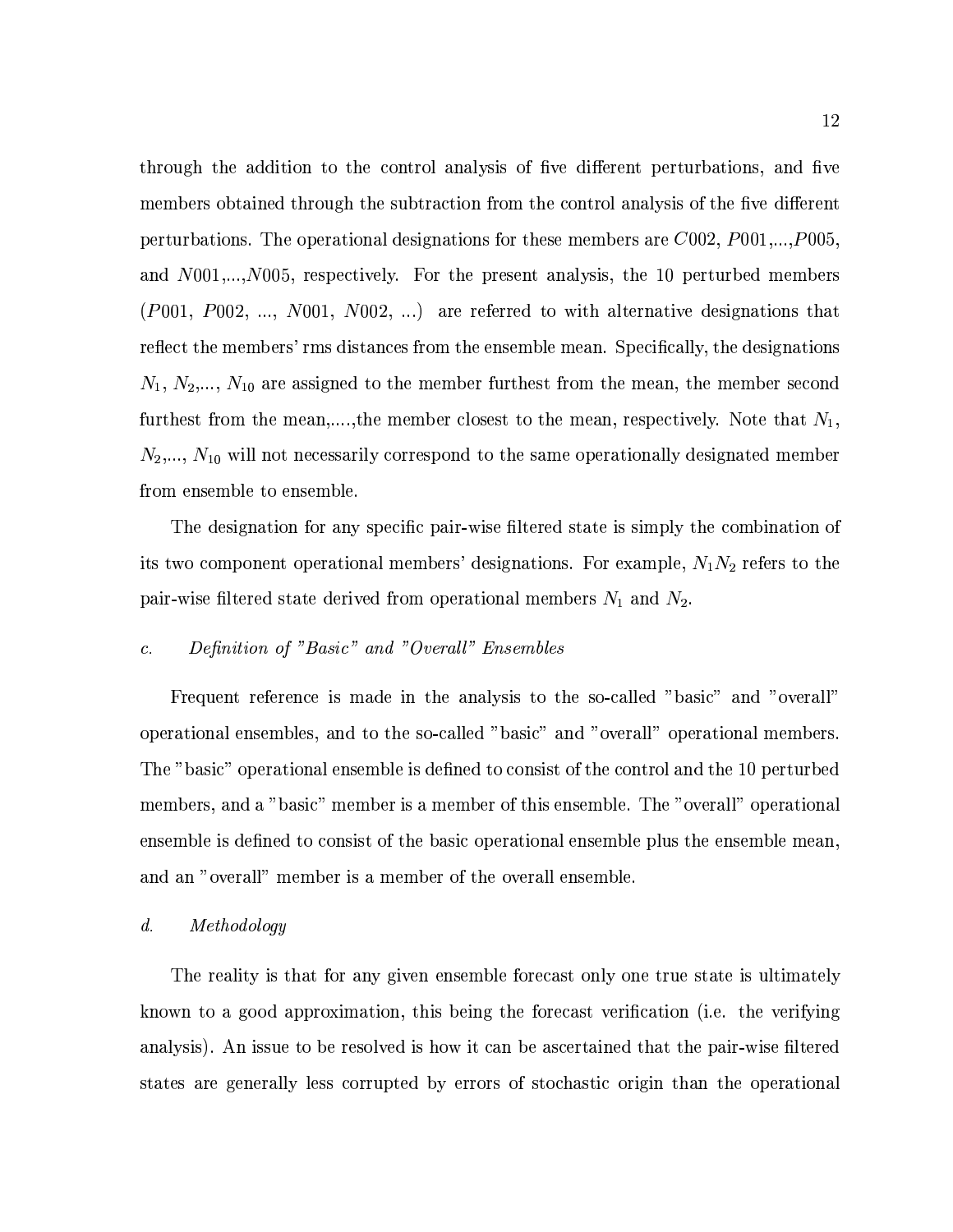through the addition to the control analysis of five different perturbations, and five members obtained through the subtraction from the control analysis of the five different perturbations. The operational designations for these members are  $C002$ ,  $P001,...,P005$ . and  $N001,...,N005$ , respectively. For the present analysis, the 10 perturbed members  $(P001, P002, ..., N001, N002, ...)$  are referred to with alternative designations that reflect the members' rms distances from the ensemble mean. Specifically, the designations  $N_1, N_2, ..., N_{10}$  are assigned to the member furthest from the mean, the member second furthest from the mean,...., the member closest to the mean, respectively. Note that  $N_1$ ,  $N_2,..., N_{10}$  will not necessarily correspond to the same operationally designated member from ensemble to ensemble.

The designation for any specific pair-wise filtered state is simply the combination of its two component operational members' designations. For example,  $N_1N_2$  refers to the pair-wise filtered state derived from operational members  $N_1$  and  $N_2$ .

### Definition of "Basic" and "Overall" Ensembles  $\overline{c}$ .

Frequent reference is made in the analysis to the so-called "basic" and "overall" operational ensembles, and to the so-called "basic" and "overall" operational members. The "basic" operational ensemble is defined to consist of the control and the 10 perturbed members, and a "basic" member is a member of this ensemble. The "overall" operational ensemble is defined to consist of the basic operational ensemble plus the ensemble mean. and an "overall" member is a member of the overall ensemble.

#### $\mathfrak{d}.$  $Methodology$

The reality is that for any given ensemble forecast only one true state is ultimately known to a good approximation, this being the forecast verification (i.e. the verifying analysis). An issue to be resolved is how it can be ascertained that the pair-wise filtered states are generally less corrupted by errors of stochastic origin than the operational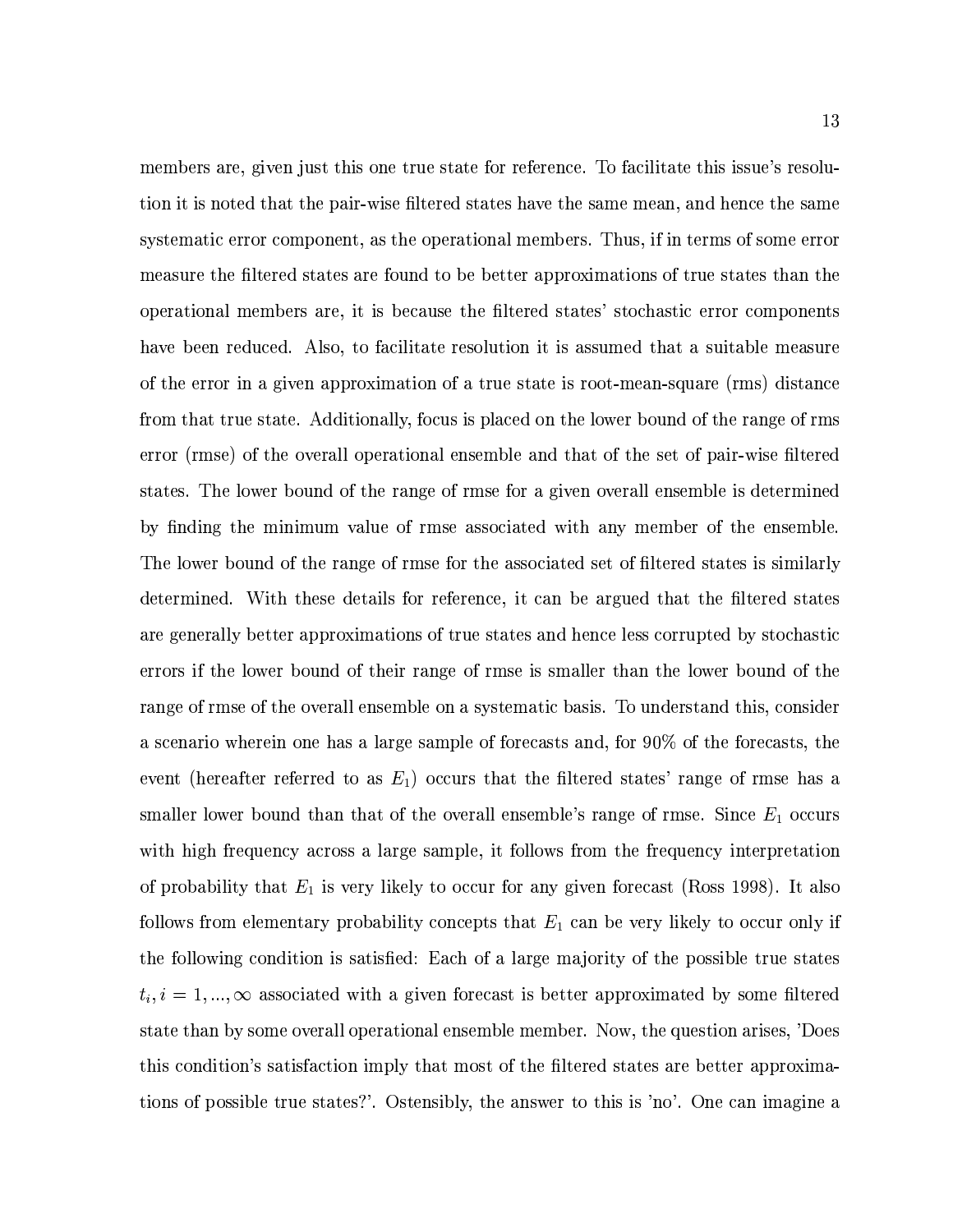members are, given just this one true state for reference. To facilitate this issue's resolution it is noted that the pair-wise filtered states have the same mean, and hence the same systematic error component, as the operational members. Thus, if in terms of some error measure the filtered states are found to be better approximations of true states than the operational members are, it is because the filtered states' stochastic error components have been reduced. Also, to facilitate resolution it is assumed that a suitable measure of the error in a given approximation of a true state is root-mean-square (rms) distance from that true state. Additionally, focus is placed on the lower bound of the range of rms error (rmse) of the overall operational ensemble and that of the set of pair-wise filtered states. The lower bound of the range of rmse for a given overall ensemble is determined by finding the minimum value of rmse associated with any member of the ensemble. The lower bound of the range of rmse for the associated set of filtered states is similarly determined. With these details for reference, it can be argued that the filtered states are generally better approximations of true states and hence less corrupted by stochastic errors if the lower bound of their range of rmse is smaller than the lower bound of the range of rmse of the overall ensemble on a systematic basis. To understand this, consider a scenario wherein one has a large sample of forecasts and, for 90% of the forecasts, the event (hereafter referred to as  $E_1$ ) occurs that the filtered states' range of rmse has a smaller lower bound than that of the overall ensemble's range of rmse. Since  $E_1$  occurs with high frequency across a large sample, it follows from the frequency interpretation of probability that  $E_1$  is very likely to occur for any given forecast (Ross 1998). It also follows from elementary probability concepts that  $E_1$  can be very likely to occur only if the following condition is satisfied: Each of a large majority of the possible true states  $t_i, i = 1, ..., \infty$  associated with a given forecast is better approximated by some filtered state than by some overall operational ensemble member. Now, the question arises, 'Does this condition's satisfaction imply that most of the filtered states are better approximations of possible true states?'. Ostensibly, the answer to this is 'no'. One can imagine a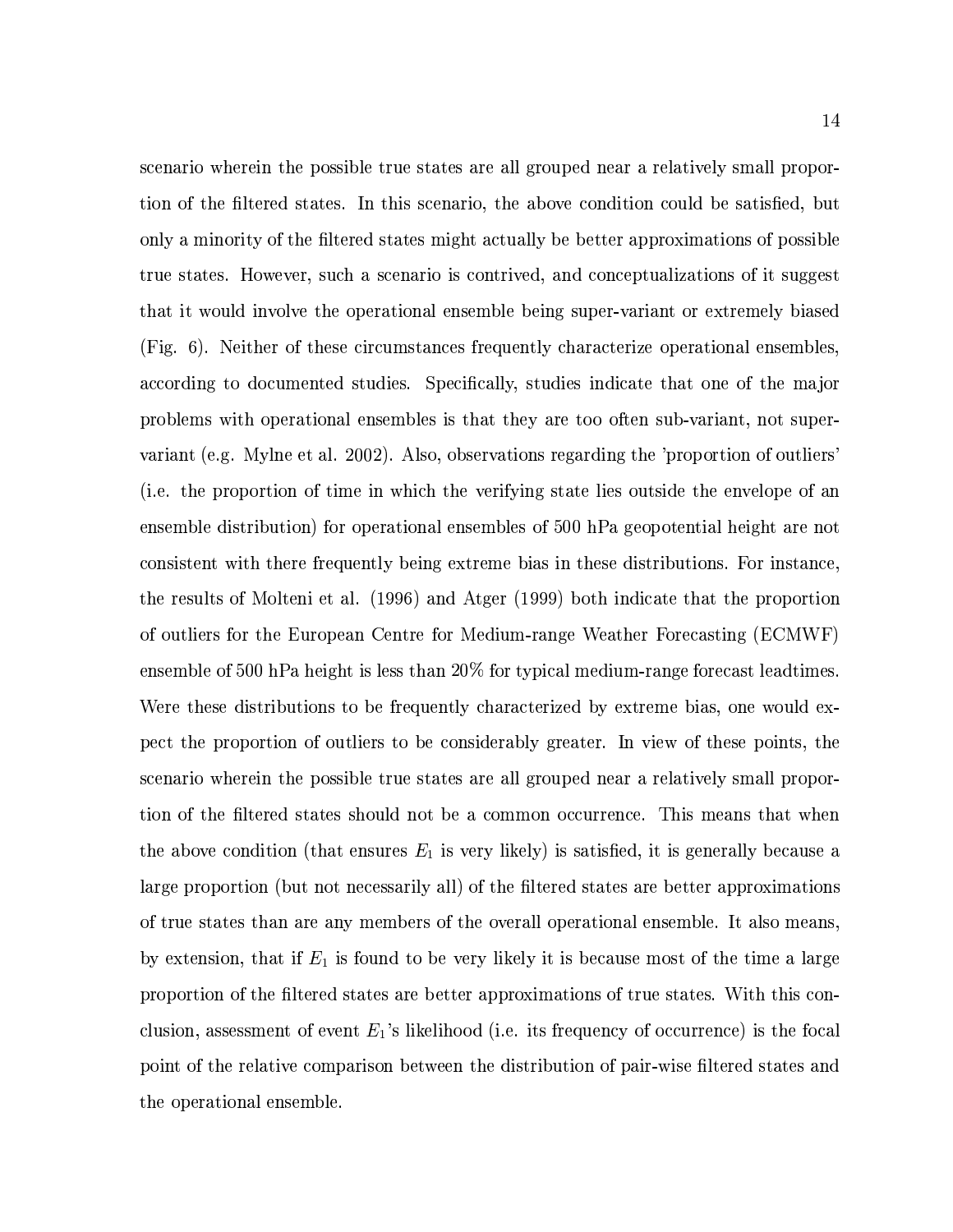scenario wherein the possible true states are all grouped near a relatively small proportion of the filtered states. In this scenario, the above condition could be satisfied, but only a minority of the filtered states might actually be better approximations of possible true states. However, such a scenario is contrived, and conceptualizations of it suggest that it would involve the operational ensemble being super-variant or extremely biased (Fig. 6). Neither of these circumstances frequently characterize operational ensembles, according to documented studies. Specifically, studies indicate that one of the major problems with operational ensembles is that they are too often sub-variant, not supervariant (e.g. Mylne et al. 2002). Also, observations regarding the 'proportion of outliers' (i.e. the proportion of time in which the verifying state lies outside the envelope of an ensemble distribution) for operational ensembles of 500 hPa geopotential height are not consistent with there frequently being extreme bias in these distributions. For instance, the results of Molteni et al. (1996) and Atger (1999) both indicate that the proportion of outliers for the European Centre for Medium-range Weather Forecasting (ECMWF) ensemble of 500 hPa height is less than 20% for typical medium-range forecast leadtimes. Were these distributions to be frequently characterized by extreme bias, one would expect the proportion of outliers to be considerably greater. In view of these points, the scenario wherein the possible true states are all grouped near a relatively small proportion of the filtered states should not be a common occurrence. This means that when the above condition (that ensures  $E_1$  is very likely) is satisfied, it is generally because a large proportion (but not necessarily all) of the filtered states are better approximations of true states than are any members of the overall operational ensemble. It also means, by extension, that if  $E_1$  is found to be very likely it is because most of the time a large proportion of the filtered states are better approximations of true states. With this conclusion, assessment of event  $E_1$ 's likelihood (i.e. its frequency of occurrence) is the focal point of the relative comparison between the distribution of pair-wise filtered states and the operational ensemble.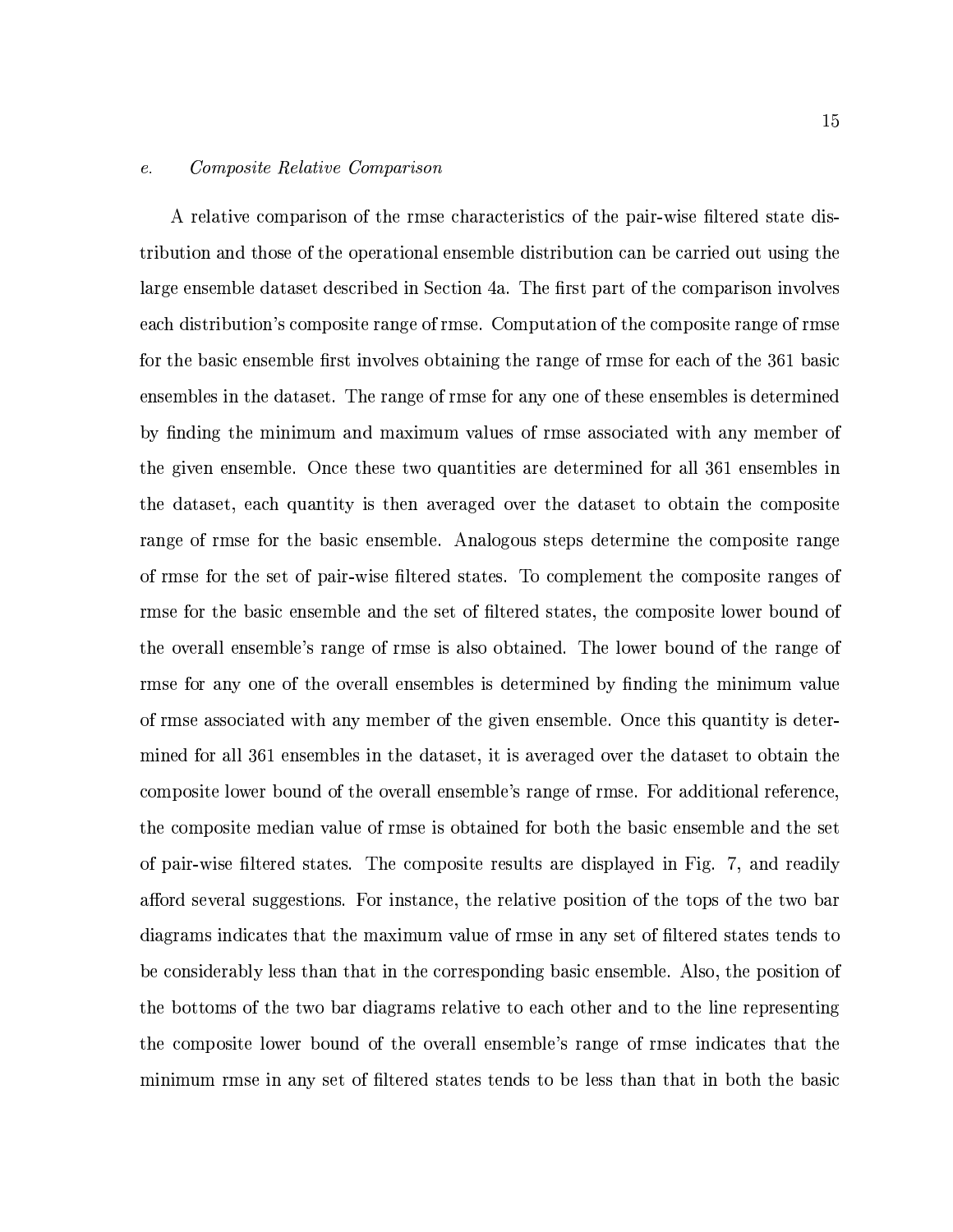#### $e.$ *Composite Relative Comparison*

A relative comparison of the rmse characteristics of the pair-wise filtered state distribution and those of the operational ensemble distribution can be carried out using the large ensemble dataset described in Section 4a. The first part of the comparison involves each distribution's composite range of rmse. Computation of the composite range of rmse for the basic ensemble first involves obtaining the range of rmse for each of the 361 basic ensembles in the dataset. The range of rmse for any one of these ensembles is determined by finding the minimum and maximum values of rmse associated with any member of the given ensemble. Once these two quantities are determined for all 361 ensembles in the dataset, each quantity is then averaged over the dataset to obtain the composite range of rmse for the basic ensemble. Analogous steps determine the composite range of rmse for the set of pair-wise filtered states. To complement the composite ranges of rmse for the basic ensemble and the set of filtered states, the composite lower bound of the overall ensemble's range of rmse is also obtained. The lower bound of the range of rmse for any one of the overall ensembles is determined by finding the minimum value of rmse associated with any member of the given ensemble. Once this quantity is determined for all 361 ensembles in the dataset, it is averaged over the dataset to obtain the composite lower bound of the overall ensemble's range of rmse. For additional reference, the composite median value of rmse is obtained for both the basic ensemble and the set of pair-wise filtered states. The composite results are displayed in Fig. 7, and readily afford several suggestions. For instance, the relative position of the tops of the two bar diagrams indicates that the maximum value of rmse in any set of filtered states tends to be considerably less than that in the corresponding basic ensemble. Also, the position of the bottoms of the two bar diagrams relative to each other and to the line representing the composite lower bound of the overall ensemble's range of rmse indicates that the minimum rmse in any set of filtered states tends to be less than that in both the basic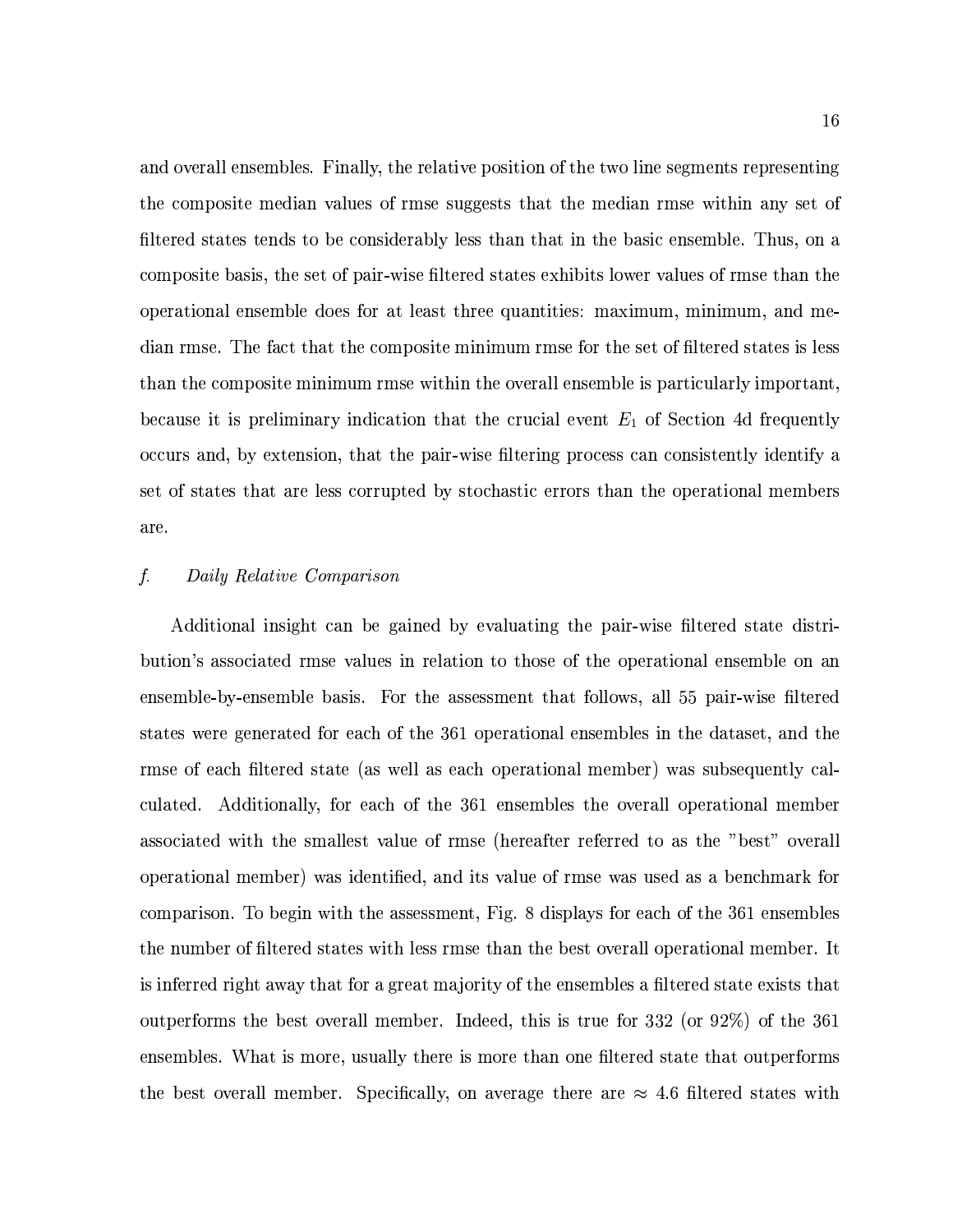and overall ensembles. Finally, the relative position of the two line segments representing the composite median values of rmse suggests that the median rmse within any set of filtered states tends to be considerably less than that in the basic ensemble. Thus, on a composite basis, the set of pair-wise filtered states exhibits lower values of rmse than the operational ensemble does for at least three quantities: maximum, minimum, and median rmse. The fact that the composite minimum rmse for the set of filtered states is less than the composite minimum rmse within the overall ensemble is particularly important, because it is preliminary indication that the crucial event  $E_1$  of Section 4d frequently occurs and, by extension, that the pair-wise filtering process can consistently identify a set of states that are less corrupted by stochastic errors than the operational members are.

#### $f$ . Daily Relative Comparison

Additional insight can be gained by evaluating the pair-wise filtered state distribution's associated rmse values in relation to those of the operational ensemble on an ensemble-by-ensemble basis. For the assessment that follows, all 55 pair-wise filtered states were generated for each of the 361 operational ensembles in the dataset, and the rmse of each filtered state (as well as each operational member) was subsequently calculated. Additionally, for each of the 361 ensembles the overall operational member associated with the smallest value of rmse (hereafter referred to as the "best" overall operational member) was identified, and its value of rmse was used as a benchmark for comparison. To begin with the assessment, Fig. 8 displays for each of the 361 ensembles the number of filtered states with less rmse than the best overall operational member. It is inferred right away that for a great majority of the ensembles a filtered state exists that outperforms the best overall member. Indeed, this is true for 332 (or 92%) of the 361 ensembles. What is more, usually there is more than one filtered state that outperforms the best overall member. Specifically, on average there are  $\approx 4.6$  filtered states with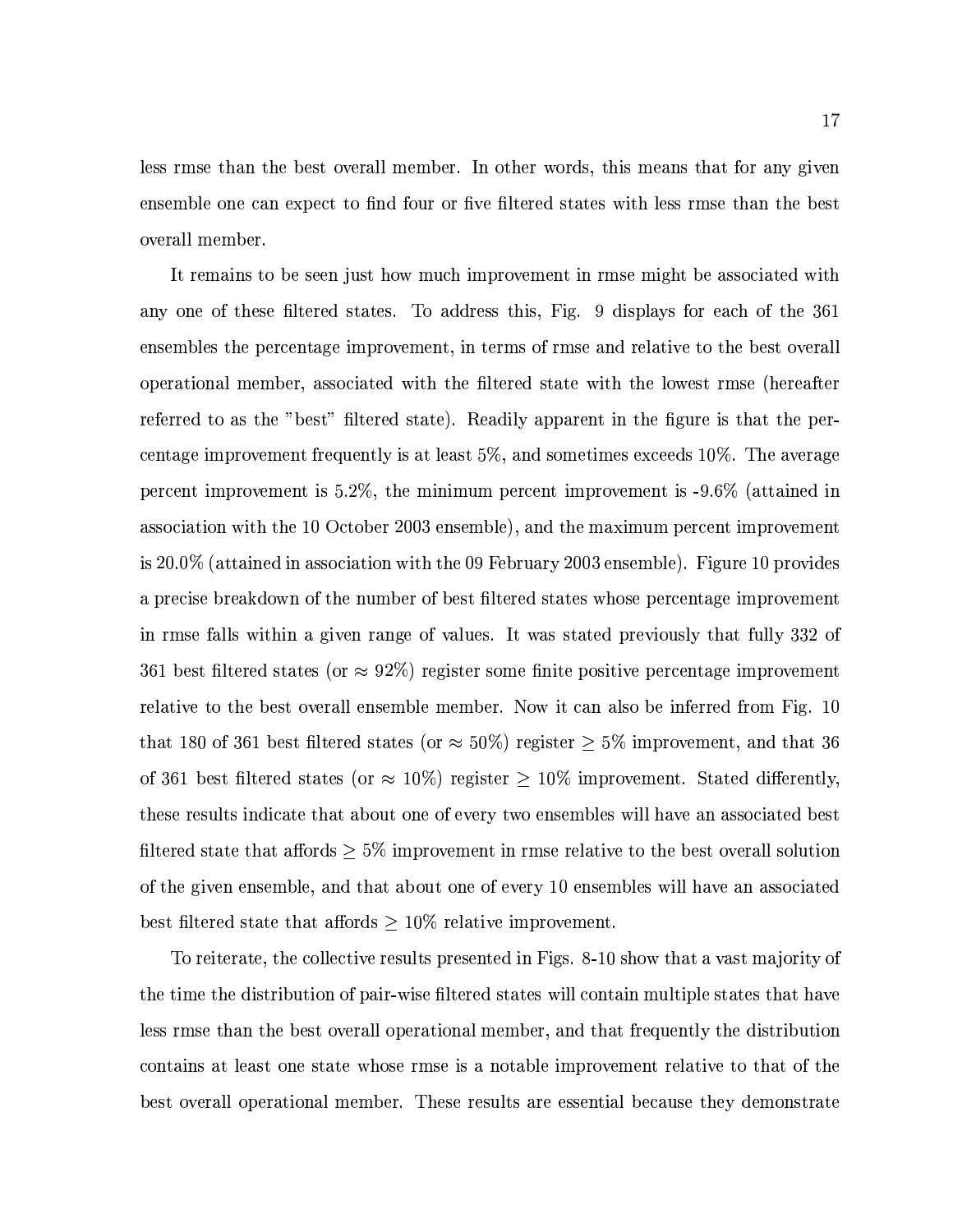less rmse than the best overall member. In other words, this means that for any given ensemble one can expect to find four or five filtered states with less rmse than the best overall member.

It remains to be seen just how much improvement in rmse might be associated with any one of these filtered states. To address this, Fig. 9 displays for each of the 361 ensembles the percentage improvement, in terms of rmse and relative to the best overall operational member, associated with the filtered state with the lowest rmse (hereafter referred to as the "best" filtered state). Readily apparent in the figure is that the percentage improvement frequently is at least  $5\%$ , and sometimes exceeds  $10\%$ . The average percent improvement is 5.2%, the minimum percent improvement is -9.6% (attained in association with the 10 October 2003 ensemble), and the maximum percent improvement is 20.0% (attained in association with the 09 February 2003 ensemble). Figure 10 provides a precise breakdown of the number of best filtered states whose percentage improvement in rmse falls within a given range of values. It was stated previously that fully 332 of 361 best filtered states (or  $\approx 92\%$ ) register some finite positive percentage improvement relative to the best overall ensemble member. Now it can also be inferred from Fig. 10 that 180 of 361 best filtered states (or  $\approx 50\%$ ) register  $\geq 5\%$  improvement, and that 36 of 361 best filtered states (or  $\approx$  10%) register  $\geq$  10% improvement. Stated differently, these results indicate that about one of every two ensembles will have an associated best filtered state that affords  $\geq 5\%$  improvement in rmse relative to the best overall solution of the given ensemble, and that about one of every 10 ensembles will have an associated best filtered state that affords  $\geq 10\%$  relative improvement.

To reiterate, the collective results presented in Figs. 8-10 show that a vast majority of the time the distribution of pair-wise filtered states will contain multiple states that have less rmse than the best overall operational member, and that frequently the distribution contains at least one state whose rmse is a notable improvement relative to that of the best overall operational member. These results are essential because they demonstrate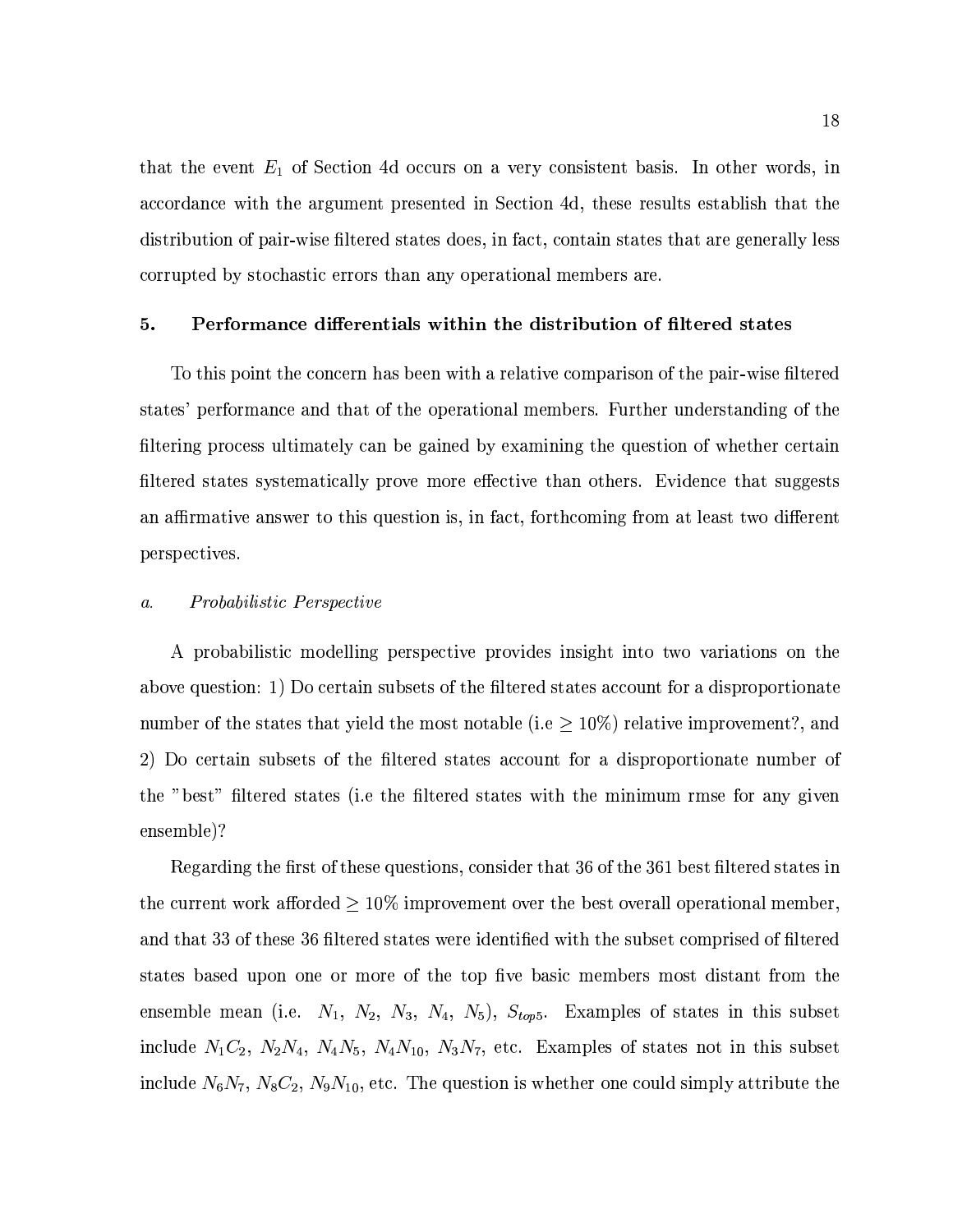that the event  $E_1$  of Section 4d occurs on a very consistent basis. In other words, in accordance with the argument presented in Section 4d, these results establish that the distribution of pair-wise filtered states does, in fact, contain states that are generally less corrupted by stochastic errors than any operational members are.

#### Performance differentials within the distribution of filtered states 5.

To this point the concern has been with a relative comparison of the pair-wise filtered states' performance and that of the operational members. Further understanding of the filtering process ultimately can be gained by examining the question of whether certain filtered states systematically prove more effective than others. Evidence that suggests an affirmative answer to this question is, in fact, forthcoming from at least two different perspectives.

#### *Probabilistic Perspective*  $\mathfrak{a}.$

A probabilistic modelling perspective provides insight into two variations on the above question: 1) Do certain subsets of the filtered states account for a disproportionate number of the states that yield the most notable (i.e  $\geq 10\%$ ) relative improvement?, and 2) Do certain subsets of the filtered states account for a disproportionate number of the "best" filtered states (i.e the filtered states with the minimum rmse for any given ensemble)?

Regarding the first of these questions, consider that 36 of the 361 best filtered states in the current work afforded  $\geq 10\%$  improvement over the best overall operational member, and that 33 of these 36 filtered states were identified with the subset comprised of filtered states based upon one or more of the top five basic members most distant from the ensemble mean (i.e.  $N_1$ ,  $N_2$ ,  $N_3$ ,  $N_4$ ,  $N_5$ ),  $S_{top5}$ . Examples of states in this subset include  $N_1C_2$ ,  $N_2N_4$ ,  $N_4N_5$ ,  $N_4N_{10}$ ,  $N_3N_7$ , etc. Examples of states not in this subset include  $N_6N_7$ ,  $N_8C_2$ ,  $N_9N_{10}$ , etc. The question is whether one could simply attribute the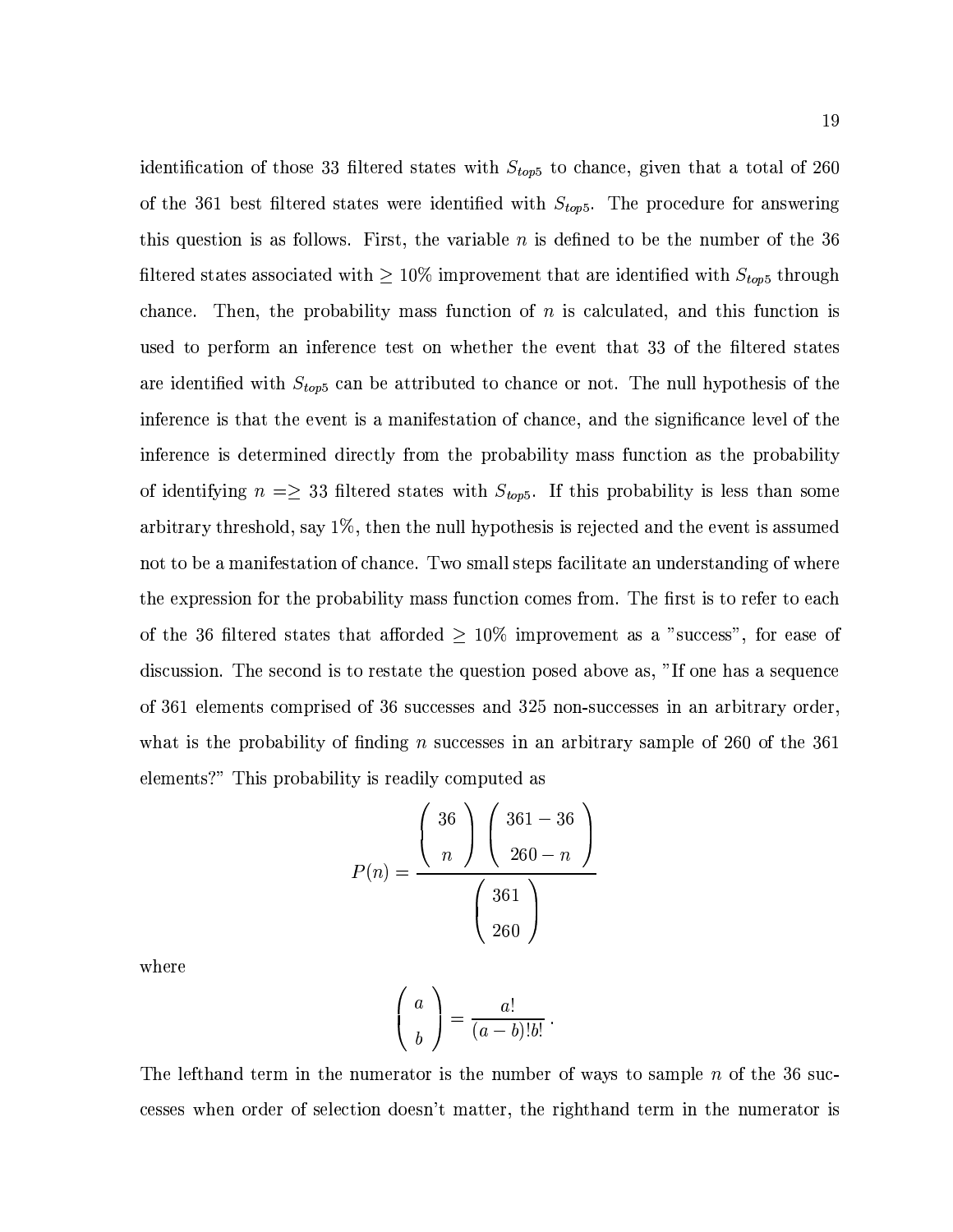identification of those 33 filtered states with  $S_{top5}$  to chance, given that a total of 260 of the 361 best filtered states were identified with  $S_{top5}$ . The procedure for answering this question is as follows. First, the variable  $n$  is defined to be the number of the 36 filtered states associated with  $\geq 10\%$  improvement that are identified with  $S_{top5}$  through chance. Then, the probability mass function of n is calculated, and this function is used to perform an inference test on whether the event that 33 of the filtered states are identified with  $S_{top5}$  can be attributed to chance or not. The null hypothesis of the inference is that the event is a manifestation of chance, and the significance level of the inference is determined directly from the probability mass function as the probability of identifying  $n = \geq 33$  filtered states with  $S_{top5}$ . If this probability is less than some arbitrary threshold, say  $1\%$ , then the null hypothesis is rejected and the event is assumed not to be a manifestation of chance. Two small steps facilitate an understanding of where the expression for the probability mass function comes from. The first is to refer to each of the 36 filtered states that afforded  $\geq 10\%$  improvement as a "success", for ease of discussion. The second is to restate the question posed above as, "If one has a sequence of 361 elements comprised of 36 successes and 325 non-successes in an arbitrary order. what is the probability of finding *n* successes in an arbitrary sample of 260 of the 361 elements?" This probability is readily computed as

$$
P(n) = \frac{\left(\begin{array}{c} 36 \\ n \end{array}\right) \left(\begin{array}{c} 361 - 36 \\ 260 - n \end{array}\right)}{\left(\begin{array}{c} 361 \\ 260 \end{array}\right)}
$$

where

$$
\left(\begin{array}{c}a\\b\end{array}\right)=\frac{a!}{(a-b)!b!}.
$$

The lefthand term in the numerator is the number of ways to sample  $n$  of the 36 successes when order of selection doesn't matter, the righthand term in the numerator is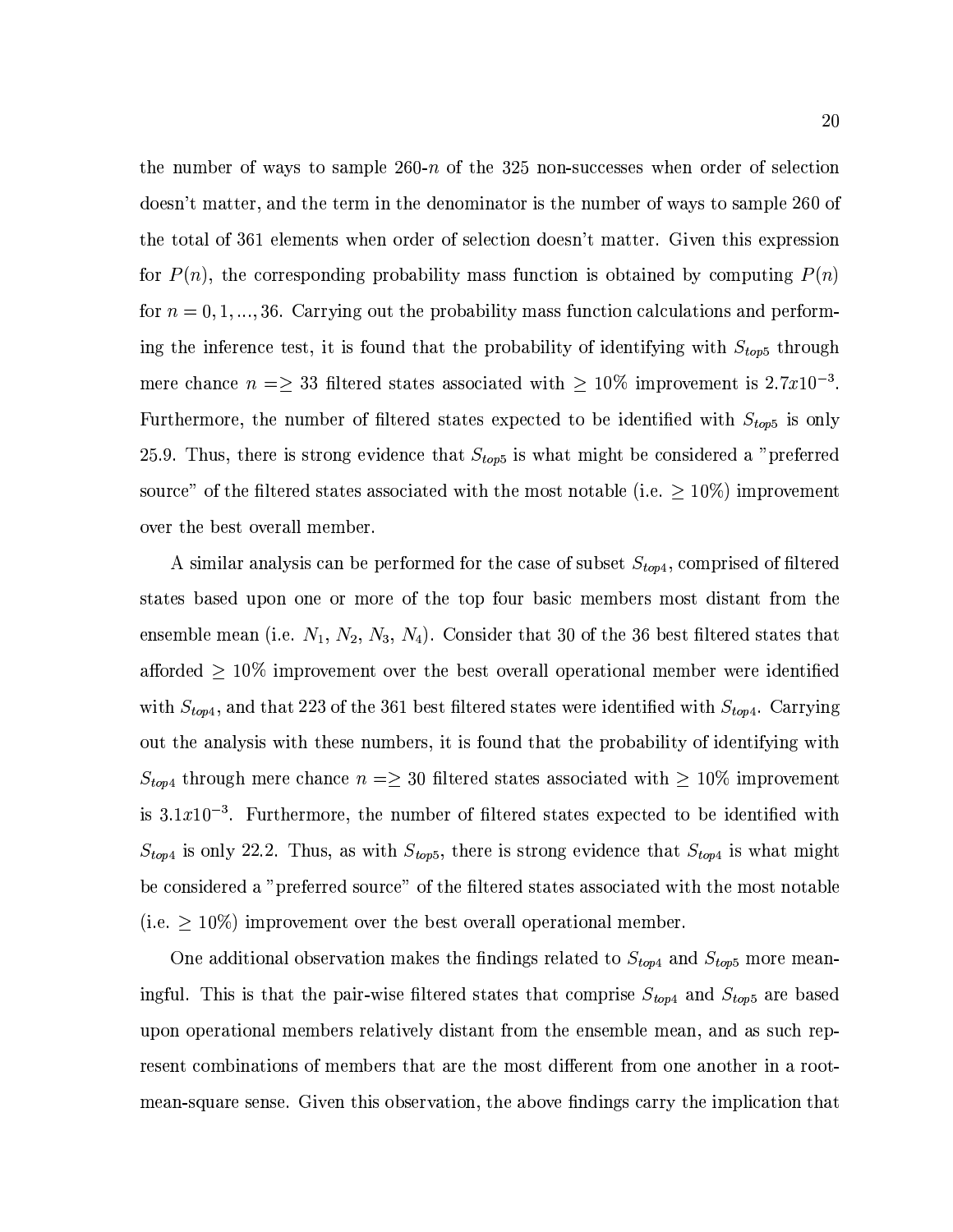the number of ways to sample 260-n of the 325 non-successes when order of selection doesn't matter, and the term in the denominator is the number of ways to sample 260 of the total of 361 elements when order of selection doesn't matter. Given this expression for  $P(n)$ , the corresponding probability mass function is obtained by computing  $P(n)$ for  $n = 0, 1, ..., 36$ . Carrying out the probability mass function calculations and performing the inference test, it is found that the probability of identifying with  $S_{top5}$  through mere chance  $n = \geq 33$  filtered states associated with  $\geq 10\%$  improvement is 2.7x10<sup>-3</sup>. Furthermore, the number of filtered states expected to be identified with  $S_{top5}$  is only 25.9. Thus, there is strong evidence that  $S_{top5}$  is what might be considered a "preferred" source" of the filtered states associated with the most notable (i.e.  $\geq 10\%$ ) improvement over the best overall member.

A similar analysis can be performed for the case of subset  $S_{top4}$ , comprised of filtered states based upon one or more of the top four basic members most distant from the ensemble mean (i.e.  $N_1$ ,  $N_2$ ,  $N_3$ ,  $N_4$ ). Consider that 30 of the 36 best filtered states that afforded  $\geq$  10% improvement over the best overall operational member were identified with  $S_{top4}$ , and that 223 of the 361 best filtered states were identified with  $S_{top4}$ . Carrying out the analysis with these numbers, it is found that the probability of identifying with  $S_{top4}$  through mere chance  $n = \geq 30$  filtered states associated with  $\geq 10\%$  improvement is  $3.1x10^{-3}$ . Furthermore, the number of filtered states expected to be identified with  $S_{top4}$  is only 22.2. Thus, as with  $S_{top5}$ , there is strong evidence that  $S_{top4}$  is what might be considered a "preferred source" of the filtered states associated with the most notable (i.e.  $\geq 10\%$ ) improvement over the best overall operational member.

One additional observation makes the findings related to  $S_{top4}$  and  $S_{top5}$  more meaningful. This is that the pair-wise filtered states that comprise  $S_{top4}$  and  $S_{top5}$  are based upon operational members relatively distant from the ensemble mean, and as such represent combinations of members that are the most different from one another in a rootmean-square sense. Given this observation, the above findings carry the implication that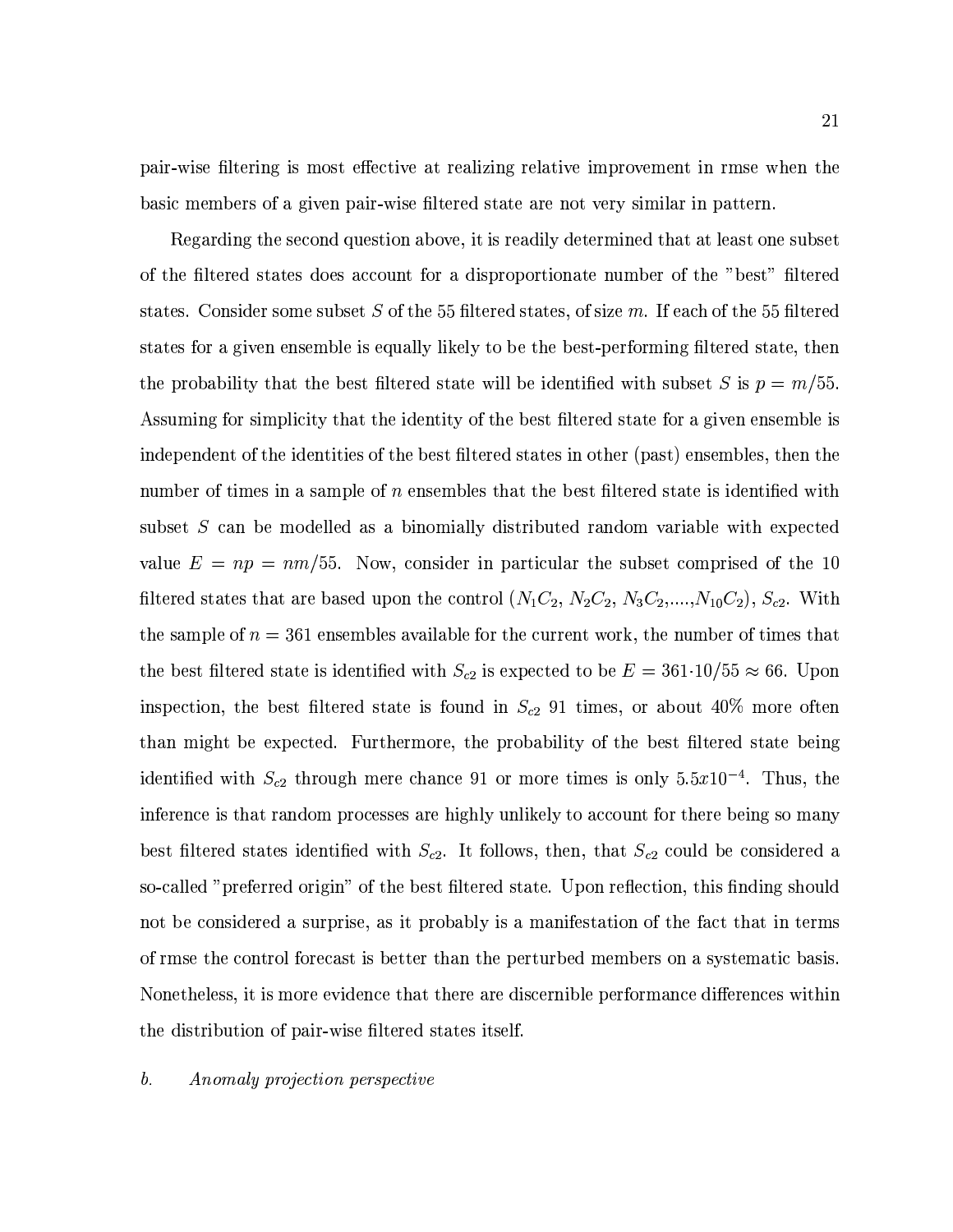pair-wise filtering is most effective at realizing relative improvement in rmse when the basic members of a given pair-wise filtered state are not very similar in pattern.

Regarding the second question above, it is readily determined that at least one subset of the filtered states does account for a disproportionate number of the "best" filtered states. Consider some subset S of the 55 filtered states, of size m. If each of the 55 filtered states for a given ensemble is equally likely to be the best-performing filtered state, then the probability that the best filtered state will be identified with subset S is  $p = m/55$ . Assuming for simplicity that the identity of the best filtered state for a given ensemble is independent of the identities of the best filtered states in other (past) ensembles, then the number of times in a sample of n ensembles that the best filtered state is identified with subset S can be modelled as a binomially distributed random variable with expected value  $E = np = nm/55$ . Now, consider in particular the subset comprised of the 10 filtered states that are based upon the control  $(N_1C_2, N_2C_2, N_3C_2, ..., N_{10}C_2), S_{c2}$ . With the sample of  $n = 361$  ensembles available for the current work, the number of times that the best filtered state is identified with  $S_{c2}$  is expected to be  $E = 361 \cdot 10/55 \approx 66$ . Upon inspection, the best filtered state is found in  $S_{c2}$  91 times, or about 40% more often than might be expected. Furthermore, the probability of the best filtered state being identified with  $S_{c2}$  through mere chance 91 or more times is only 5.5x10<sup>-4</sup>. Thus, the inference is that random processes are highly unlikely to account for there being so many best filtered states identified with  $S_{c2}$ . It follows, then, that  $S_{c2}$  could be considered a so-called "preferred origin" of the best filtered state. Upon reflection, this finding should not be considered a surprise, as it probably is a manifestation of the fact that in terms of rmse the control forecast is better than the perturbed members on a systematic basis. Nonetheless, it is more evidence that there are discernible performance differences within the distribution of pair-wise filtered states itself.

#### $\mathfrak{b}.$ Anomaly projection perspective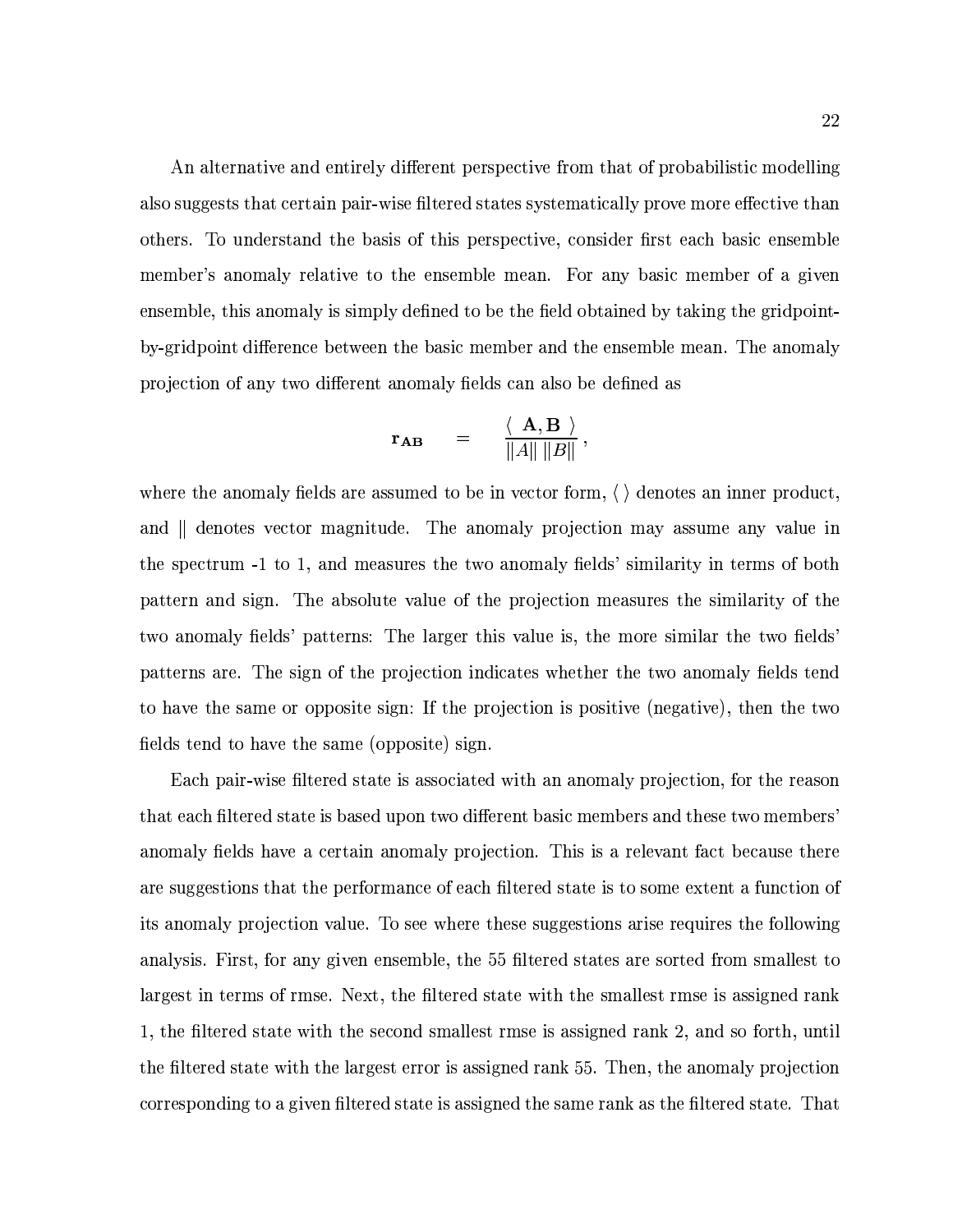An alternative and entirely different perspective from that of probabilistic modelling also suggests that certain pair-wise filtered states systematically prove more effective than others. To understand the basis of this perspective, consider first each basic ensemble member's anomaly relative to the ensemble mean. For any basic member of a given ensemble, this anomaly is simply defined to be the field obtained by taking the gridpointby-gridpoint difference between the basic member and the ensemble mean. The anomaly projection of any two different anomaly fields can also be defined as

$$
\mathbf{r}_{\mathbf{A}\mathbf{B}} = \frac{\langle \mathbf{A}, \mathbf{B} \rangle}{\|A\| \|B\|},
$$

where the anomaly fields are assumed to be in vector form,  $\langle \ \rangle$  denotes an inner product. and denotes vector magnitude. The anomaly projection may assume any value in the spectrum -1 to 1, and measures the two anomaly fields' similarity in terms of both pattern and sign. The absolute value of the projection measures the similarity of the two anomaly fields' patterns: The larger this value is, the more similar the two fields' patterns are. The sign of the projection indicates whether the two anomaly fields tend to have the same or opposite sign: If the projection is positive (negative), then the two fields tend to have the same (opposite) sign.

Each pair-wise filtered state is associated with an anomaly projection, for the reason that each filtered state is based upon two different basic members and these two members anomaly fields have a certain anomaly projection. This is a relevant fact because there are suggestions that the performance of each filtered state is to some extent a function of its anomaly projection value. To see where these suggestions arise requires the following analysis. First, for any given ensemble, the 55 filtered states are sorted from smallest to largest in terms of rmse. Next, the filtered state with the smallest rmse is assigned rank 1, the filtered state with the second smallest rmse is assigned rank 2, and so forth, until the filtered state with the largest error is assigned rank 55. Then, the anomaly projection corresponding to a given filtered state is assigned the same rank as the filtered state. That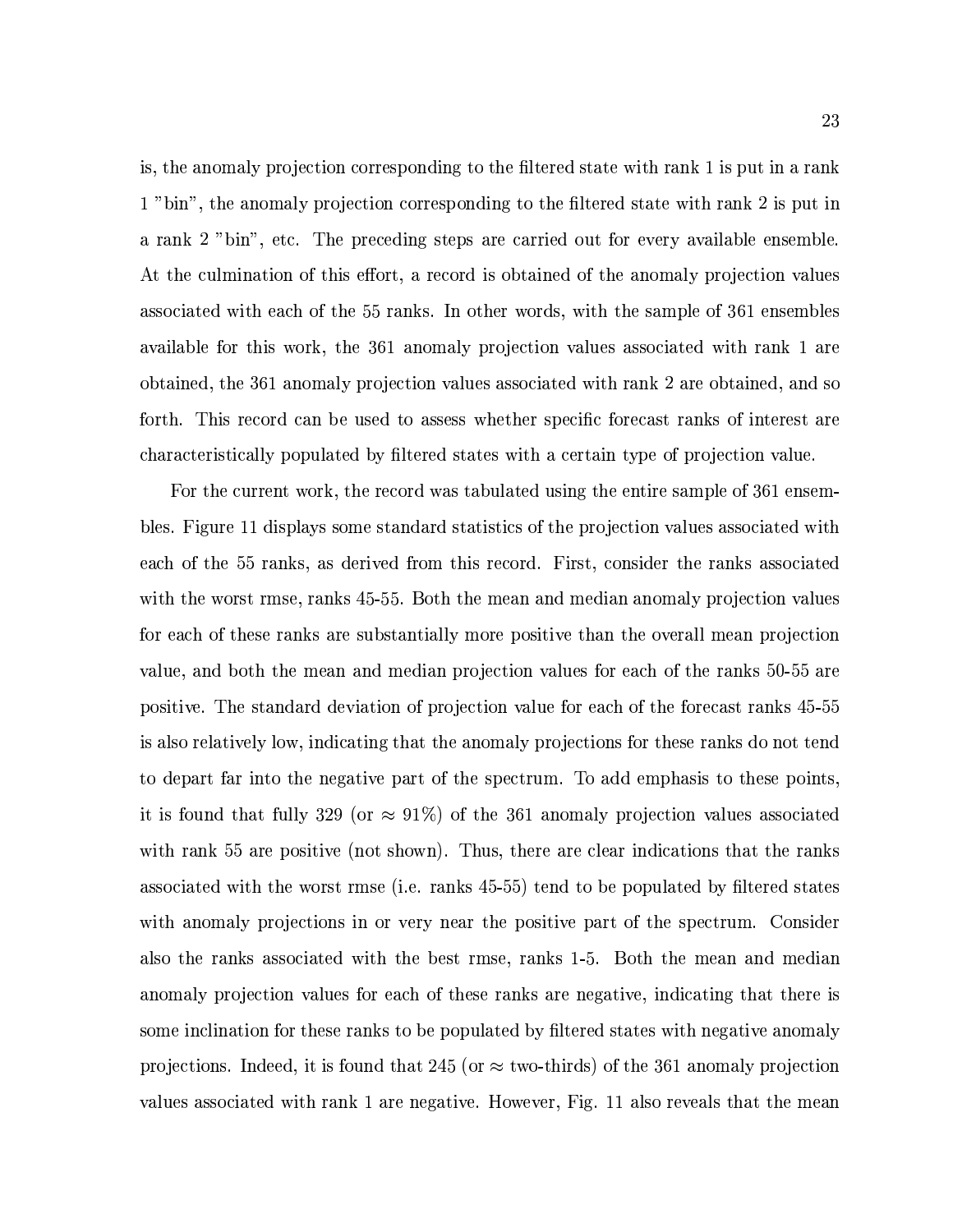is, the anomaly projection corresponding to the filtered state with rank 1 is put in a rank 1 "bin", the anomaly projection corresponding to the filtered state with rank 2 is put in a rank 2 "bin", etc. The preceding steps are carried out for every available ensemble. At the culmination of this effort, a record is obtained of the anomaly projection values associated with each of the 55 ranks. In other words, with the sample of 361 ensembles available for this work, the 361 anomaly projection values associated with rank 1 are obtained, the 361 anomaly projection values associated with rank 2 are obtained, and so forth. This record can be used to assess whether specific forecast ranks of interest are characteristically populated by filtered states with a certain type of projection value.

For the current work, the record was tabulated using the entire sample of 361 ensembles. Figure 11 displays some standard statistics of the projection values associated with each of the 55 ranks, as derived from this record. First, consider the ranks associated with the worst rmse, ranks 45-55. Both the mean and median anomaly projection values for each of these ranks are substantially more positive than the overall mean projection value, and both the mean and median projection values for each of the ranks 50-55 are positive. The standard deviation of projection value for each of the forecast ranks 45-55 is also relatively low, indicating that the anomaly projections for these ranks do not tend to depart far into the negative part of the spectrum. To add emphasis to these points. it is found that fully 329 (or  $\approx 91\%$ ) of the 361 anomaly projection values associated with rank 55 are positive (not shown). Thus, there are clear indications that the ranks associated with the worst rmse (i.e. ranks 45-55) tend to be populated by filtered states with anomaly projections in or very near the positive part of the spectrum. Consider also the ranks associated with the best rmse, ranks 1-5. Both the mean and median anomaly projection values for each of these ranks are negative, indicating that there is some inclination for these ranks to be populated by filtered states with negative anomaly projections. Indeed, it is found that 245 (or  $\approx$  two-thirds) of the 361 anomaly projection values associated with rank 1 are negative. However, Fig. 11 also reveals that the mean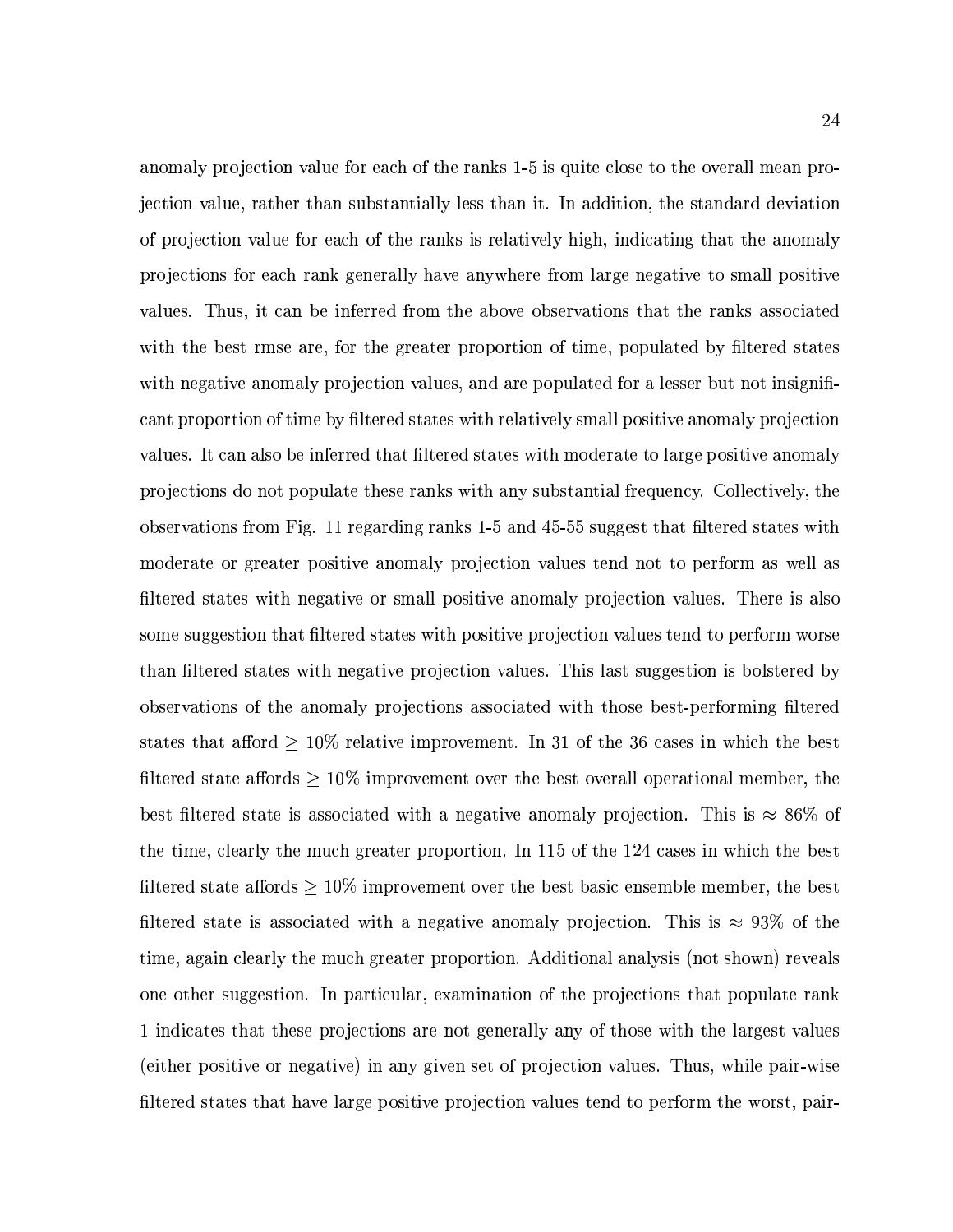anomaly projection value for each of the ranks 1-5 is quite close to the overall mean projection value, rather than substantially less than it. In addition, the standard deviation of projection value for each of the ranks is relatively high, indicating that the anomaly projections for each rank generally have anywhere from large negative to small positive values. Thus, it can be inferred from the above observations that the ranks associated with the best rmse are, for the greater proportion of time, populated by filtered states with negative anomaly projection values, and are populated for a lesser but not insignificant proportion of time by filtered states with relatively small positive anomaly projection values. It can also be inferred that filtered states with moderate to large positive anomaly projections do not populate these ranks with any substantial frequency. Collectively, the observations from Fig. 11 regarding ranks 1-5 and 45-55 suggest that filtered states with moderate or greater positive anomaly projection values tend not to perform as well as filtered states with negative or small positive anomaly projection values. There is also some suggestion that filtered states with positive projection values tend to perform worse than filtered states with negative projection values. This last suggestion is bolstered by observations of the anomaly projections associated with those best-performing filtered states that afford  $\geq 10\%$  relative improvement. In 31 of the 36 cases in which the best filtered state affords  $\geq 10\%$  improvement over the best overall operational member, the best filtered state is associated with a negative anomaly projection. This is  $\approx 86\%$  of the time, clearly the much greater proportion. In 115 of the 124 cases in which the best filtered state affords  $\geq 10\%$  improvement over the best basic ensemble member, the best filtered state is associated with a negative anomaly projection. This is  $\approx 93\%$  of the time, again clearly the much greater proportion. Additional analysis (not shown) reveals one other suggestion. In particular, examination of the projections that populate rank 1 indicates that these projections are not generally any of those with the largest values (either positive or negative) in any given set of projection values. Thus, while pair-wise filtered states that have large positive projection values tend to perform the worst, pair-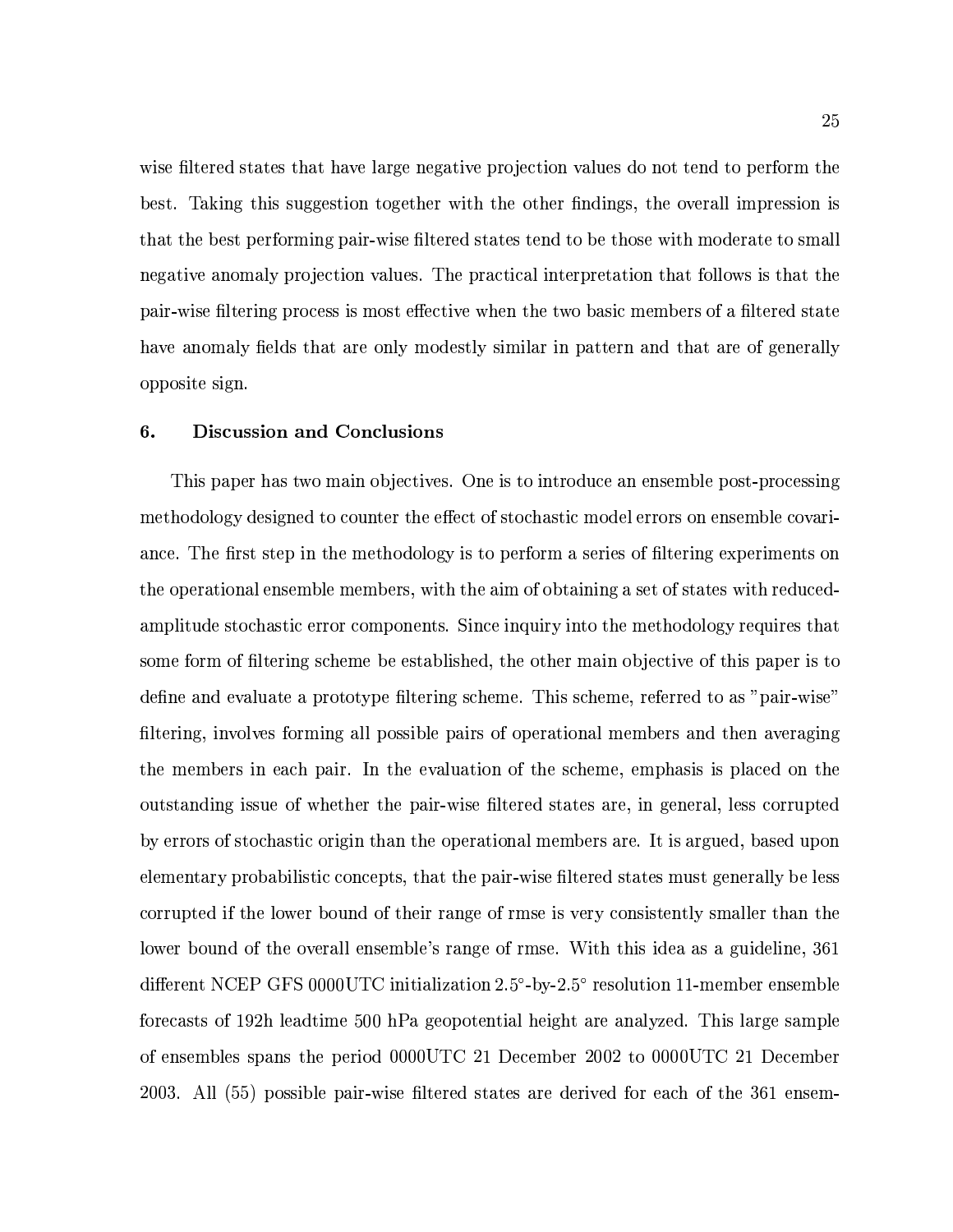wise filtered states that have large negative projection values do not tend to perform the best. Taking this suggestion together with the other findings, the overall impression is that the best performing pair-wise filtered states tend to be those with moderate to small negative anomaly projection values. The practical interpretation that follows is that the pair-wise filtering process is most effective when the two basic members of a filtered state have anomaly fields that are only modestly similar in pattern and that are of generally opposite sign.

#### 6. **Discussion and Conclusions**

This paper has two main objectives. One is to introduce an ensemble post-processing methodology designed to counter the effect of stochastic model errors on ensemble covariance. The first step in the methodology is to perform a series of filtering experiments on the operational ensemble members, with the aim of obtaining a set of states with reducedamplitude stochastic error components. Since inquiry into the methodology requires that some form of filtering scheme be established, the other main objective of this paper is to define and evaluate a prototype filtering scheme. This scheme, referred to as "pair-wise" filtering, involves forming all possible pairs of operational members and then averaging the members in each pair. In the evaluation of the scheme, emphasis is placed on the outstanding issue of whether the pair-wise filtered states are, in general, less corrupted by errors of stochastic origin than the operational members are. It is argued, based upon elementary probabilistic concepts, that the pair-wise filtered states must generally be less corrupted if the lower bound of their range of rmse is very consistently smaller than the lower bound of the overall ensemble's range of rmse. With this idea as a guideline, 361 different NCEP GFS 0000UTC initialization 2.5°-by-2.5° resolution 11-member ensemble forecasts of 192h leadtime 500 hPa geopotential height are analyzed. This large sample of ensembles spans the period 0000UTC 21 December 2002 to 0000UTC 21 December 2003. All (55) possible pair-wise filtered states are derived for each of the 361 ensem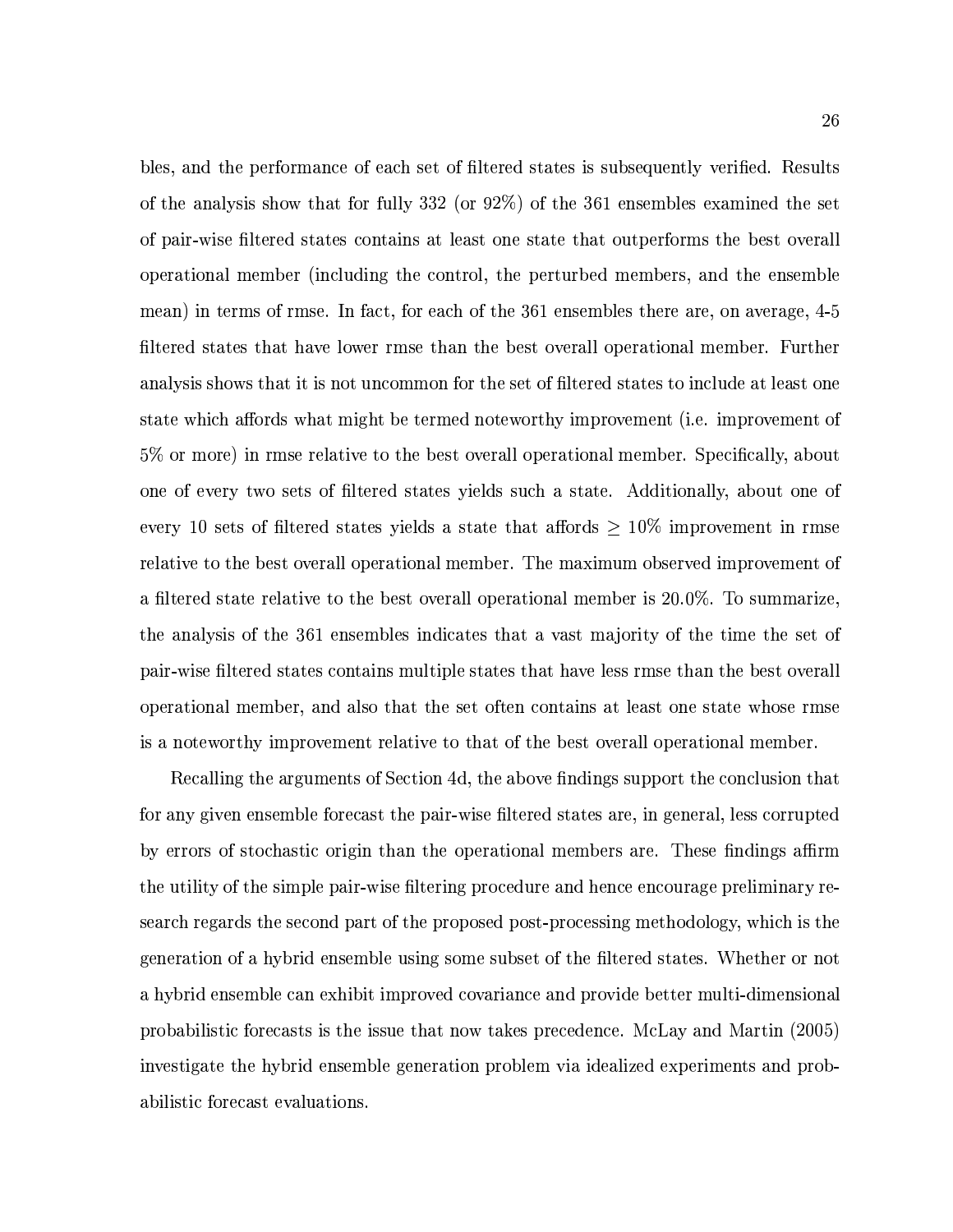bles, and the performance of each set of filtered states is subsequently verified. Results of the analysis show that for fully 332 (or  $92\%$ ) of the 361 ensembles examined the set of pair-wise filtered states contains at least one state that outperforms the best overall operational member (including the control, the perturbed members, and the ensemble mean) in terms of rmse. In fact, for each of the 361 ensembles there are, on average, 4-5 filtered states that have lower rmse than the best overall operational member. Further analysis shows that it is not uncommon for the set of filtered states to include at least one state which affords what might be termed noteworthy improvement (i.e. improvement of 5% or more) in rmse relative to the best overall operational member. Specifically, about one of every two sets of filtered states yields such a state. Additionally, about one of every 10 sets of filtered states yields a state that affords  $\geq 10\%$  improvement in rmse relative to the best overall operational member. The maximum observed improvement of a filtered state relative to the best overall operational member is 20.0%. To summarize. the analysis of the 361 ensembles indicates that a vast majority of the time the set of pair-wise filtered states contains multiple states that have less rmse than the best overall operational member, and also that the set often contains at least one state whose rmse is a noteworthy improvement relative to that of the best overall operational member.

Recalling the arguments of Section 4d, the above findings support the conclusion that for any given ensemble forecast the pair-wise filtered states are, in general, less corrupted by errors of stochastic origin than the operational members are. These findings affirm the utility of the simple pair-wise filtering procedure and hence encourage preliminary research regards the second part of the proposed post-processing methodology, which is the generation of a hybrid ensemble using some subset of the filtered states. Whether or not a hybrid ensemble can exhibit improved covariance and provide better multi-dimensional probabilistic forecasts is the issue that now takes precedence. McLay and Martin (2005) investigate the hybrid ensemble generation problem via idealized experiments and probabilistic forecast evaluations.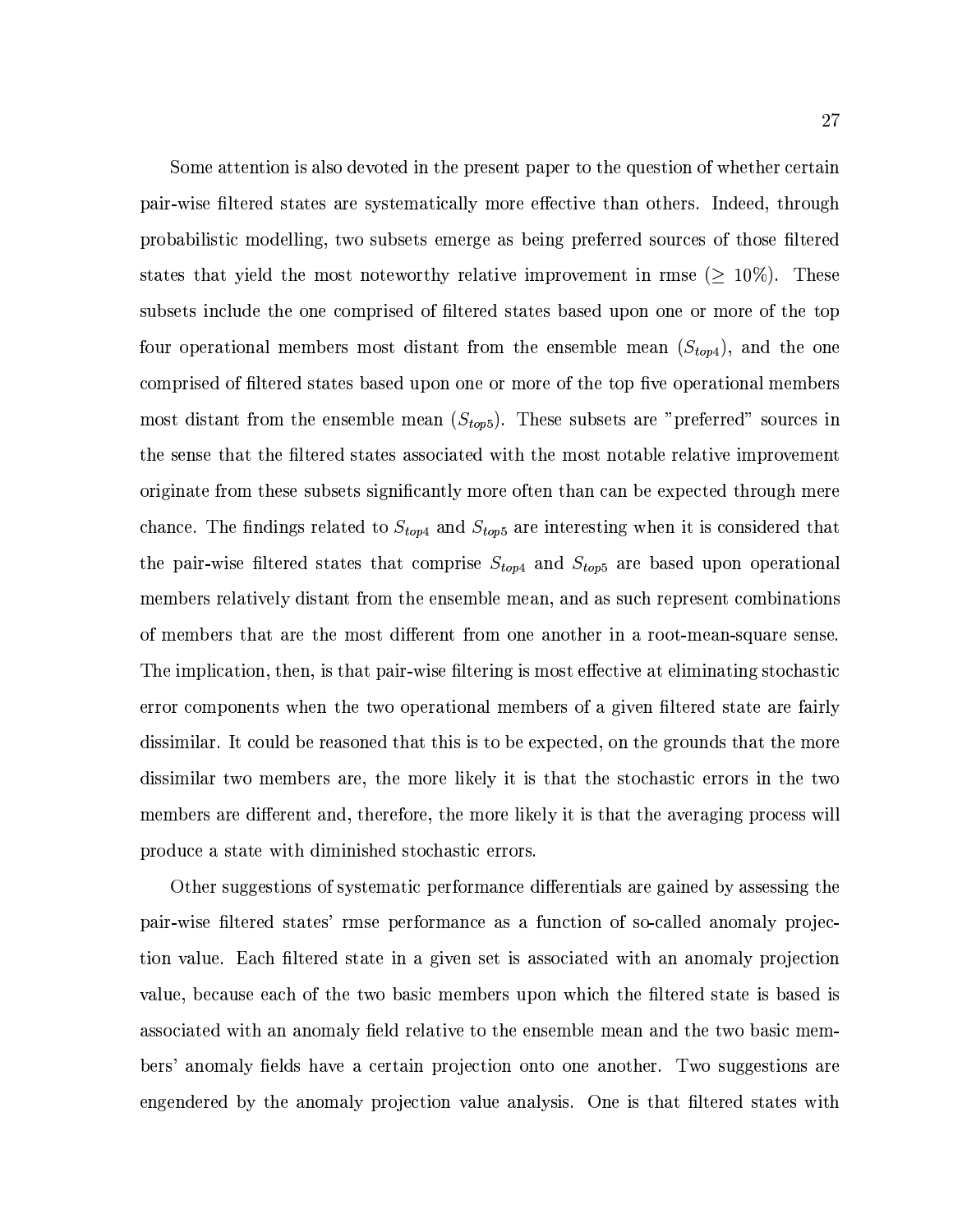Some attention is also devoted in the present paper to the question of whether certain pair-wise filtered states are systematically more effective than others. Indeed, through probabilistic modelling, two subsets emerge as being preferred sources of those filtered states that yield the most noteworthy relative improvement in rmse ( $\geq 10\%$ ). These subsets include the one comprised of filtered states based upon one or more of the top four operational members most distant from the ensemble mean  $(S_{top4})$ , and the one comprised of filtered states based upon one or more of the top five operational members most distant from the ensemble mean  $(S_{top5})$ . These subsets are "preferred" sources in the sense that the filtered states associated with the most notable relative improvement originate from these subsets significantly more often than can be expected through mere chance. The findings related to  $S_{top4}$  and  $S_{top5}$  are interesting when it is considered that the pair-wise filtered states that comprise  $S_{top4}$  and  $S_{top5}$  are based upon operational members relatively distant from the ensemble mean, and as such represent combinations of members that are the most different from one another in a root-mean-square sense. The implication, then, is that pair-wise filtering is most effective at eliminating stochastic error components when the two operational members of a given filtered state are fairly dissimilar. It could be reasoned that this is to be expected, on the grounds that the more dissimilar two members are, the more likely it is that the stochastic errors in the two members are different and, therefore, the more likely it is that the averaging process will produce a state with diminished stochastic errors.

Other suggestions of systematic performance differentials are gained by assessing the pair-wise filtered states' rmse performance as a function of so-called anomaly projection value. Each filtered state in a given set is associated with an anomaly projection value, because each of the two basic members upon which the filtered state is based is associated with an anomaly field relative to the ensemble mean and the two basic members' anomaly fields have a certain projection onto one another. Two suggestions are engendered by the anomaly projection value analysis. One is that filtered states with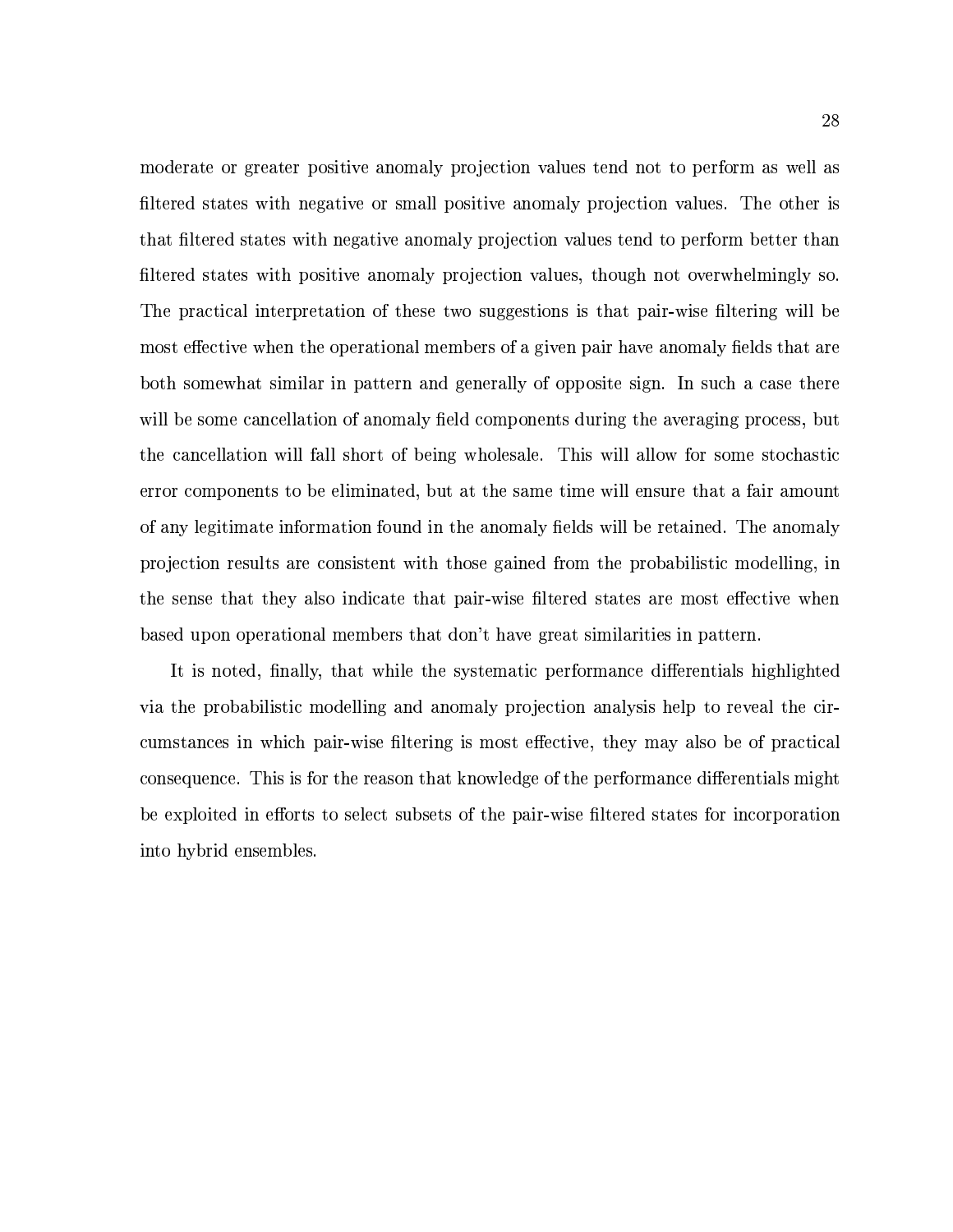moderate or greater positive anomaly projection values tend not to perform as well as filtered states with negative or small positive anomaly projection values. The other is that filtered states with negative anomaly projection values tend to perform better than filtered states with positive anomaly projection values, though not overwhelmingly so. The practical interpretation of these two suggestions is that pair-wise filtering will be most effective when the operational members of a given pair have anomaly fields that are both somewhat similar in pattern and generally of opposite sign. In such a case there will be some cancellation of anomaly field components during the averaging process, but the cancellation will fall short of being wholesale. This will allow for some stochastic error components to be eliminated, but at the same time will ensure that a fair amount of any legitimate information found in the anomaly fields will be retained. The anomaly projection results are consistent with those gained from the probabilistic modelling, in the sense that they also indicate that pair-wise filtered states are most effective when based upon operational members that don't have great similarities in pattern.

It is noted, finally, that while the systematic performance differentials highlighted via the probabilistic modelling and anomaly projection analysis help to reveal the circumstances in which pair-wise filtering is most effective, they may also be of practical consequence. This is for the reason that knowledge of the performance differentials might be exploited in efforts to select subsets of the pair-wise filtered states for incorporation into hybrid ensembles.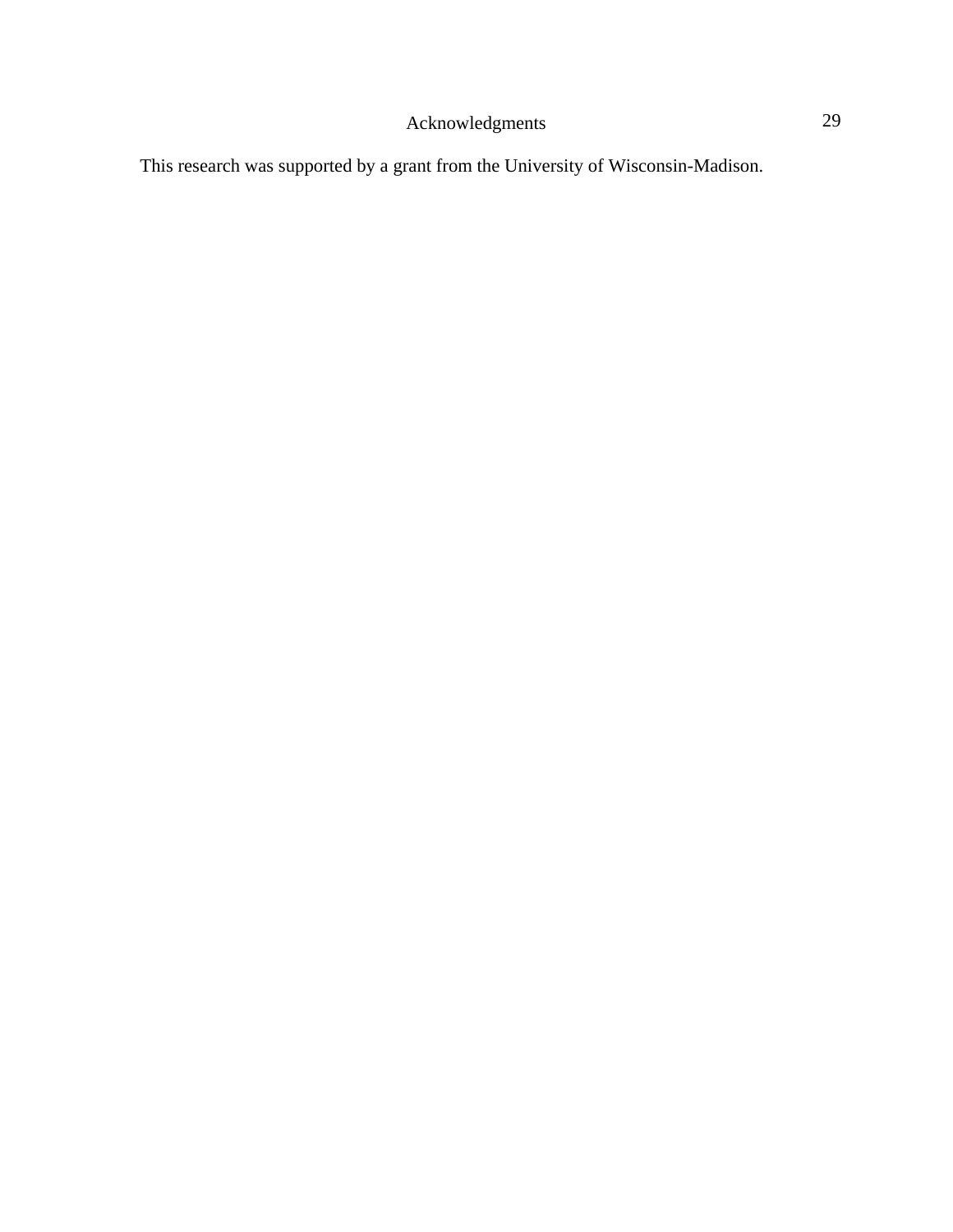## Acknowledgments 29

This research was supported by a grant from the University of Wisconsin-Madison.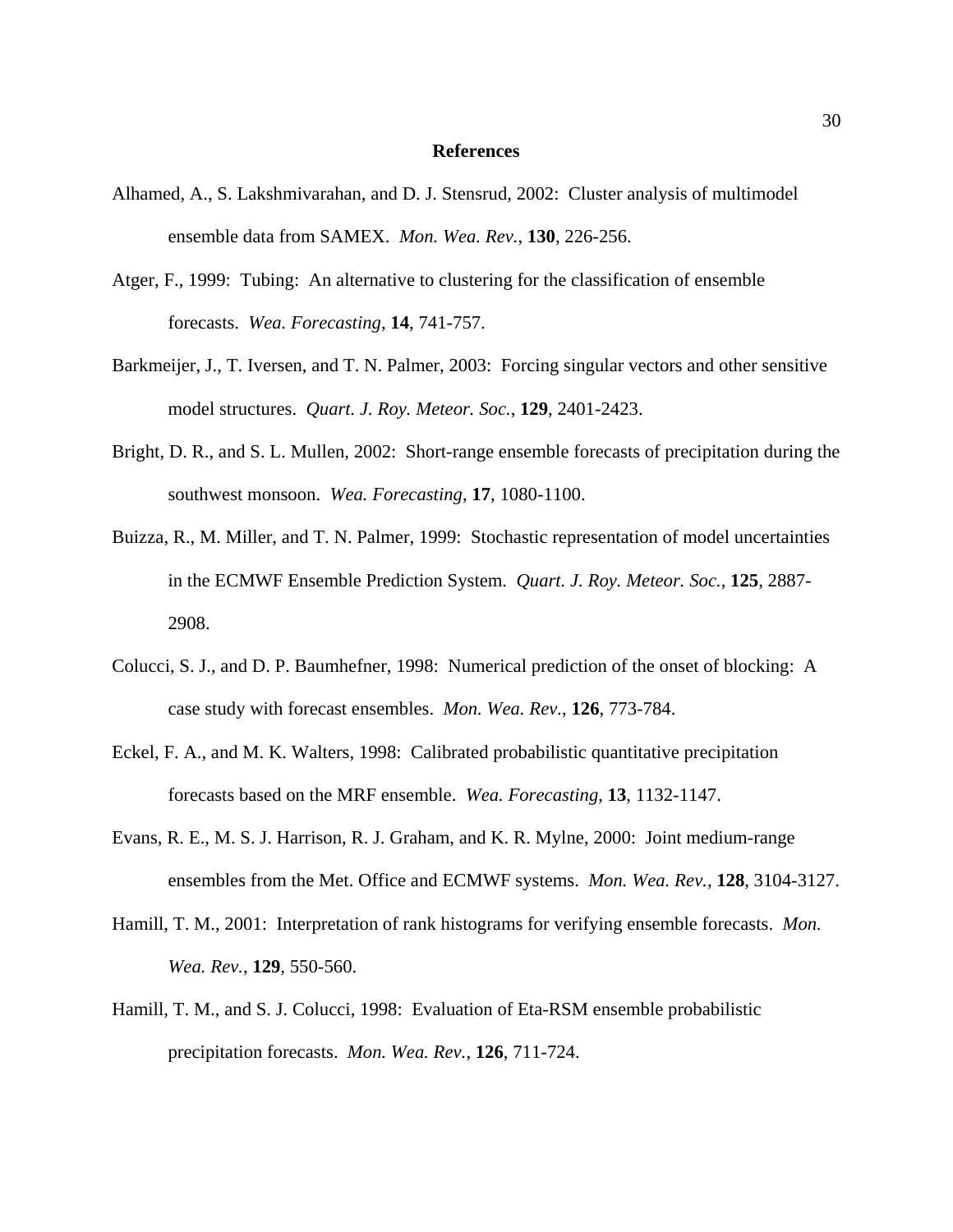## **References**

- Alhamed, A., S. Lakshmivarahan, and D. J. Stensrud, 2002: Cluster analysis of multimodel ensemble data from SAMEX. *Mon. Wea. Rev.*, **130**, 226-256.
- Atger, F., 1999: Tubing: An alternative to clustering for the classification of ensemble forecasts. *Wea. Forecasting*, **14**, 741-757.
- Barkmeijer, J., T. Iversen, and T. N. Palmer, 2003: Forcing singular vectors and other sensitive model structures. *Quart. J. Roy. Meteor. Soc.*, **129**, 2401-2423.
- Bright, D. R., and S. L. Mullen, 2002: Short-range ensemble forecasts of precipitation during the southwest monsoon. *Wea. Forecasting*, **17**, 1080-1100.
- Buizza, R., M. Miller, and T. N. Palmer, 1999: Stochastic representation of model uncertainties in the ECMWF Ensemble Prediction System. *Quart. J. Roy. Meteor. Soc.*, **125**, 2887- 2908.
- Colucci, S. J., and D. P. Baumhefner, 1998: Numerical prediction of the onset of blocking: A case study with forecast ensembles. *Mon. Wea. Rev.*, **126**, 773-784.
- Eckel, F. A., and M. K. Walters, 1998: Calibrated probabilistic quantitative precipitation forecasts based on the MRF ensemble. *Wea. Forecasting*, **13**, 1132-1147.
- Evans, R. E., M. S. J. Harrison, R. J. Graham, and K. R. Mylne, 2000: Joint medium-range ensembles from the Met. Office and ECMWF systems. *Mon. Wea. Rev.*, **128**, 3104-3127.
- Hamill, T. M., 2001: Interpretation of rank histograms for verifying ensemble forecasts. *Mon. Wea. Rev.*, **129**, 550-560.
- Hamill, T. M., and S. J. Colucci, 1998: Evaluation of Eta-RSM ensemble probabilistic precipitation forecasts. *Mon. Wea. Rev.*, **126**, 711-724.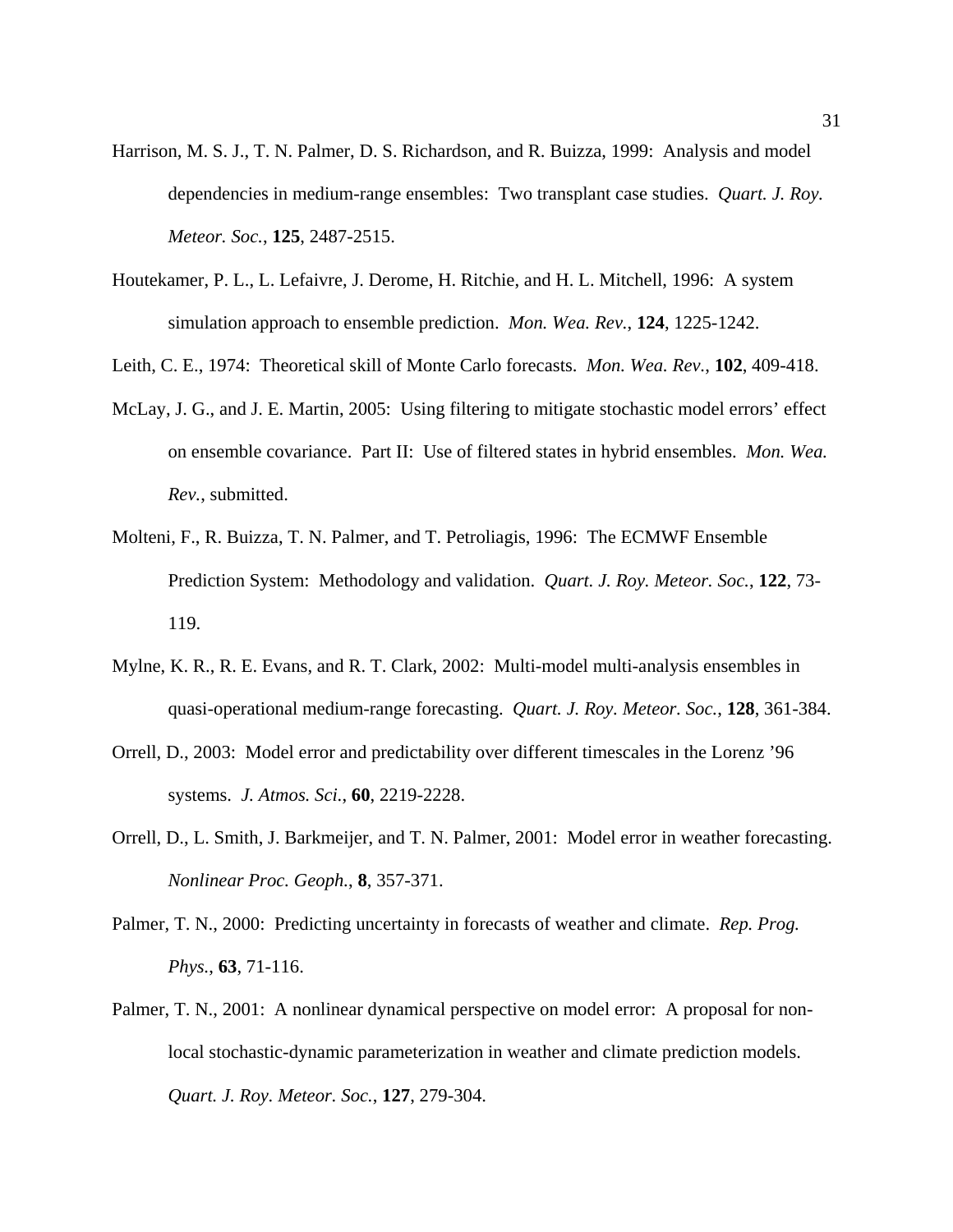- Harrison, M. S. J., T. N. Palmer, D. S. Richardson, and R. Buizza, 1999: Analysis and model dependencies in medium-range ensembles: Two transplant case studies. *Quart. J. Roy. Meteor. Soc.*, **125**, 2487-2515.
- Houtekamer, P. L., L. Lefaivre, J. Derome, H. Ritchie, and H. L. Mitchell, 1996: A system simulation approach to ensemble prediction. *Mon. Wea. Rev.*, **124**, 1225-1242.
- Leith, C. E., 1974: Theoretical skill of Monte Carlo forecasts. *Mon. Wea. Rev.*, **102**, 409-418.
- McLay, J. G., and J. E. Martin, 2005: Using filtering to mitigate stochastic model errors' effect on ensemble covariance. Part II: Use of filtered states in hybrid ensembles. *Mon. Wea. Rev.*, submitted.
- Molteni, F., R. Buizza, T. N. Palmer, and T. Petroliagis, 1996: The ECMWF Ensemble Prediction System: Methodology and validation. *Quart. J. Roy. Meteor. Soc.*, **122**, 73- 119.
- Mylne, K. R., R. E. Evans, and R. T. Clark, 2002: Multi-model multi-analysis ensembles in quasi-operational medium-range forecasting. *Quart. J. Roy. Meteor. Soc.*, **128**, 361-384.
- Orrell, D., 2003: Model error and predictability over different timescales in the Lorenz '96 systems. *J. Atmos. Sci.*, **60**, 2219-2228.
- Orrell, D., L. Smith, J. Barkmeijer, and T. N. Palmer, 2001: Model error in weather forecasting. *Nonlinear Proc. Geoph.*, **8**, 357-371.
- Palmer, T. N., 2000: Predicting uncertainty in forecasts of weather and climate. *Rep. Prog. Phys.*, **63**, 71-116.
- Palmer, T. N., 2001: A nonlinear dynamical perspective on model error: A proposal for nonlocal stochastic-dynamic parameterization in weather and climate prediction models. *Quart. J. Roy. Meteor. Soc.*, **127**, 279-304.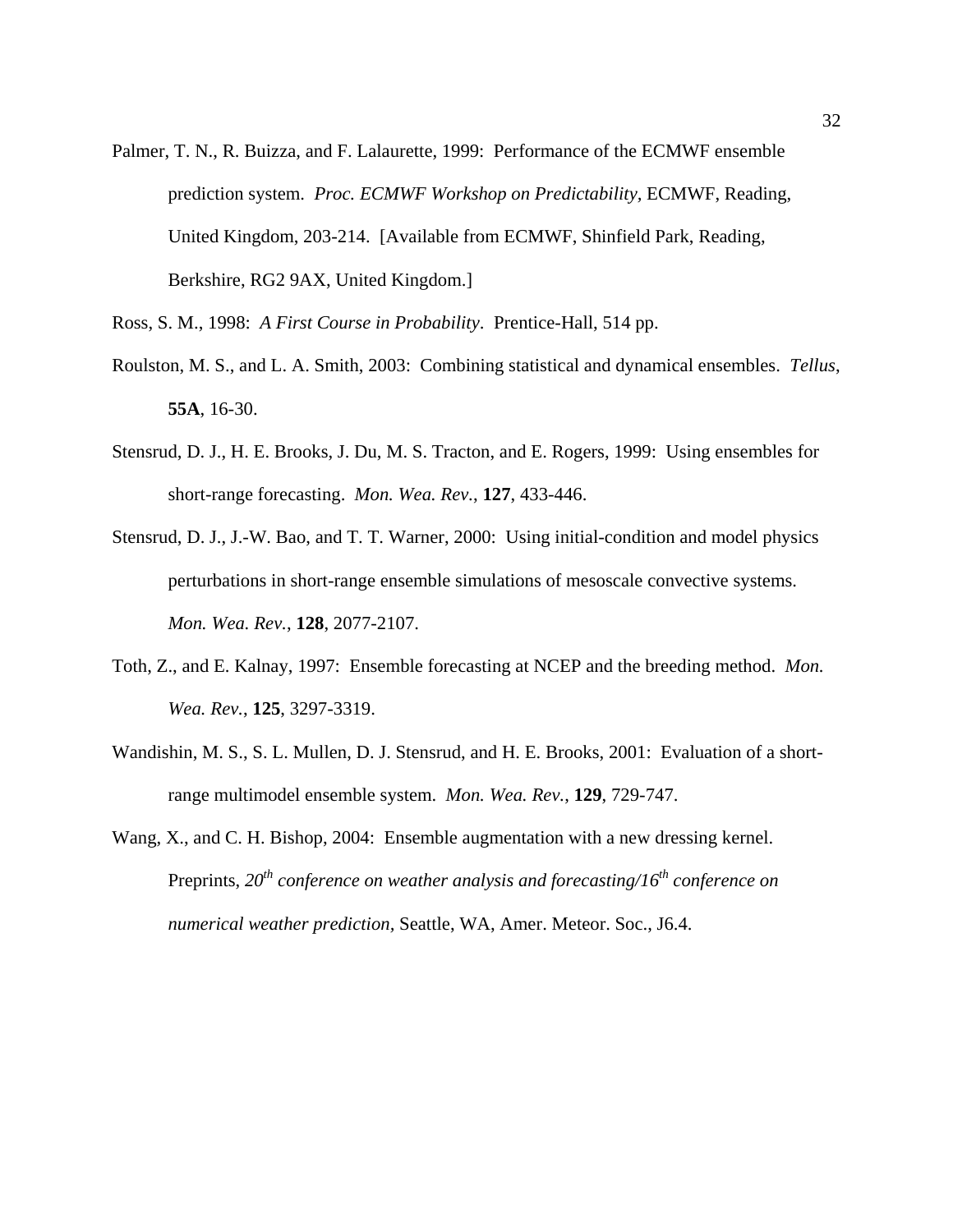- Palmer, T. N., R. Buizza, and F. Lalaurette, 1999: Performance of the ECMWF ensemble prediction system. *Proc. ECMWF Workshop on Predictability,* ECMWF, Reading, United Kingdom, 203-214. [Available from ECMWF, Shinfield Park, Reading, Berkshire, RG2 9AX, United Kingdom.]
- Ross, S. M., 1998: *A First Course in Probability*. Prentice-Hall, 514 pp.
- Roulston, M. S., and L. A. Smith, 2003: Combining statistical and dynamical ensembles. *Tellus*, **55A**, 16-30.
- Stensrud, D. J., H. E. Brooks, J. Du, M. S. Tracton, and E. Rogers, 1999: Using ensembles for short-range forecasting. *Mon. Wea. Rev.*, **127**, 433-446.
- Stensrud, D. J., J.-W. Bao, and T. T. Warner, 2000: Using initial-condition and model physics perturbations in short-range ensemble simulations of mesoscale convective systems. *Mon. Wea. Rev.*, **128**, 2077-2107.
- Toth, Z., and E. Kalnay, 1997: Ensemble forecasting at NCEP and the breeding method. *Mon. Wea. Rev.*, **125**, 3297-3319.
- Wandishin, M. S., S. L. Mullen, D. J. Stensrud, and H. E. Brooks, 2001: Evaluation of a shortrange multimodel ensemble system. *Mon. Wea. Rev.*, **129**, 729-747.
- Wang, X., and C. H. Bishop, 2004: Ensemble augmentation with a new dressing kernel. Preprints,  $20<sup>th</sup>$  conference on weather analysis and forecasting/16<sup>th</sup> conference on *numerical weather prediction,* Seattle, WA, Amer. Meteor. Soc., J6.4.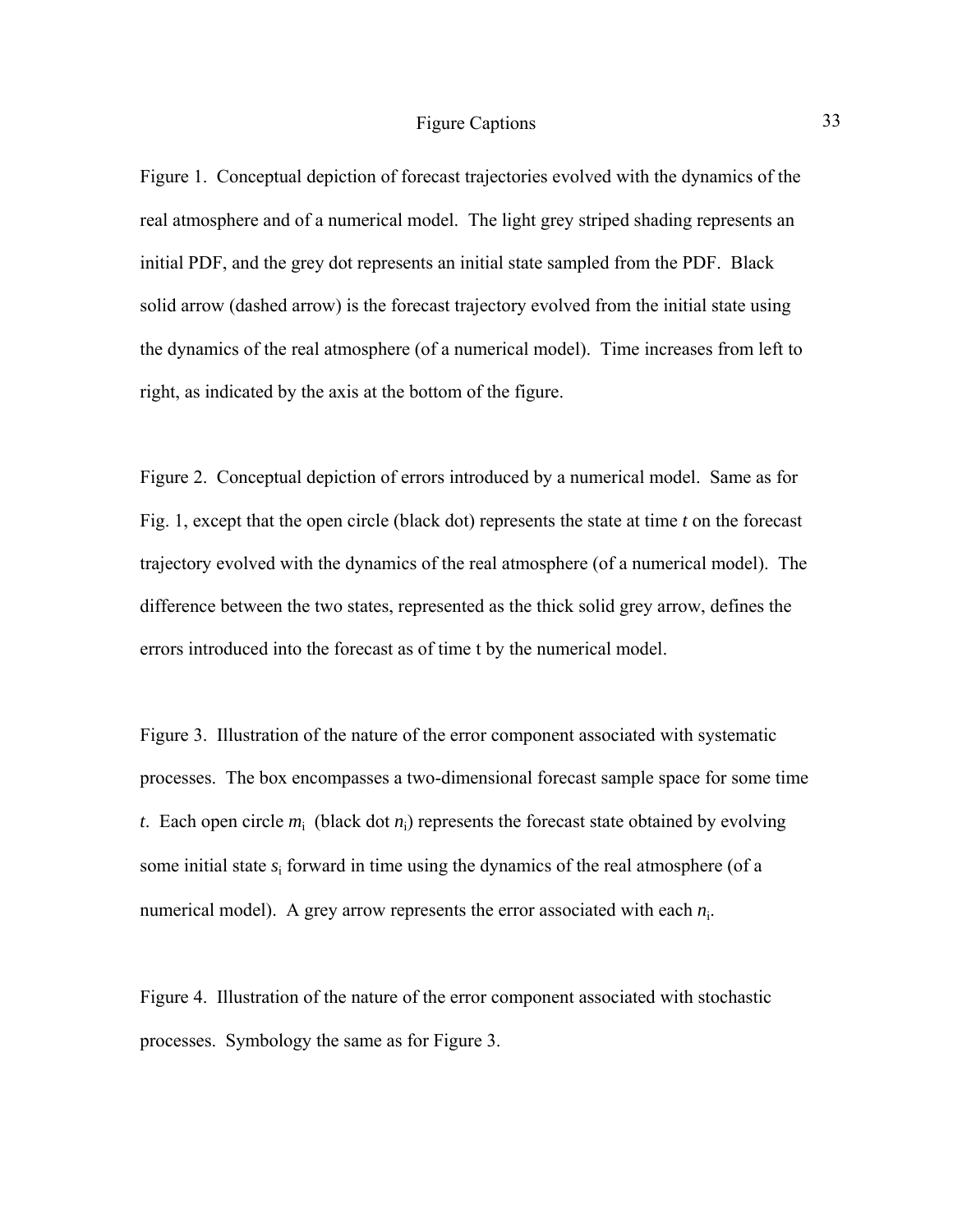Figure 1. Conceptual depiction of forecast trajectories evolved with the dynamics of the real atmosphere and of a numerical model. The light grey striped shading represents an initial PDF, and the grey dot represents an initial state sampled from the PDF. Black solid arrow (dashed arrow) is the forecast trajectory evolved from the initial state using the dynamics of the real atmosphere (of a numerical model). Time increases from left to right, as indicated by the axis at the bottom of the figure.

Figure 2. Conceptual depiction of errors introduced by a numerical model. Same as for Fig. 1, except that the open circle (black dot) represents the state at time *t* on the forecast trajectory evolved with the dynamics of the real atmosphere (of a numerical model). The difference between the two states, represented as the thick solid grey arrow, defines the errors introduced into the forecast as of time t by the numerical model.

Figure 3. Illustration of the nature of the error component associated with systematic processes. The box encompasses a two-dimensional forecast sample space for some time *t*. Each open circle  $m_i$  (black dot  $n_i$ ) represents the forecast state obtained by evolving some initial state  $s_i$  forward in time using the dynamics of the real atmosphere (of a numerical model). A grey arrow represents the error associated with each  $n_i$ .

Figure 4. Illustration of the nature of the error component associated with stochastic processes. Symbology the same as for Figure 3.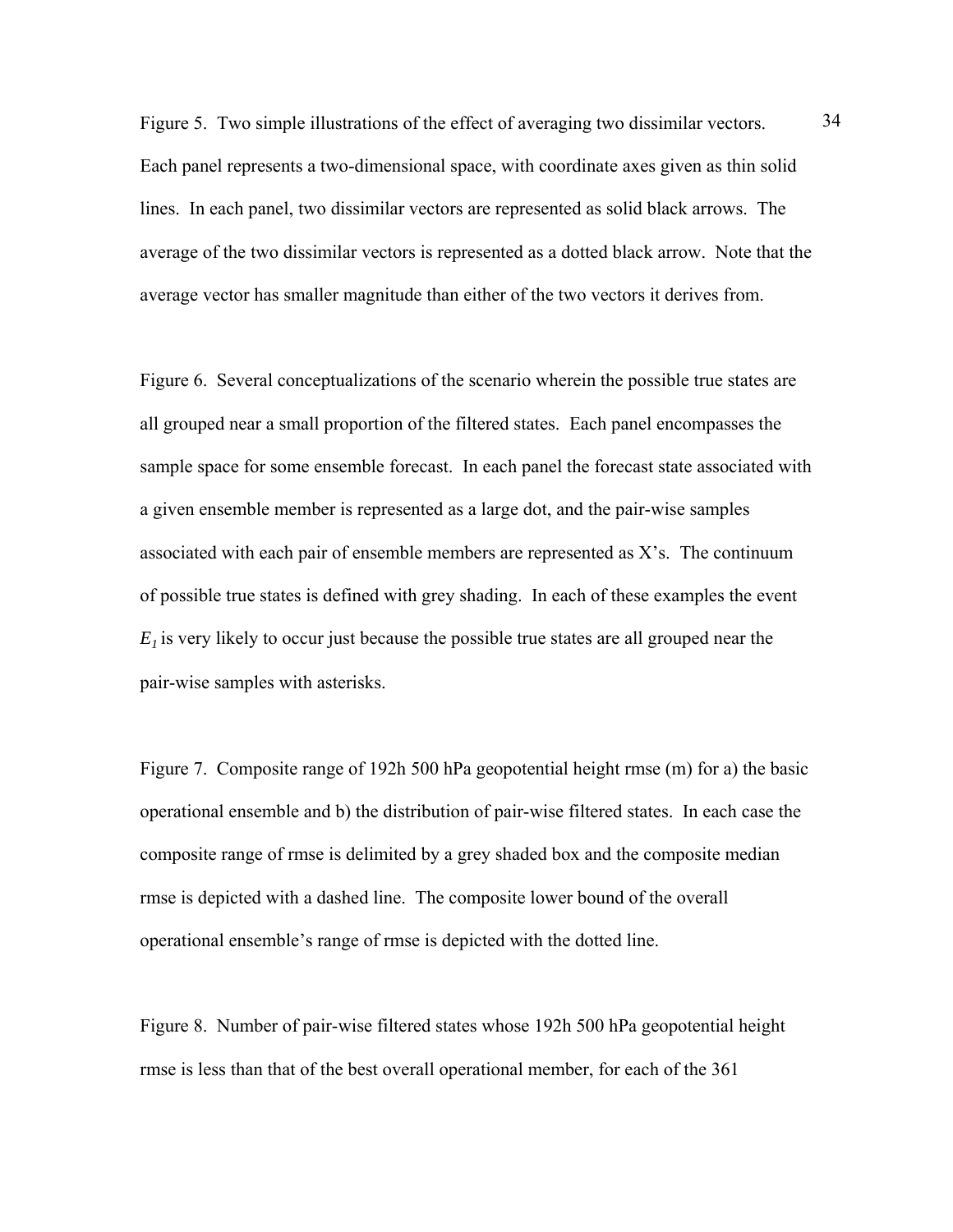Figure 5. Two simple illustrations of the effect of averaging two dissimilar vectors.  $\frac{34}{3}$ Each panel represents a two-dimensional space, with coordinate axes given as thin solid lines. In each panel, two dissimilar vectors are represented as solid black arrows. The average of the two dissimilar vectors is represented as a dotted black arrow. Note that the average vector has smaller magnitude than either of the two vectors it derives from.

Figure 6. Several conceptualizations of the scenario wherein the possible true states are all grouped near a small proportion of the filtered states. Each panel encompasses the sample space for some ensemble forecast. In each panel the forecast state associated with a given ensemble member is represented as a large dot, and the pair-wise samples associated with each pair of ensemble members are represented as X's. The continuum of possible true states is defined with grey shading. In each of these examples the event  $E_1$  is very likely to occur just because the possible true states are all grouped near the pair-wise samples with asterisks.

Figure 7. Composite range of 192h 500 hPa geopotential height rmse (m) for a) the basic operational ensemble and b) the distribution of pair-wise filtered states. In each case the composite range of rmse is delimited by a grey shaded box and the composite median rmse is depicted with a dashed line. The composite lower bound of the overall operational ensemble's range of rmse is depicted with the dotted line.

Figure 8. Number of pair-wise filtered states whose 192h 500 hPa geopotential height rmse is less than that of the best overall operational member, for each of the 361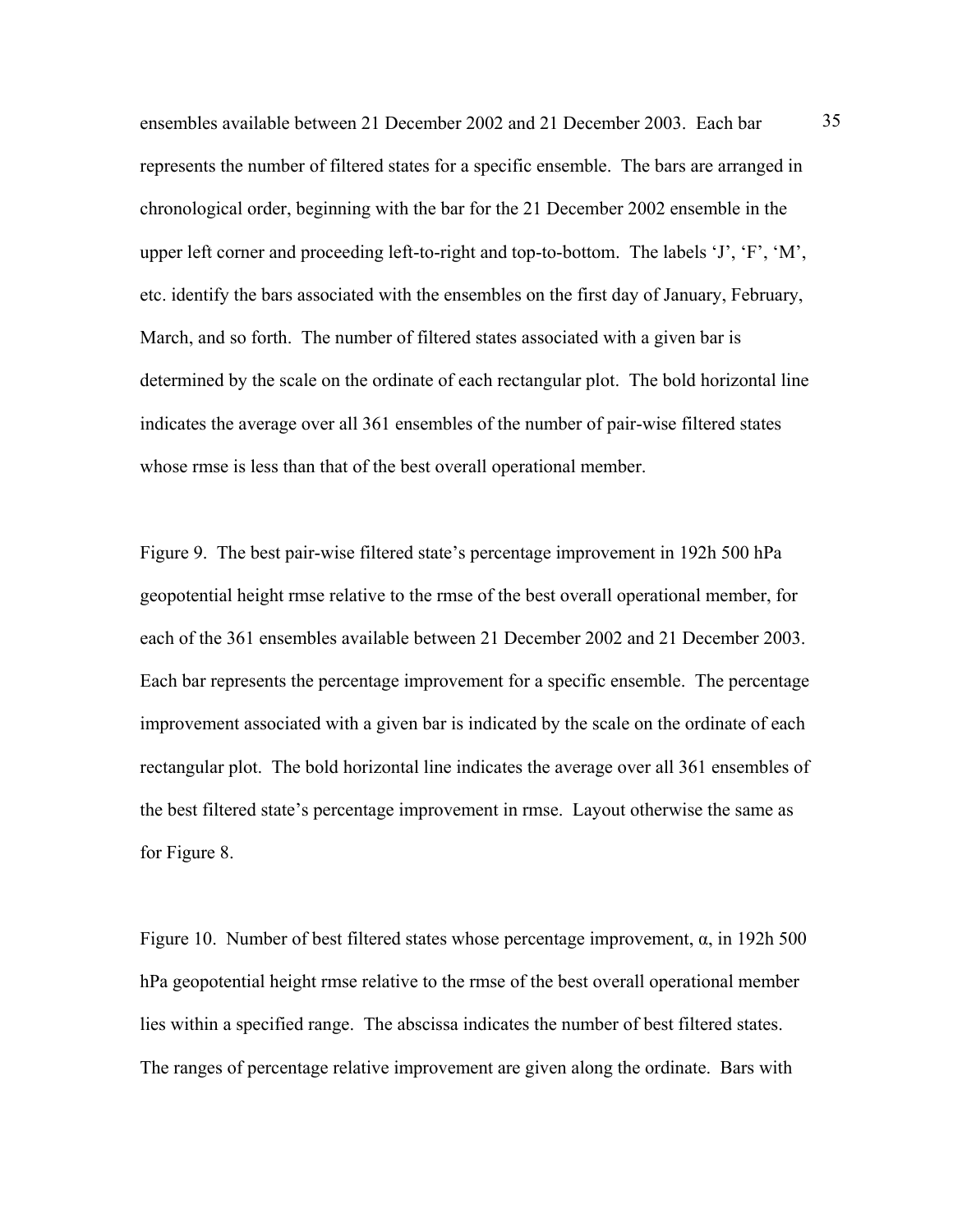ensembles available between 21 December 2002 and 21 December 2003. Each bar 35 represents the number of filtered states for a specific ensemble. The bars are arranged in chronological order, beginning with the bar for the 21 December 2002 ensemble in the upper left corner and proceeding left-to-right and top-to-bottom. The labels 'J', 'F', 'M', etc. identify the bars associated with the ensembles on the first day of January, February, March, and so forth. The number of filtered states associated with a given bar is determined by the scale on the ordinate of each rectangular plot. The bold horizontal line indicates the average over all 361 ensembles of the number of pair-wise filtered states whose rmse is less than that of the best overall operational member.

Figure 9. The best pair-wise filtered state's percentage improvement in 192h 500 hPa geopotential height rmse relative to the rmse of the best overall operational member, for each of the 361 ensembles available between 21 December 2002 and 21 December 2003. Each bar represents the percentage improvement for a specific ensemble. The percentage improvement associated with a given bar is indicated by the scale on the ordinate of each rectangular plot. The bold horizontal line indicates the average over all 361 ensembles of the best filtered state's percentage improvement in rmse. Layout otherwise the same as for Figure 8.

Figure 10. Number of best filtered states whose percentage improvement,  $\alpha$ , in 192h 500 hPa geopotential height rmse relative to the rmse of the best overall operational member lies within a specified range. The abscissa indicates the number of best filtered states. The ranges of percentage relative improvement are given along the ordinate. Bars with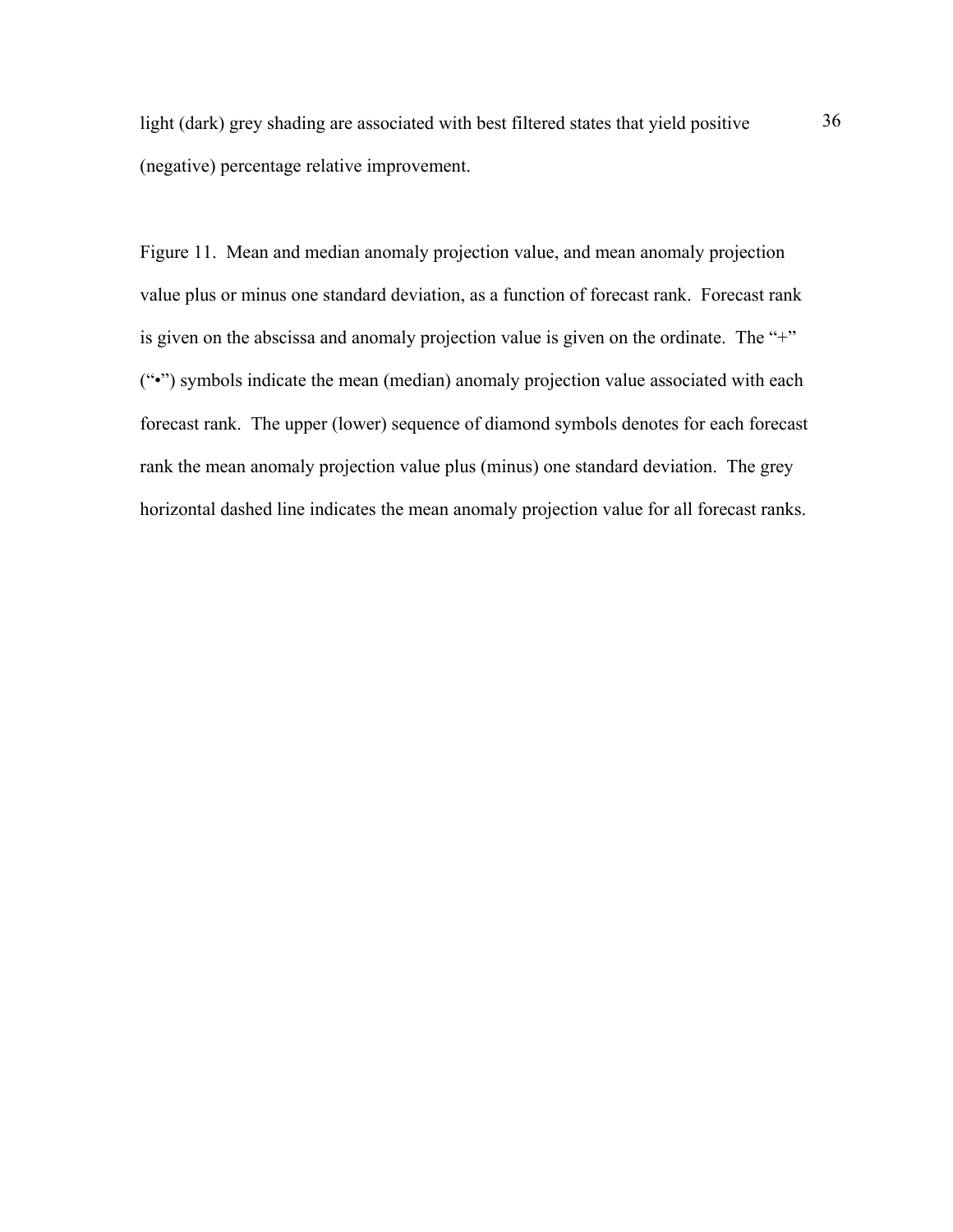light (dark) grey shading are associated with best filtered states that yield positive 36 (negative) percentage relative improvement.

Figure 11. Mean and median anomaly projection value, and mean anomaly projection value plus or minus one standard deviation, as a function of forecast rank. Forecast rank is given on the abscissa and anomaly projection value is given on the ordinate. The "+" ("•") symbols indicate the mean (median) anomaly projection value associated with each forecast rank. The upper (lower) sequence of diamond symbols denotes for each forecast rank the mean anomaly projection value plus (minus) one standard deviation. The grey horizontal dashed line indicates the mean anomaly projection value for all forecast ranks.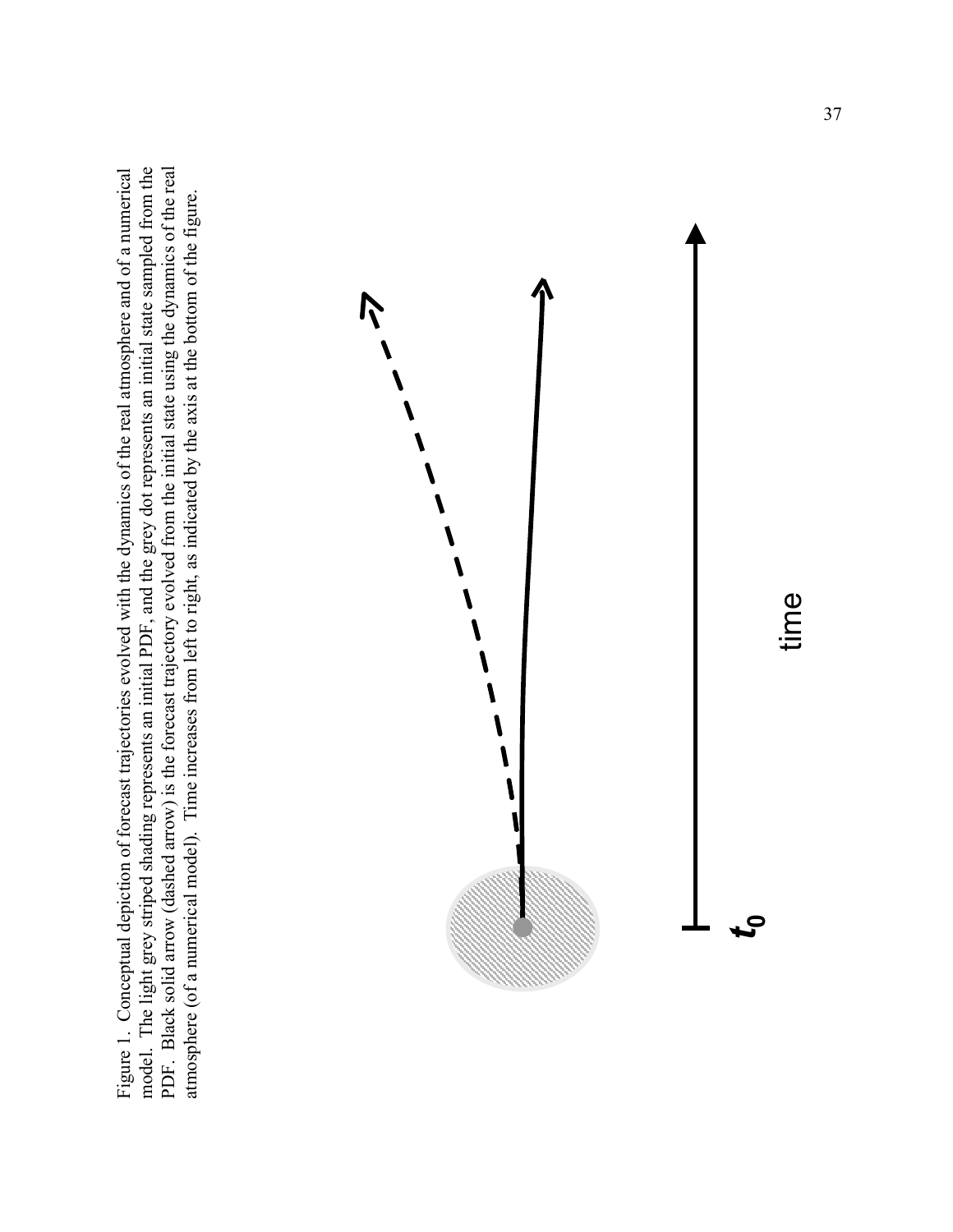Figure 1. Conceptual depiction of forecast trajectories evolved with the dynamics of the real atmosphere and of a numerical model. The light grey striped shading represents an initial PDF, and the grey dot represents an initial state sampled from the PDF. Black solid arrow (dashed arrow) is the forecast trajectory evolved from the initial state using the dynamics of the real Figure 1. Conceptual depiction of forecast trajectories evolved with the dynamics of the real atmosphere and of a numerical model. The light grey striped shading represents an initial PDF, and the grey dot represents an initial state sampled from the PDF. Black solid arrow (dashed arrow) is the forecast trajectory evolved from the initial state using the dynamics of the real atmosphere (of a numerical model). Time increases from left to right, as indicated by the axis at the bottom of the figure. atmosphere (of a numerical model). Time increases from left to right, as indicated by the axis at the bottom of the figure.

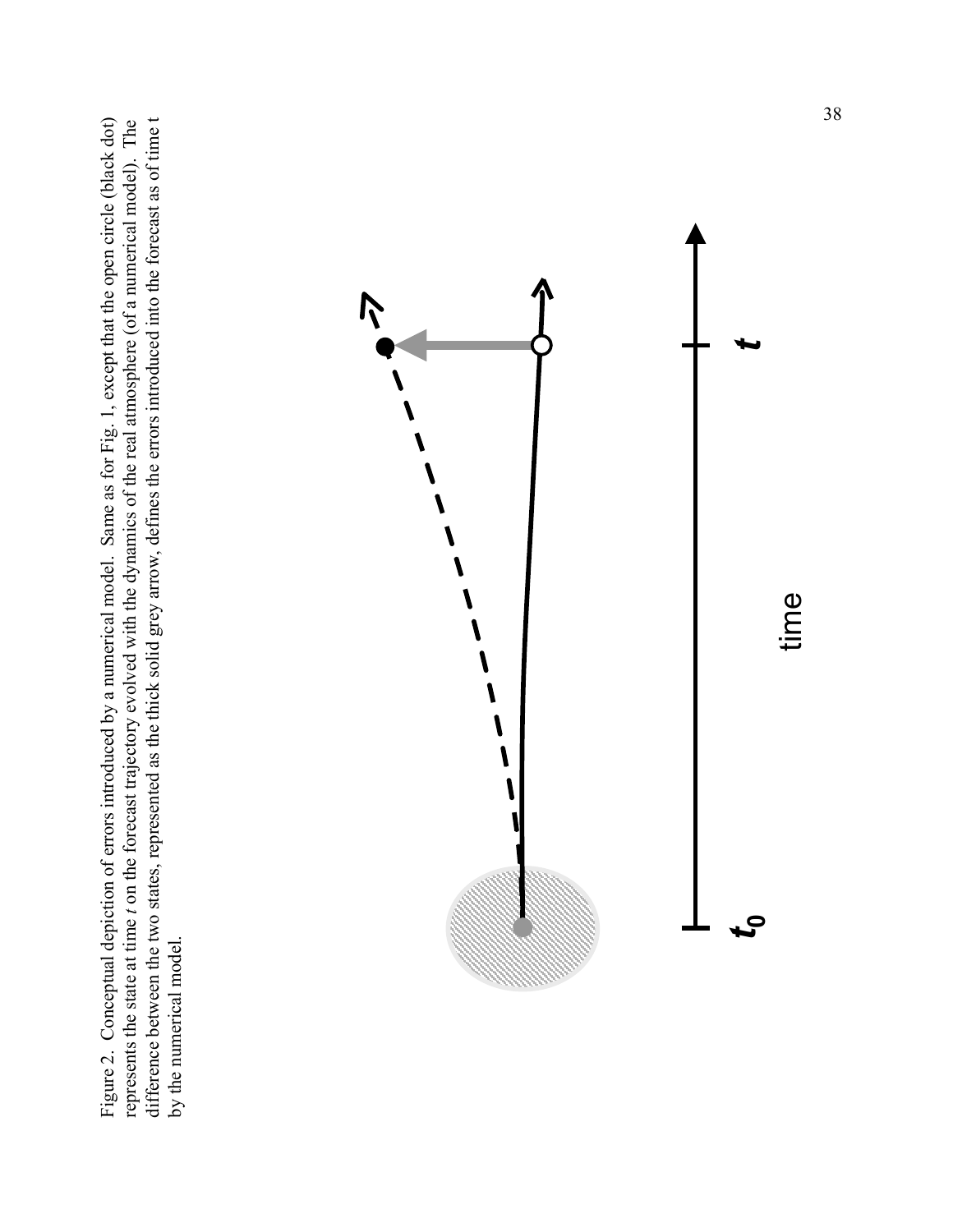difference between the two states, represented as the thick solid grey arrow, defines the errors introduced into the forecast as of time t Figure 2. Conceptual depiction of errors introduced by a numerical model. Same as for Fig. 1, except that the open circle (black dot) represents the state at time t on the forecast trajectory evolved with the dynamics of the real atmosphere (of a numerical model). The Figure 2. Conceptual depiction of errors introduced by a numerical model. Same as for Fig. 1, except that the open circle (black dot) difference between the two states, represented as the thick solid grey arrow, defines the errors introduced into the forecast as of time t represents the state at time *t* on the forecast trajectory evolved with the dynamics of the real atmosphere (of a numerical model). The by the numerical model. by the numerical model.

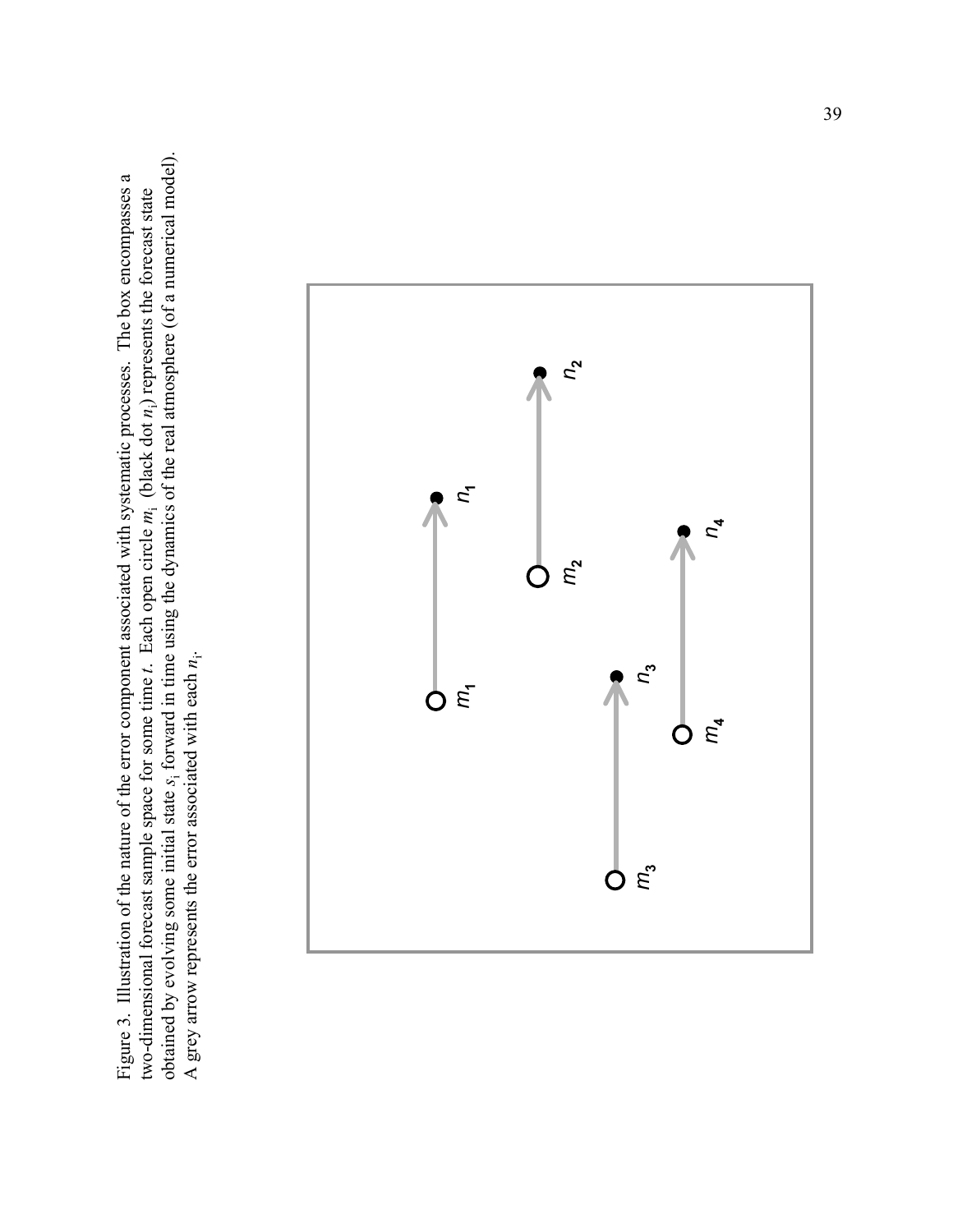obtained by evolving some initial state *s*i forward in time using the dynamics of the real atmosphere (of a numerical model). obtained by evolving some initial state s<sub>i</sub> forward in time using the dynamics of the real atmosphere (of a numerical model). Figure 3. Illustration of the nature of the error component associated with systematic processes. The box encompasses a Figure 3. Illustration of the nature of the error component associated with systematic processes. The box encompasses a two-dimensional forecast sample space for some time  $t$ . Each open circle  $m_i$  (black dot  $n_i$ ) represents the forecast state two-dimensional forecast sample space for some time *t*. Each open circle *m*i (black dot *n*i) represents the forecast state A grey arrow represents the error associated with each  $n_i$ . A grey arrow represents the error associated with each *n*i.

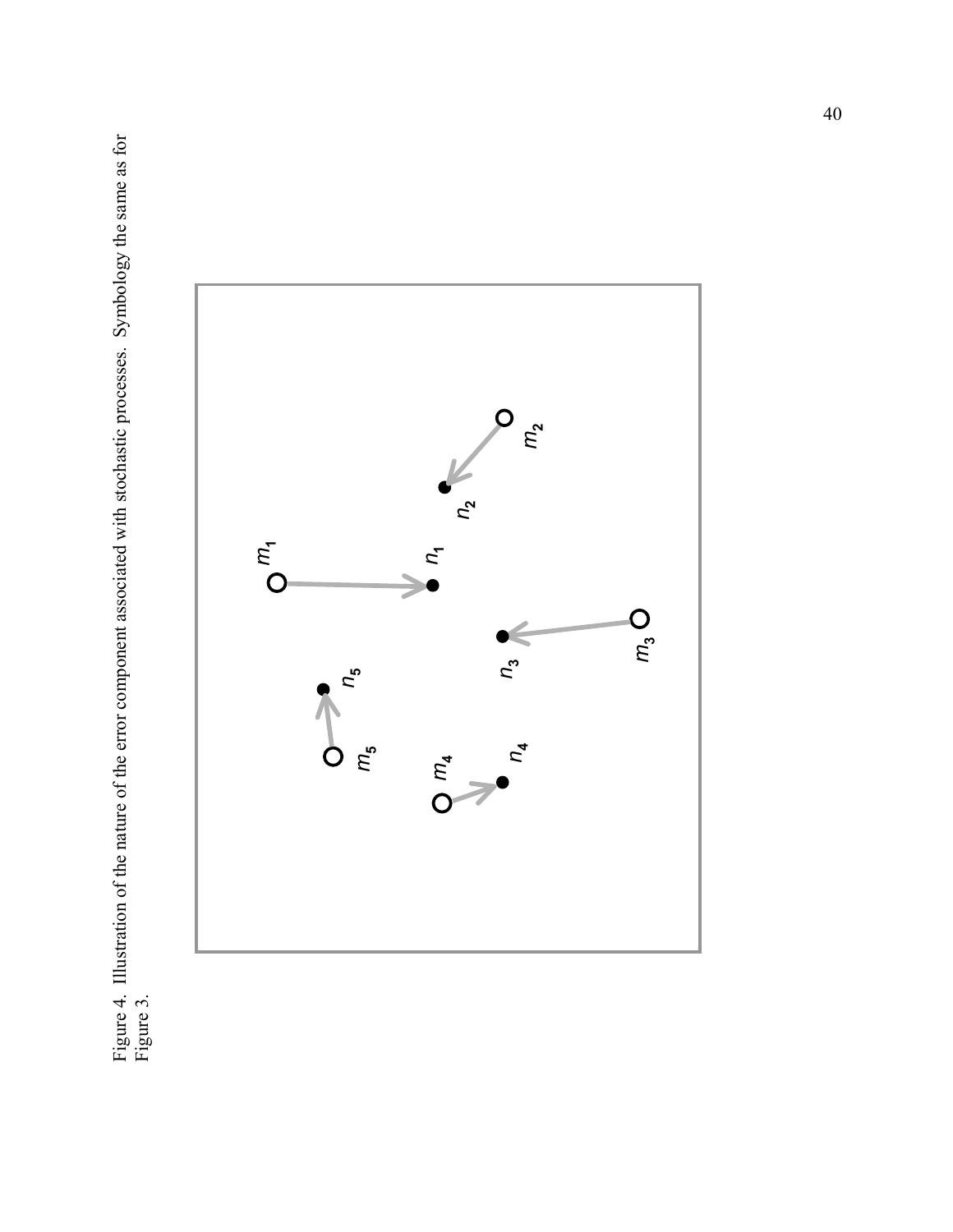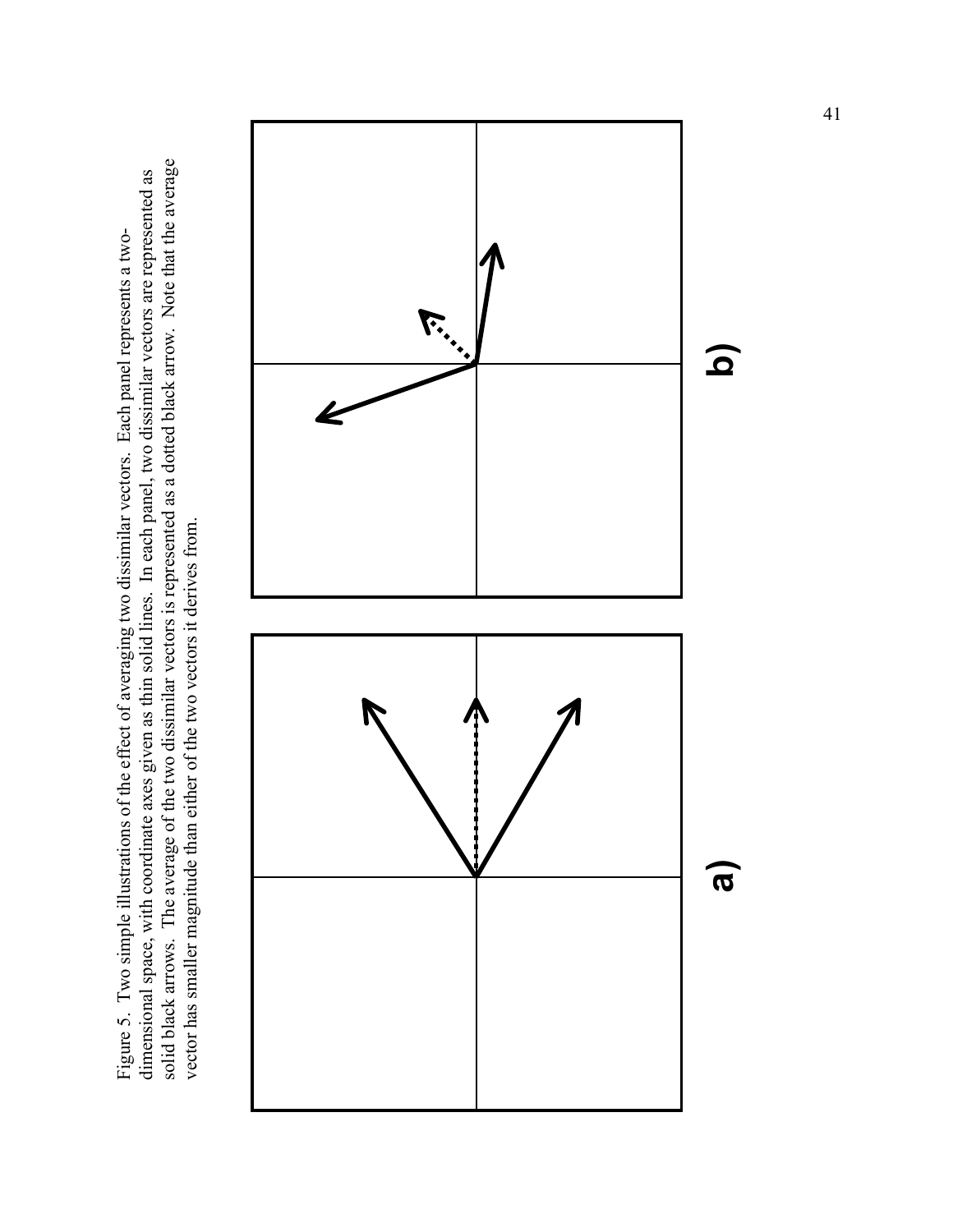solid black arrows. The average of the two dissimilar vectors is represented as a dotted black arrow. Note that the average solid black arrows. The average of the two dissimilar vectors is represented as a dotted black arrow. Note that the average dimensional space, with coordinate axes given as thin solid lines. In each panel, two dissimilar vectors are represented as dimensional space, with coordinate axes given as thin solid lines. In each panel, two dissimilar vectors are represented as Figure 5. Two simple illustrations of the effect of averaging two dissimilar vectors. Each panel represents a two-Figure 5. Two simple illustrations of the effect of averaging two dissimilar vectors. Each panel represents a twovector has smaller magnitude than either of the two vectors it derives from. vector has smaller magnitude than either of the two vectors it derives from.

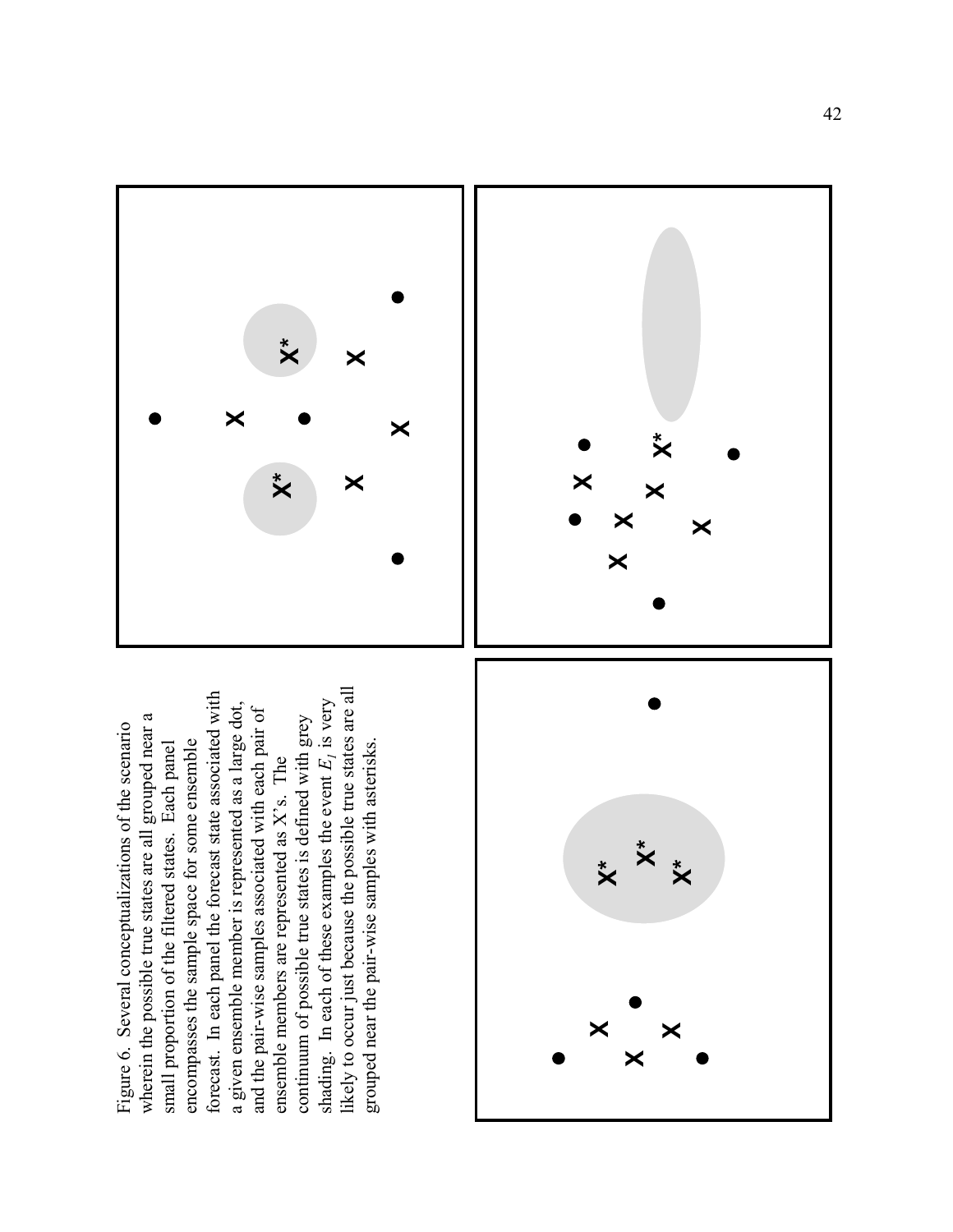likely to occur just because the possible true states are all forecast. In each panel the forecast state associated with shading. In each of these examples the event  $E_i$  is very a given ensemble member is represented as a large dot, and the pair-wise samples associated with each pair of wherein the possible true states are all grouped near a continuum of possible true states is defined with grey Figure 6. Several conceptualizations of the scenario encompasses the sample space for some ensemble small proportion of the filtered states. Each panel grouped near the pair-wise samples with asterisks. ensemble members are represented as  $X$ 's. The





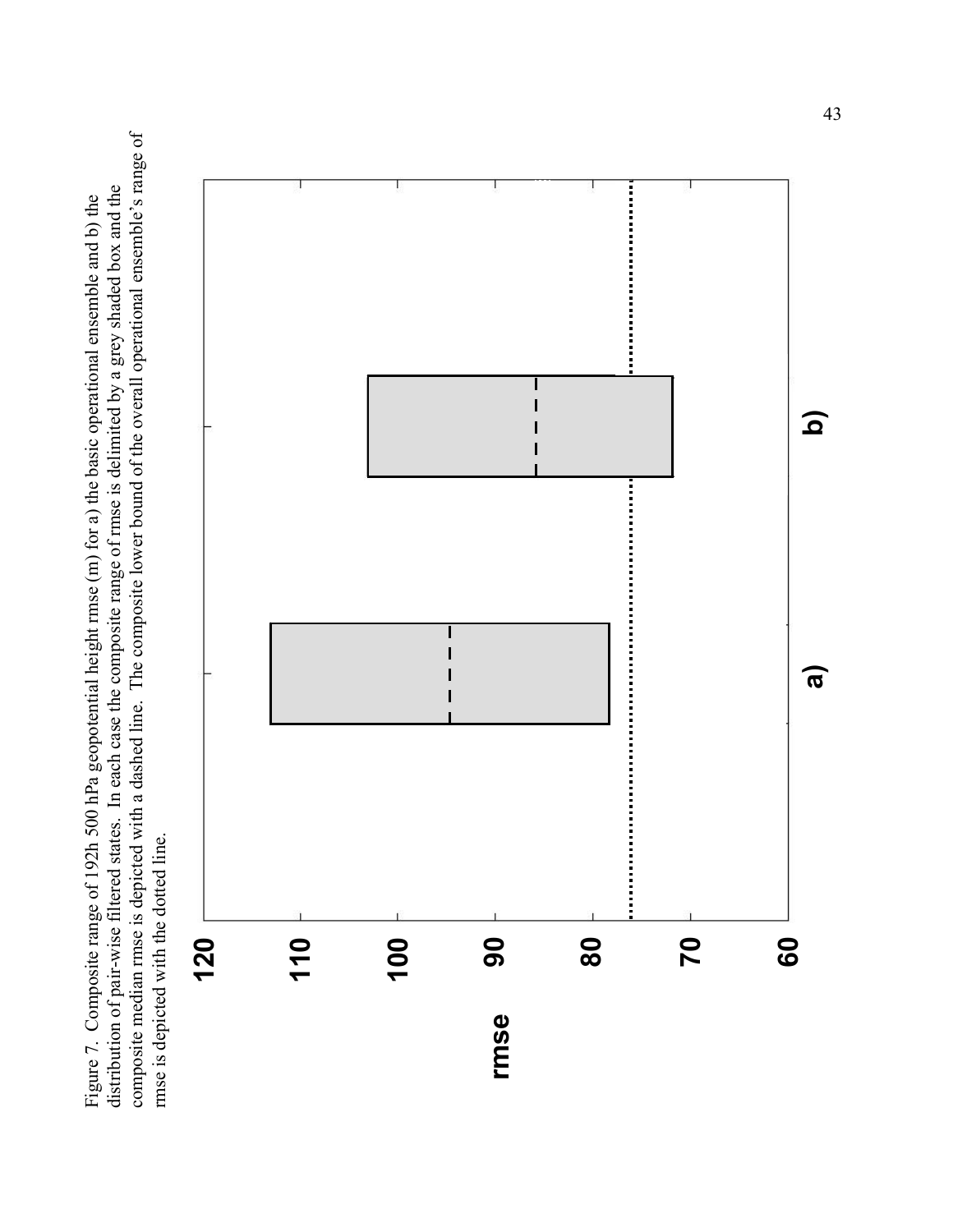composite median rmse is depicted with a dashed line. The composite lower bound of the overall operational ensemble's range of composite median rmse is depicted with a dashed line. The composite lower bound of the overall operational ensemble's range of distribution of pair-wise filtered states. In each case the composite range of rmse is delimited by a grey shaded box and the distribution of pair-wise filtered states. In each case the composite range of mnse is delimited by a grey shaded box and the Figure 7. Composite range of 192h 500 hPa geopotential height rmse (m) for a) the basic operational ensemble and b) the Figure 7. Composite range of 192h 500 hPa geopotential height rmse (m) for a) the basic operational ensemble and b) the rmse is depicted with the dotted line. rmse is depicted with the dotted line.

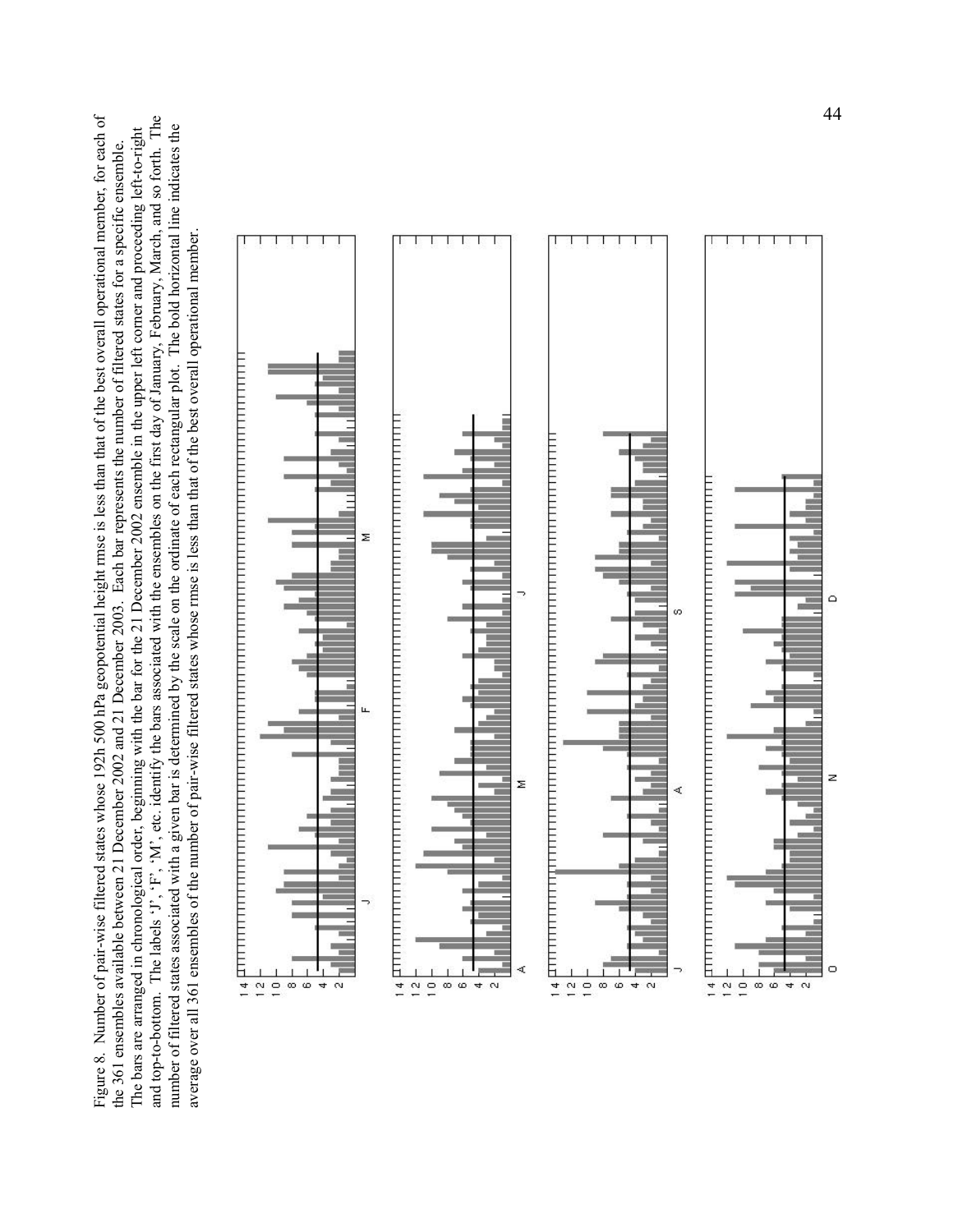Figure 8. Number of pair-wise filtered states whose 192h 500 hPa geopotential height rmse is less than that of the best overall operational member, for each of Figure 8. Number of pair-wise filtered states whose 192h 500 hPa geopotential height rmse is less than that of the best overall operational member, for each of and top-to-bottom. The labels 'J', 'F', 'M', etc. identify the bars associated with the ensembles on the first day of January, February, March, and so forth. The and top-to-bottom. The labels 'J', 'F', 'M', etc. identify the bars associated with the ensembles on the first day of January, February, March, and so forth. The number of filtered states associated with a given bar is determined by the scale on the ordinate of each rectangular plot. The bold horizontal line indicates the number of filtered states associated with a given bar is determined by the scale on the ordinate of each rectangular plot. The bold horizontal line indicates the The bars are arranged in chronological order, beginning with the bar for the 21 December 2002 ensemble in the upper left corner and proceeding left-to-right The bars are arranged in chronological order, beginning with the bar for the 21 December 2002 ensemble in the upper left corner and proceeding left-to-right the 361 ensembles available between 21 December 2002 and 21 December 2003. Each bar represents the number of filtered states for a specific ensemble. the 361 ensembles available between 21 December 2002 and 21 December 2003. Each bar represents the number of filtered states for a specific ensemble. average over all 361 ensembles of the number of pair-wise filtered states whose rmse is less than that of the best overall operational member. average over all 361 ensembles of the number of pair-wise filtered states whose rmse is less than that of the best overall operational member.

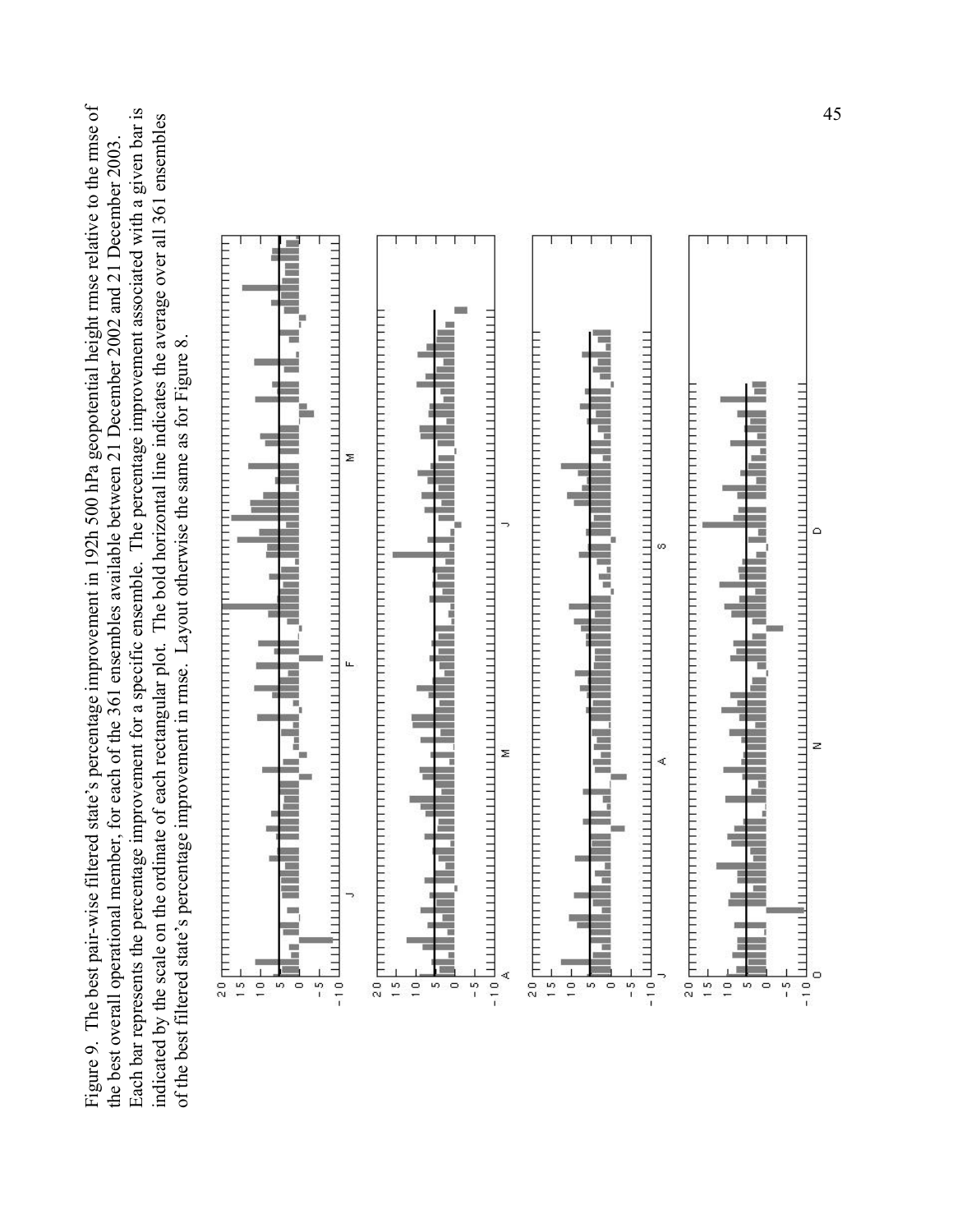Figure 9. The best pair-wise filtered state's percentage improvement in 192h 500 hPa geopotential height rmse relative to the rmse of Each bar represents the percentage improvement for a specific ensemble. The percentage improvement associated with a given bar is Figure 9. The best pair-wise filtered state's percentage improvement in 192h 500 hPa geopotential height rmse relative to the rmse of Each bar represents the percentage improvement for a specific ensemble. The percentage improvement associated with a given bar is indicated by the scale on the ordinate of each rectangular plot. The bold horizontal line indicates the average over all 361 ensembles indicated by the scale on the ordinate of each rectangular plot. The bold horizontal line indicates the average over all 361 ensembles the best overall operational member, for each of the 361 ensembles available between 21 December 2002 and 21 December 2003. the best overall operational member, for each of the 361 ensembles available between 21 December 2002 and 21 December 2003 of the best filtered state's percentage improvement in rmse. Layout otherwise the same as for Figure 8. of the best filtered state's percentage improvement in rmse. Layout otherwise the same as for Figure 8.

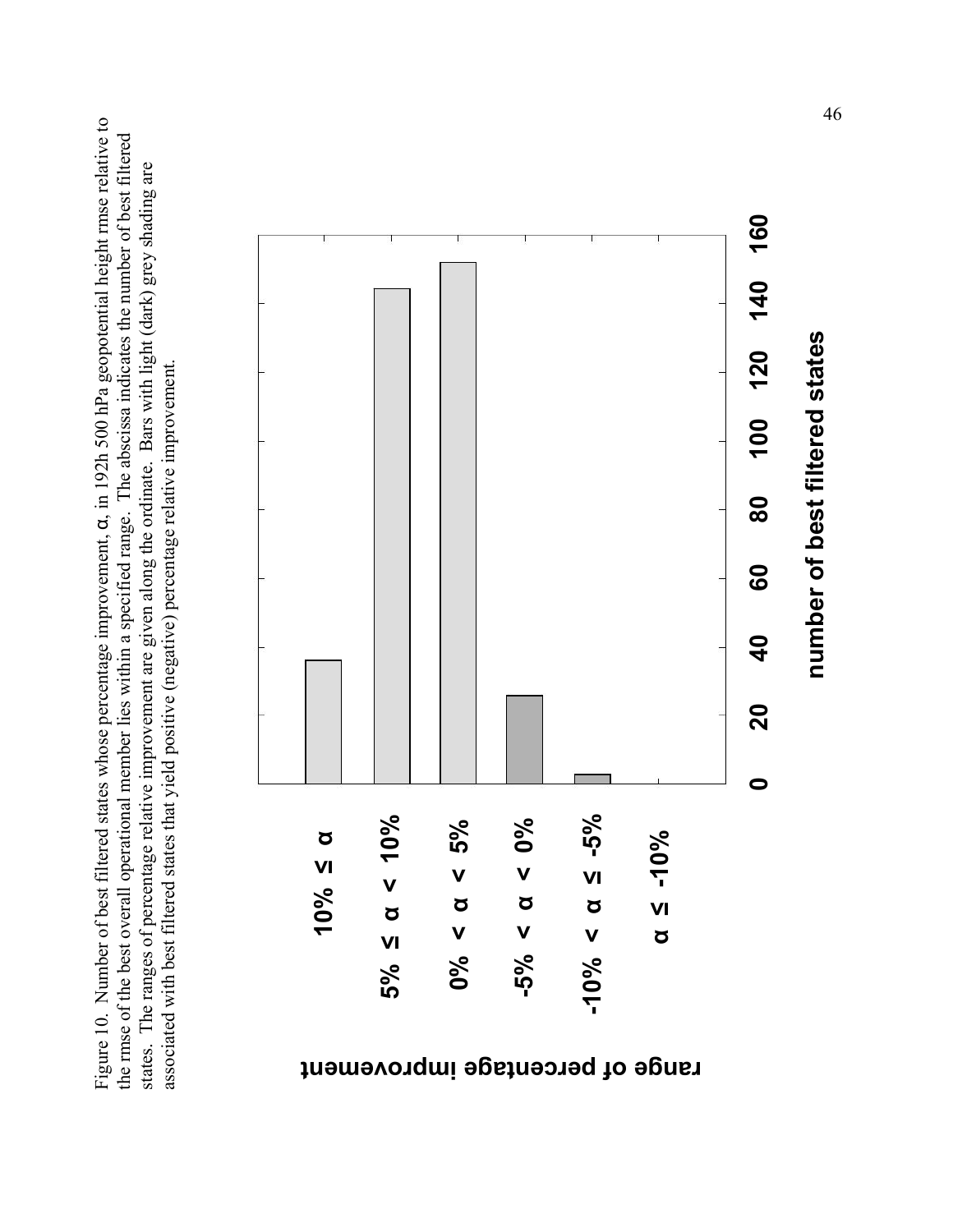Figure 10. Number of best filtered states whose percentage improvement, α, in 192h 500 hPa geopotential height rmse relative to Figure 10. Number of best filtered states whose percentage improvement, a, in 192h 500 hPa geopotential height rmse relative to the rmse of the best overall operational member lies within a specified range. The abscissa indicates the number of best filtered the rmse of the best overall operational member lies within a specified range. The abscissa indicates the number of best filtered states. The ranges of percentage relative improvement are given along the ordinate. Bars with light (dark) grey shading are states. The ranges of percentage relative improvement are given along the ordinate. Bars with light (dark) grey shading are associated with best filtered states that yield positive (negative) percentage relative improvement. associated with best filtered states that yield positive (negative) percentage relative improvement.